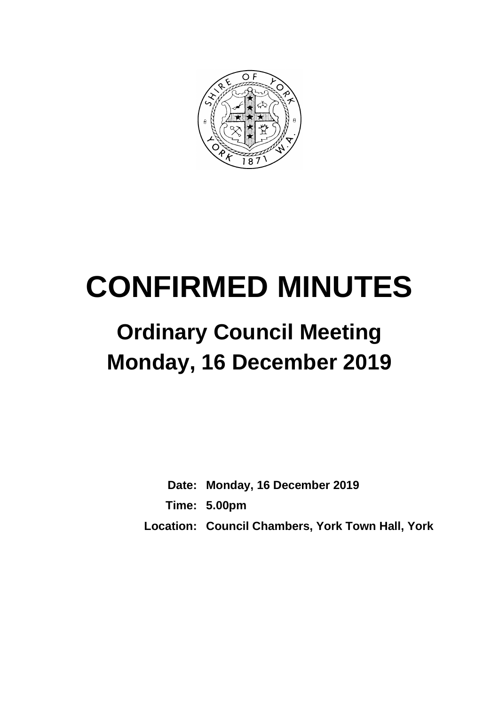

# **CONFIRMED MINUTES**

# **Ordinary Council Meeting Monday, 16 December 2019**

**Date: Monday, 16 December 2019 Time: 5.00pm Location: Council Chambers, York Town Hall, York**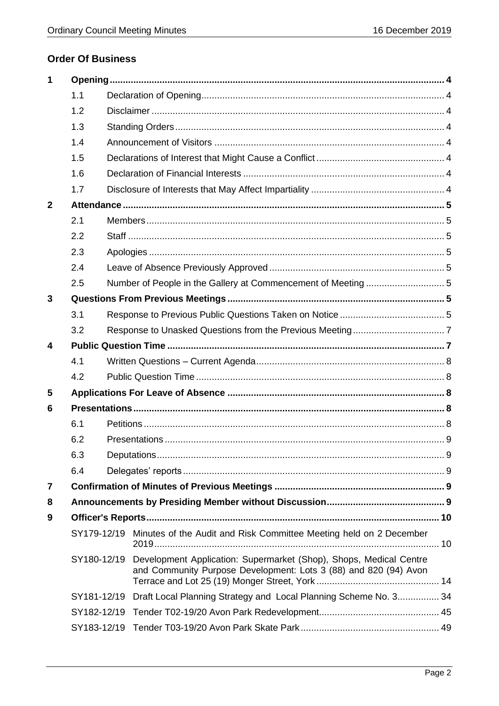# **Order Of Business**

| 1                |             |  |                                                                                                                                                    |  |
|------------------|-------------|--|----------------------------------------------------------------------------------------------------------------------------------------------------|--|
|                  | 1.1         |  |                                                                                                                                                    |  |
|                  | 1.2         |  |                                                                                                                                                    |  |
|                  | 1.3         |  |                                                                                                                                                    |  |
|                  | 1.4         |  |                                                                                                                                                    |  |
|                  | 1.5         |  |                                                                                                                                                    |  |
|                  | 1.6         |  |                                                                                                                                                    |  |
|                  | 1.7         |  |                                                                                                                                                    |  |
| $\mathbf{2}$     |             |  |                                                                                                                                                    |  |
|                  | 2.1         |  |                                                                                                                                                    |  |
|                  | 2.2         |  |                                                                                                                                                    |  |
|                  | 2.3         |  |                                                                                                                                                    |  |
|                  | 2.4         |  |                                                                                                                                                    |  |
|                  | 2.5         |  | Number of People in the Gallery at Commencement of Meeting 5                                                                                       |  |
| 3                |             |  |                                                                                                                                                    |  |
|                  | 3.1         |  |                                                                                                                                                    |  |
|                  | 3.2         |  |                                                                                                                                                    |  |
| $\boldsymbol{4}$ |             |  |                                                                                                                                                    |  |
|                  | 4.1         |  |                                                                                                                                                    |  |
|                  | 4.2         |  |                                                                                                                                                    |  |
| 5                |             |  |                                                                                                                                                    |  |
| 6                |             |  |                                                                                                                                                    |  |
|                  | 6.1         |  |                                                                                                                                                    |  |
|                  | 6.2         |  |                                                                                                                                                    |  |
|                  | 6.3         |  |                                                                                                                                                    |  |
|                  | 6.4         |  |                                                                                                                                                    |  |
| 7                |             |  |                                                                                                                                                    |  |
| 8                |             |  |                                                                                                                                                    |  |
| 9                |             |  |                                                                                                                                                    |  |
|                  |             |  | SY179-12/19 Minutes of the Audit and Risk Committee Meeting held on 2 December                                                                     |  |
|                  |             |  | SY180-12/19 Development Application: Supermarket (Shop), Shops, Medical Centre<br>and Community Purpose Development: Lots 3 (88) and 820 (94) Avon |  |
|                  | SY181-12/19 |  | Draft Local Planning Strategy and Local Planning Scheme No. 3 34                                                                                   |  |
|                  | SY182-12/19 |  |                                                                                                                                                    |  |
|                  | SY183-12/19 |  |                                                                                                                                                    |  |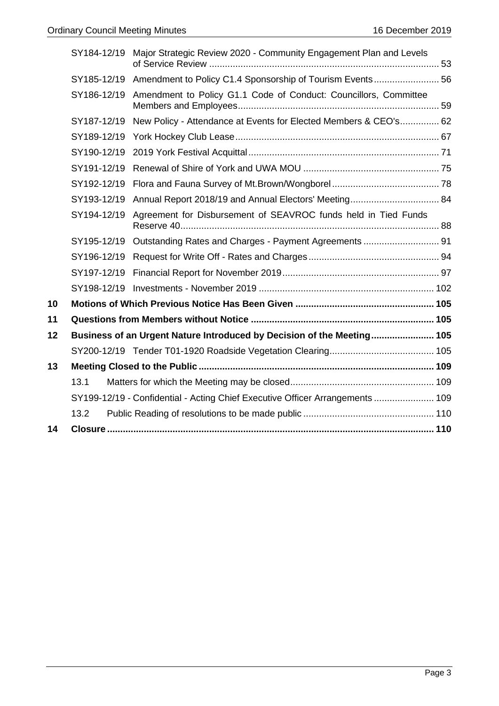|    | SY184-12/19 | Major Strategic Review 2020 - Community Engagement Plan and Levels            |  |
|----|-------------|-------------------------------------------------------------------------------|--|
|    | SY185-12/19 | Amendment to Policy C1.4 Sponsorship of Tourism Events 56                     |  |
|    | SY186-12/19 | Amendment to Policy G1.1 Code of Conduct: Councillors, Committee              |  |
|    | SY187-12/19 | New Policy - Attendance at Events for Elected Members & CEO's 62              |  |
|    | SY189-12/19 |                                                                               |  |
|    | SY190-12/19 |                                                                               |  |
|    | SY191-12/19 |                                                                               |  |
|    | SY192-12/19 |                                                                               |  |
|    | SY193-12/19 | Annual Report 2018/19 and Annual Electors' Meeting 84                         |  |
|    | SY194-12/19 | Agreement for Disbursement of SEAVROC funds held in Tied Funds                |  |
|    | SY195-12/19 |                                                                               |  |
|    | SY196-12/19 |                                                                               |  |
|    | SY197-12/19 |                                                                               |  |
|    |             |                                                                               |  |
| 10 |             |                                                                               |  |
| 11 |             |                                                                               |  |
| 12 |             | Business of an Urgent Nature Introduced by Decision of the Meeting 105        |  |
|    |             |                                                                               |  |
| 13 |             |                                                                               |  |
|    | 13.1        |                                                                               |  |
|    |             | SY199-12/19 - Confidential - Acting Chief Executive Officer Arrangements  109 |  |
|    | 13.2        |                                                                               |  |
| 14 |             |                                                                               |  |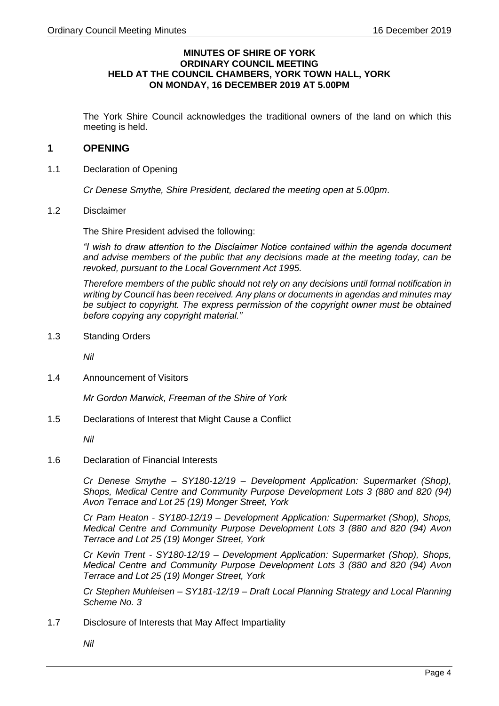#### **MINUTES OF SHIRE OF YORK ORDINARY COUNCIL MEETING HELD AT THE COUNCIL CHAMBERS, YORK TOWN HALL, YORK ON MONDAY, 16 DECEMBER 2019 AT 5.00PM**

The York Shire Council acknowledges the traditional owners of the land on which this meeting is held.

# <span id="page-3-0"></span>**1 OPENING**

<span id="page-3-1"></span>1.1 Declaration of Opening

*Cr Denese Smythe, Shire President, declared the meeting open at 5.00pm*.

<span id="page-3-2"></span>1.2 Disclaimer

The Shire President advised the following:

*"I wish to draw attention to the Disclaimer Notice contained within the agenda document and advise members of the public that any decisions made at the meeting today, can be revoked, pursuant to the Local Government Act 1995.*

*Therefore members of the public should not rely on any decisions until formal notification in writing by Council has been received. Any plans or documents in agendas and minutes may be subject to copyright. The express permission of the copyright owner must be obtained before copying any copyright material."*

<span id="page-3-3"></span>1.3 Standing Orders

*Nil*

<span id="page-3-4"></span>1.4 Announcement of Visitors

*Mr Gordon Marwick, Freeman of the Shire of York*

<span id="page-3-5"></span>1.5 Declarations of Interest that Might Cause a Conflict

*Nil*

<span id="page-3-6"></span>1.6 Declaration of Financial Interests

*Cr Denese Smythe – SY180-12/19 – Development Application: Supermarket (Shop), Shops, Medical Centre and Community Purpose Development Lots 3 (880 and 820 (94) Avon Terrace and Lot 25 (19) Monger Street, York*

*Cr Pam Heaton - SY180-12/19 – Development Application: Supermarket (Shop), Shops, Medical Centre and Community Purpose Development Lots 3 (880 and 820 (94) Avon Terrace and Lot 25 (19) Monger Street, York*

*Cr Kevin Trent - SY180-12/19 – Development Application: Supermarket (Shop), Shops, Medical Centre and Community Purpose Development Lots 3 (880 and 820 (94) Avon Terrace and Lot 25 (19) Monger Street, York*

*Cr Stephen Muhleisen – SY181-12/19 – Draft Local Planning Strategy and Local Planning Scheme No. 3*

- <span id="page-3-7"></span>1.7 Disclosure of Interests that May Affect Impartiality
	- *Nil*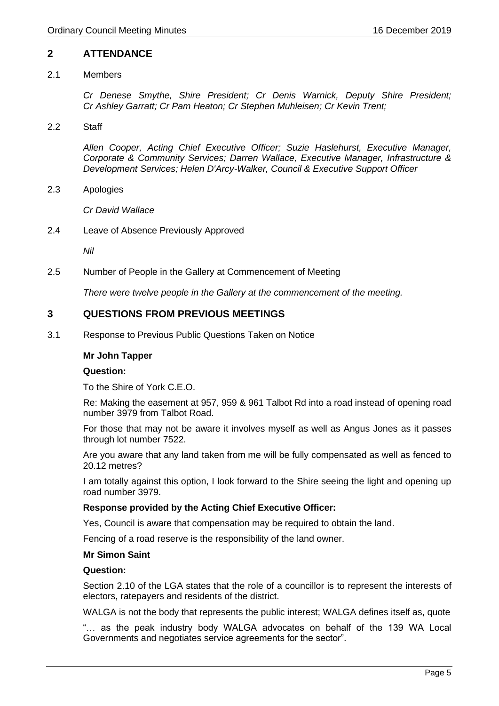# <span id="page-4-0"></span>**2 ATTENDANCE**

#### <span id="page-4-1"></span>2.1 Members

*Cr Denese Smythe, Shire President; Cr Denis Warnick, Deputy Shire President; Cr Ashley Garratt; Cr Pam Heaton; Cr Stephen Muhleisen; Cr Kevin Trent;*

<span id="page-4-2"></span>2.2 Staff

*Allen Cooper, Acting Chief Executive Officer; Suzie Haslehurst, Executive Manager, Corporate & Community Services; Darren Wallace, Executive Manager, Infrastructure & Development Services; Helen D'Arcy-Walker, Council & Executive Support Officer* 

<span id="page-4-3"></span>2.3 Apologies

*Cr David Wallace*

<span id="page-4-4"></span>2.4 Leave of Absence Previously Approved

*Nil*

<span id="page-4-5"></span>2.5 Number of People in the Gallery at Commencement of Meeting

*There were twelve people in the Gallery at the commencement of the meeting.*

# <span id="page-4-6"></span>**3 QUESTIONS FROM PREVIOUS MEETINGS**

<span id="page-4-7"></span>3.1 Response to Previous Public Questions Taken on Notice

#### **Mr John Tapper**

#### **Question:**

To the Shire of York C.E.O.

Re: Making the easement at 957, 959 & 961 Talbot Rd into a road instead of opening road number 3979 from Talbot Road.

For those that may not be aware it involves myself as well as Angus Jones as it passes through lot number 7522.

Are you aware that any land taken from me will be fully compensated as well as fenced to 20.12 metres?

I am totally against this option, I look forward to the Shire seeing the light and opening up road number 3979.

#### **Response provided by the Acting Chief Executive Officer:**

Yes, Council is aware that compensation may be required to obtain the land.

Fencing of a road reserve is the responsibility of the land owner.

#### **Mr Simon Saint**

#### **Question:**

Section 2.10 of the LGA states that the role of a councillor is to represent the interests of electors, ratepayers and residents of the district.

WALGA is not the body that represents the public interest; WALGA defines itself as, quote

"… as the peak industry body WALGA advocates on behalf of the 139 WA Local Governments and negotiates service agreements for the sector".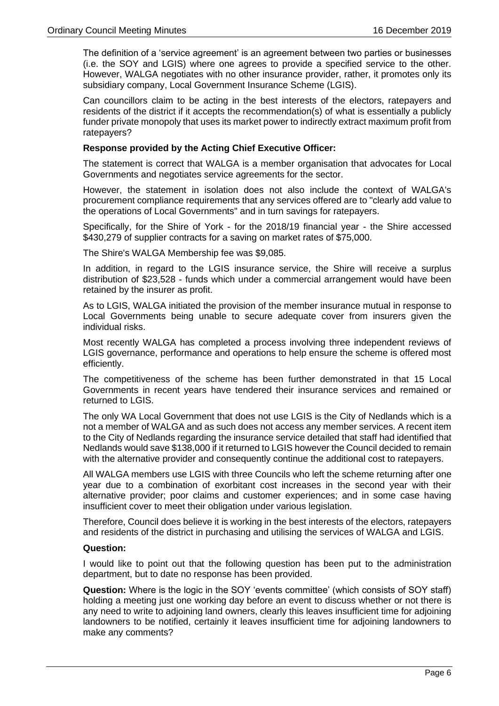The definition of a 'service agreement' is an agreement between two parties or businesses (i.e. the SOY and LGIS) where one agrees to provide a specified service to the other. However, WALGA negotiates with no other insurance provider, rather, it promotes only its subsidiary company, Local Government Insurance Scheme (LGIS).

Can councillors claim to be acting in the best interests of the electors, ratepayers and residents of the district if it accepts the recommendation(s) of what is essentially a publicly funder private monopoly that uses its market power to indirectly extract maximum profit from ratepayers?

#### **Response provided by the Acting Chief Executive Officer:**

The statement is correct that WALGA is a member organisation that advocates for Local Governments and negotiates service agreements for the sector.

However, the statement in isolation does not also include the context of WALGA's procurement compliance requirements that any services offered are to "clearly add value to the operations of Local Governments" and in turn savings for ratepayers.

Specifically, for the Shire of York - for the 2018/19 financial year - the Shire accessed \$430,279 of supplier contracts for a saving on market rates of \$75,000.

The Shire's WALGA Membership fee was \$9,085.

In addition, in regard to the LGIS insurance service, the Shire will receive a surplus distribution of \$23,528 - funds which under a commercial arrangement would have been retained by the insurer as profit.

As to LGIS, WALGA initiated the provision of the member insurance mutual in response to Local Governments being unable to secure adequate cover from insurers given the individual risks.

Most recently WALGA has completed a process involving three independent reviews of LGIS governance, performance and operations to help ensure the scheme is offered most efficiently.

The competitiveness of the scheme has been further demonstrated in that 15 Local Governments in recent years have tendered their insurance services and remained or returned to LGIS.

The only WA Local Government that does not use LGIS is the City of Nedlands which is a not a member of WALGA and as such does not access any member services. A recent item to the City of Nedlands regarding the insurance service detailed that staff had identified that Nedlands would save \$138,000 if it returned to LGIS however the Council decided to remain with the alternative provider and consequently continue the additional cost to ratepayers.

All WALGA members use LGIS with three Councils who left the scheme returning after one year due to a combination of exorbitant cost increases in the second year with their alternative provider; poor claims and customer experiences; and in some case having insufficient cover to meet their obligation under various legislation.

Therefore, Council does believe it is working in the best interests of the electors, ratepayers and residents of the district in purchasing and utilising the services of WALGA and LGIS.

#### **Question:**

I would like to point out that the following question has been put to the administration department, but to date no response has been provided.

**Question:** Where is the logic in the SOY 'events committee' (which consists of SOY staff) holding a meeting just one working day before an event to discuss whether or not there is any need to write to adjoining land owners, clearly this leaves insufficient time for adjoining landowners to be notified, certainly it leaves insufficient time for adjoining landowners to make any comments?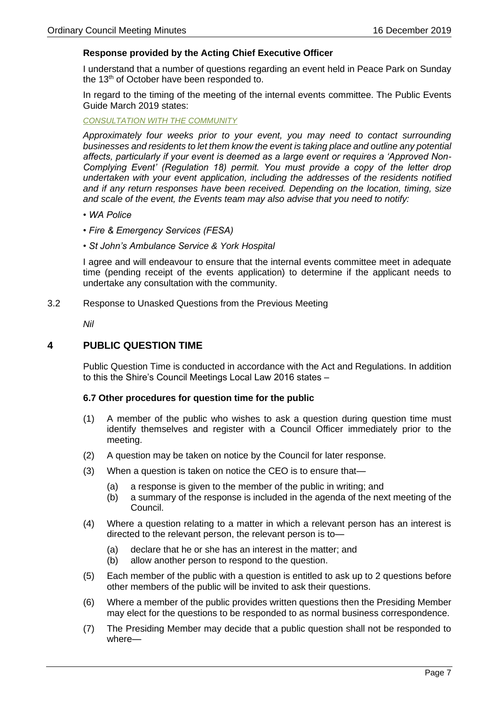#### **Response provided by the Acting Chief Executive Officer**

I understand that a number of questions regarding an event held in Peace Park on Sunday the 13<sup>th</sup> of October have been responded to.

In regard to the timing of the meeting of the internal events committee. The Public Events Guide March 2019 states:

#### *CONSULTATION WITH THE COMMUNITY*

*Approximately four weeks prior to your event, you may need to contact surrounding businesses and residents to let them know the event is taking place and outline any potential affects, particularly if your event is deemed as a large event or requires a 'Approved Non-Complying Event' (Regulation 18) permit. You must provide a copy of the letter drop undertaken with your event application, including the addresses of the residents notified and if any return responses have been received. Depending on the location, timing, size and scale of the event, the Events team may also advise that you need to notify:*

- *WA Police*
- *Fire & Emergency Services (FESA)*
- *St John's Ambulance Service & York Hospital*

I agree and will endeavour to ensure that the internal events committee meet in adequate time (pending receipt of the events application) to determine if the applicant needs to undertake any consultation with the community.

<span id="page-6-0"></span>3.2 Response to Unasked Questions from the Previous Meeting

*Nil*

#### <span id="page-6-1"></span>**4 PUBLIC QUESTION TIME**

Public Question Time is conducted in accordance with the Act and Regulations. In addition to this the Shire's Council Meetings Local Law 2016 states –

#### **6.7 Other procedures for question time for the public**

- (1) A member of the public who wishes to ask a question during question time must identify themselves and register with a Council Officer immediately prior to the meeting.
- (2) A question may be taken on notice by the Council for later response.
- (3) When a question is taken on notice the CEO is to ensure that—
	- (a) a response is given to the member of the public in writing; and
	- (b) a summary of the response is included in the agenda of the next meeting of the Council.
- (4) Where a question relating to a matter in which a relevant person has an interest is directed to the relevant person, the relevant person is to—
	- (a) declare that he or she has an interest in the matter; and
	- (b) allow another person to respond to the question.
- (5) Each member of the public with a question is entitled to ask up to 2 questions before other members of the public will be invited to ask their questions.
- (6) Where a member of the public provides written questions then the Presiding Member may elect for the questions to be responded to as normal business correspondence.
- (7) The Presiding Member may decide that a public question shall not be responded to where—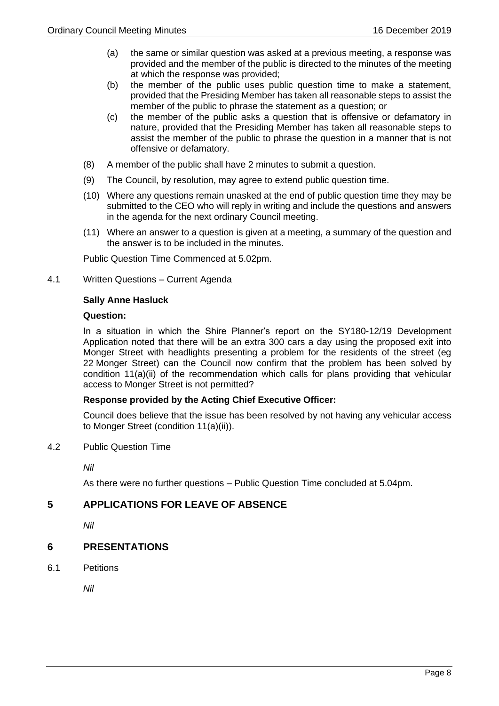- (a) the same or similar question was asked at a previous meeting, a response was provided and the member of the public is directed to the minutes of the meeting at which the response was provided;
- (b) the member of the public uses public question time to make a statement, provided that the Presiding Member has taken all reasonable steps to assist the member of the public to phrase the statement as a question; or
- (c) the member of the public asks a question that is offensive or defamatory in nature, provided that the Presiding Member has taken all reasonable steps to assist the member of the public to phrase the question in a manner that is not offensive or defamatory.
- (8) A member of the public shall have 2 minutes to submit a question.
- (9) The Council, by resolution, may agree to extend public question time.
- (10) Where any questions remain unasked at the end of public question time they may be submitted to the CEO who will reply in writing and include the questions and answers in the agenda for the next ordinary Council meeting.
- (11) Where an answer to a question is given at a meeting, a summary of the question and the answer is to be included in the minutes.

Public Question Time Commenced at 5.02pm.

<span id="page-7-0"></span>4.1 Written Questions – Current Agenda

#### **Sally Anne Hasluck**

#### **Question:**

In a situation in which the Shire Planner's report on the SY180-12/19 Development Application noted that there will be an extra 300 cars a day using the proposed exit into Monger Street with headlights presenting a problem for the residents of the street (eg 22 Monger Street) can the Council now confirm that the problem has been solved by condition 11(a)(ii) of the recommendation which calls for plans providing that vehicular access to Monger Street is not permitted?

#### **Response provided by the Acting Chief Executive Officer:**

Council does believe that the issue has been resolved by not having any vehicular access to Monger Street (condition 11(a)(ii)).

<span id="page-7-1"></span>4.2 Public Question Time

*Nil*

As there were no further questions – Public Question Time concluded at 5.04pm.

# <span id="page-7-2"></span>**5 APPLICATIONS FOR LEAVE OF ABSENCE**

*Nil*

# <span id="page-7-3"></span>**6 PRESENTATIONS**

<span id="page-7-4"></span>6.1 Petitions

*Nil*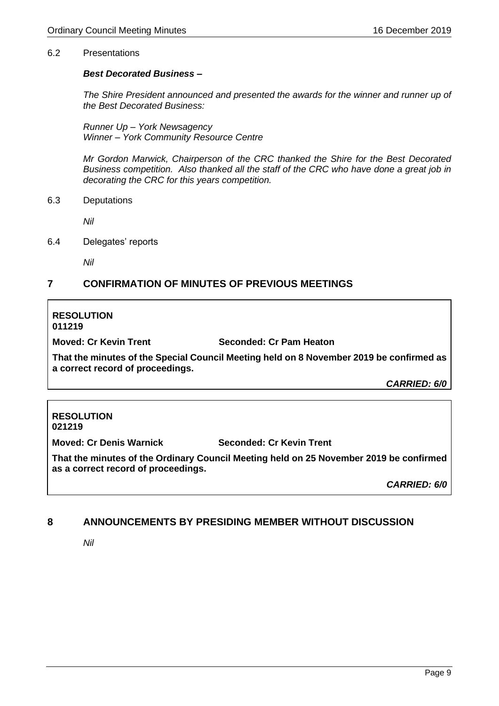#### <span id="page-8-0"></span>6.2 Presentations

#### *Best Decorated Business –*

*The Shire President announced and presented the awards for the winner and runner up of the Best Decorated Business:*

*Runner Up – York Newsagency Winner – York Community Resource Centre*

*Mr Gordon Marwick, Chairperson of the CRC thanked the Shire for the Best Decorated Business competition. Also thanked all the staff of the CRC who have done a great job in decorating the CRC for this years competition.*

<span id="page-8-1"></span>6.3 Deputations

*Nil*

<span id="page-8-2"></span>6.4 Delegates' reports

*Nil*

# <span id="page-8-3"></span>**7 CONFIRMATION OF MINUTES OF PREVIOUS MEETINGS**

#### **RESOLUTION 011219**

**Moved: Cr Kevin Trent Seconded: Cr Pam Heaton**

**That the minutes of the Special Council Meeting held on 8 November 2019 be confirmed as a correct record of proceedings.**

*CARRIED: 6/0*

#### **RESOLUTION 021219**

**Moved: Cr Denis Warnick Seconded: Cr Kevin Trent**

**That the minutes of the Ordinary Council Meeting held on 25 November 2019 be confirmed as a correct record of proceedings.**

*CARRIED: 6/0*

# <span id="page-8-4"></span>**8 ANNOUNCEMENTS BY PRESIDING MEMBER WITHOUT DISCUSSION**

*Nil*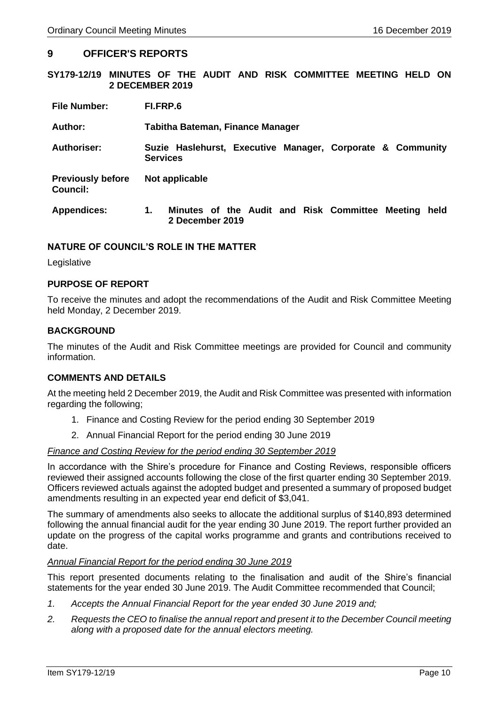#### <span id="page-9-0"></span>**9 OFFICER'S REPORTS**

<span id="page-9-1"></span>**SY179-12/19 MINUTES OF THE AUDIT AND RISK COMMITTEE MEETING HELD ON 2 DECEMBER 2019**

| <b>File Number:</b>                  | FI.FRP.6                                                                         |
|--------------------------------------|----------------------------------------------------------------------------------|
| Author:                              | Tabitha Bateman, Finance Manager                                                 |
| <b>Authoriser:</b>                   | Suzie Haslehurst, Executive Manager, Corporate & Community<br><b>Services</b>    |
| <b>Previously before</b><br>Council: | Not applicable                                                                   |
| <b>Appendices:</b>                   | Minutes of the Audit and Risk Committee<br>1.<br>Meeting held<br>2 December 2019 |

#### **NATURE OF COUNCIL'S ROLE IN THE MATTER**

**Legislative** 

#### **PURPOSE OF REPORT**

To receive the minutes and adopt the recommendations of the Audit and Risk Committee Meeting held Monday, 2 December 2019.

#### **BACKGROUND**

The minutes of the Audit and Risk Committee meetings are provided for Council and community information.

#### **COMMENTS AND DETAILS**

At the meeting held 2 December 2019, the Audit and Risk Committee was presented with information regarding the following;

- 1. Finance and Costing Review for the period ending 30 September 2019
- 2. Annual Financial Report for the period ending 30 June 2019

#### *Finance and Costing Review for the period ending 30 September 2019*

In accordance with the Shire's procedure for Finance and Costing Reviews, responsible officers reviewed their assigned accounts following the close of the first quarter ending 30 September 2019. Officers reviewed actuals against the adopted budget and presented a summary of proposed budget amendments resulting in an expected year end deficit of \$3,041.

The summary of amendments also seeks to allocate the additional surplus of \$140,893 determined following the annual financial audit for the year ending 30 June 2019. The report further provided an update on the progress of the capital works programme and grants and contributions received to date.

#### *Annual Financial Report for the period ending 30 June 2019*

This report presented documents relating to the finalisation and audit of the Shire's financial statements for the year ended 30 June 2019. The Audit Committee recommended that Council;

- *1. Accepts the Annual Financial Report for the year ended 30 June 2019 and;*
- *2. Requests the CEO to finalise the annual report and present it to the December Council meeting along with a proposed date for the annual electors meeting.*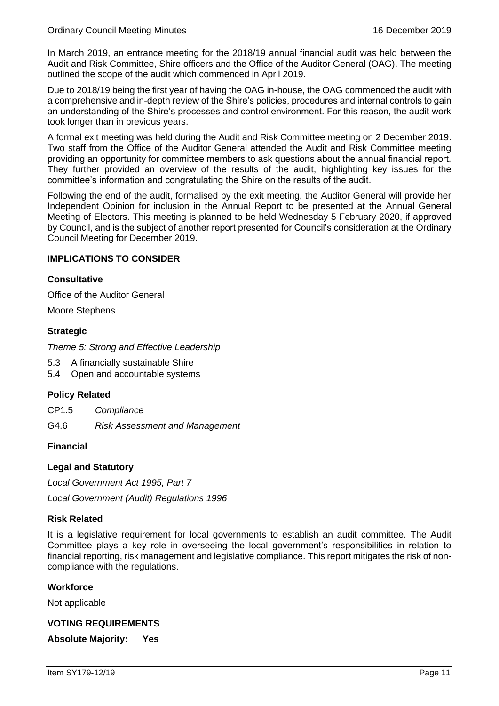In March 2019, an entrance meeting for the 2018/19 annual financial audit was held between the Audit and Risk Committee, Shire officers and the Office of the Auditor General (OAG). The meeting outlined the scope of the audit which commenced in April 2019.

Due to 2018/19 being the first year of having the OAG in-house, the OAG commenced the audit with a comprehensive and in-depth review of the Shire's policies, procedures and internal controls to gain an understanding of the Shire's processes and control environment. For this reason, the audit work took longer than in previous years.

A formal exit meeting was held during the Audit and Risk Committee meeting on 2 December 2019. Two staff from the Office of the Auditor General attended the Audit and Risk Committee meeting providing an opportunity for committee members to ask questions about the annual financial report. They further provided an overview of the results of the audit, highlighting key issues for the committee's information and congratulating the Shire on the results of the audit.

Following the end of the audit, formalised by the exit meeting, the Auditor General will provide her Independent Opinion for inclusion in the Annual Report to be presented at the Annual General Meeting of Electors. This meeting is planned to be held Wednesday 5 February 2020, if approved by Council, and is the subject of another report presented for Council's consideration at the Ordinary Council Meeting for December 2019.

#### **IMPLICATIONS TO CONSIDER**

#### **Consultative**

Office of the Auditor General

Moore Stephens

#### **Strategic**

*Theme 5: Strong and Effective Leadership* 

- 5.3 A financially sustainable Shire
- 5.4 Open and accountable systems

#### **Policy Related**

CP1.5 *Compliance*

G4.6 *Risk Assessment and Management*

#### **Financial**

#### **Legal and Statutory**

*Local Government Act 1995, Part 7*

*Local Government (Audit) Regulations 1996*

#### **Risk Related**

It is a legislative requirement for local governments to establish an audit committee. The Audit Committee plays a key role in overseeing the local government's responsibilities in relation to financial reporting, risk management and legislative compliance. This report mitigates the risk of noncompliance with the regulations.

#### **Workforce**

Not applicable

#### **VOTING REQUIREMENTS**

**Absolute Majority: Yes**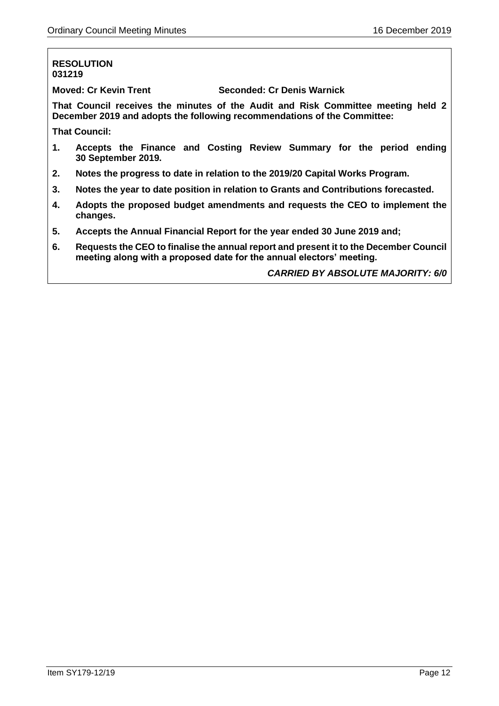#### **RESOLUTION 031219**

**Moved: Cr Kevin Trent Seconded: Cr Denis Warnick**

**That Council receives the minutes of the Audit and Risk Committee meeting held 2 December 2019 and adopts the following recommendations of the Committee:**

**That Council:**

- **1. Accepts the Finance and Costing Review Summary for the period ending 30 September 2019.**
- **2. Notes the progress to date in relation to the 2019/20 Capital Works Program.**
- **3. Notes the year to date position in relation to Grants and Contributions forecasted.**
- **4. Adopts the proposed budget amendments and requests the CEO to implement the changes.**
- **5. Accepts the Annual Financial Report for the year ended 30 June 2019 and;**
- **6. Requests the CEO to finalise the annual report and present it to the December Council meeting along with a proposed date for the annual electors' meeting.**

*CARRIED BY ABSOLUTE MAJORITY: 6/0*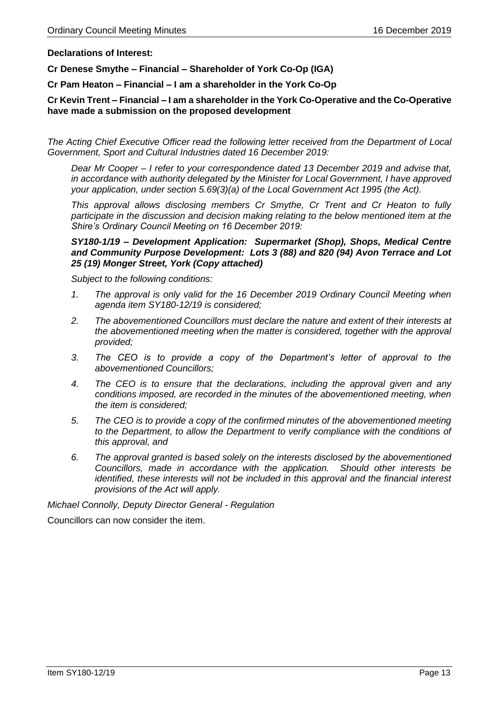**Declarations of Interest:**

**Cr Denese Smythe – Financial – Shareholder of York Co-Op (IGA)**

**Cr Pam Heaton – Financial – I am a shareholder in the York Co-Op**

#### **Cr Kevin Trent – Financial – I am a shareholder in the York Co-Operative and the Co-Operative have made a submission on the proposed development**

*The Acting Chief Executive Officer read the following letter received from the Department of Local Government, Sport and Cultural Industries dated 16 December 2019:*

*Dear Mr Cooper – I refer to your correspondence dated 13 December 2019 and advise that, in accordance with authority delegated by the Minister for Local Government, I have approved your application, under section 5.69(3)(a) of the Local Government Act 1995 (the Act).*

*This approval allows disclosing members Cr Smythe, Cr Trent and Cr Heaton to fully participate in the discussion and decision making relating to the below mentioned item at the Shire's Ordinary Council Meeting on 16 December 2019:*

#### *SY180-1/19 – Development Application: Supermarket (Shop), Shops, Medical Centre and Community Purpose Development: Lots 3 (88) and 820 (94) Avon Terrace and Lot 25 (19) Monger Street, York (Copy attached)*

*Subject to the following conditions:*

- *1. The approval is only valid for the 16 December 2019 Ordinary Council Meeting when agenda item SY180-12/19 is considered;*
- *2. The abovementioned Councillors must declare the nature and extent of their interests at the abovementioned meeting when the matter is considered, together with the approval provided;*
- *3. The CEO is to provide a copy of the Department's letter of approval to the abovementioned Councillors;*
- *4. The CEO is to ensure that the declarations, including the approval given and any conditions imposed, are recorded in the minutes of the abovementioned meeting, when the item is considered;*
- *5. The CEO is to provide a copy of the confirmed minutes of the abovementioned meeting to the Department, to allow the Department to verify compliance with the conditions of this approval, and*
- *6. The approval granted is based solely on the interests disclosed by the abovementioned Councillors, made in accordance with the application. Should other interests be identified, these interests will not be included in this approval and the financial interest provisions of the Act will apply.*

*Michael Connolly, Deputy Director General - Regulation*

Councillors can now consider the item.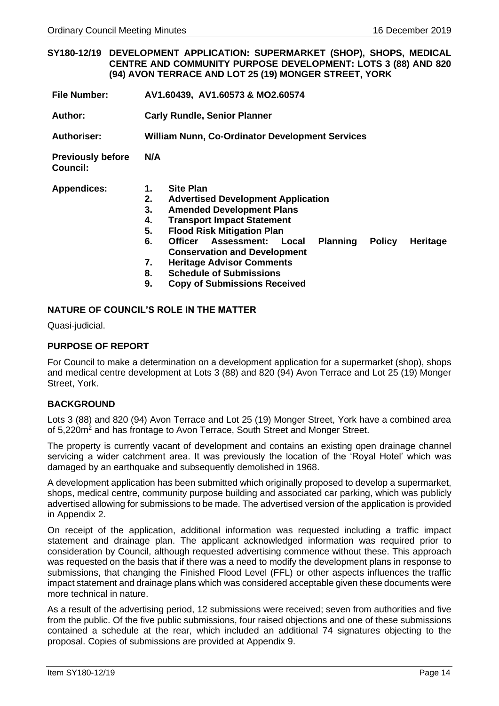<span id="page-13-0"></span>**SY180-12/19 DEVELOPMENT APPLICATION: SUPERMARKET (SHOP), SHOPS, MEDICAL CENTRE AND COMMUNITY PURPOSE DEVELOPMENT: LOTS 3 (88) AND 820 (94) AVON TERRACE AND LOT 25 (19) MONGER STREET, YORK**

| <b>File Number:</b> |  | AV1.60439, AV1.60573 & MO2.60574 |
|---------------------|--|----------------------------------|
|---------------------|--|----------------------------------|

**Author: Carly Rundle, Senior Planner**

**Authoriser: William Nunn, Co-Ordinator Development Services**

**Previously before Council: N/A** 

**Appendices: 1. Site Plan** 

- **2. Advertised Development Application**
- **3. Amended Development Plans**
- **4. Transport Impact Statement**
- **5. Flood Risk Mitigation Plan**
- **6. Officer Assessment: Local Planning Policy Heritage Conservation and Development**
- **7. Heritage Advisor Comments**
- **8. Schedule of Submissions**
- **9. Copy of Submissions Received**

#### **NATURE OF COUNCIL'S ROLE IN THE MATTER**

Quasi-judicial.

#### **PURPOSE OF REPORT**

For Council to make a determination on a development application for a supermarket (shop), shops and medical centre development at Lots 3 (88) and 820 (94) Avon Terrace and Lot 25 (19) Monger Street, York.

#### **BACKGROUND**

Lots 3 (88) and 820 (94) Avon Terrace and Lot 25 (19) Monger Street, York have a combined area of 5,220m<sup>2</sup> and has frontage to Avon Terrace, South Street and Monger Street.

The property is currently vacant of development and contains an existing open drainage channel servicing a wider catchment area. It was previously the location of the 'Royal Hotel' which was damaged by an earthquake and subsequently demolished in 1968.

A development application has been submitted which originally proposed to develop a supermarket, shops, medical centre, community purpose building and associated car parking, which was publicly advertised allowing for submissions to be made. The advertised version of the application is provided in Appendix 2.

On receipt of the application, additional information was requested including a traffic impact statement and drainage plan. The applicant acknowledged information was required prior to consideration by Council, although requested advertising commence without these. This approach was requested on the basis that if there was a need to modify the development plans in response to submissions, that changing the Finished Flood Level (FFL) or other aspects influences the traffic impact statement and drainage plans which was considered acceptable given these documents were more technical in nature.

As a result of the advertising period, 12 submissions were received; seven from authorities and five from the public. Of the five public submissions, four raised objections and one of these submissions contained a schedule at the rear, which included an additional 74 signatures objecting to the proposal. Copies of submissions are provided at Appendix 9.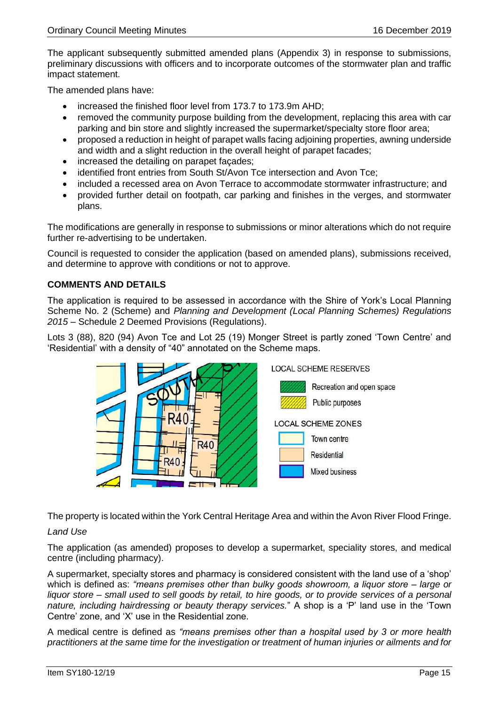The applicant subsequently submitted amended plans (Appendix 3) in response to submissions, preliminary discussions with officers and to incorporate outcomes of the stormwater plan and traffic impact statement.

The amended plans have:

- increased the finished floor level from 173.7 to 173.9m AHD;
- removed the community purpose building from the development, replacing this area with car parking and bin store and slightly increased the supermarket/specialty store floor area;
- proposed a reduction in height of parapet walls facing adjoining properties, awning underside and width and a slight reduction in the overall height of parapet facades;
- increased the detailing on parapet façades;
- identified front entries from South St/Avon Tce intersection and Avon Tce;
- included a recessed area on Avon Terrace to accommodate stormwater infrastructure; and
- provided further detail on footpath, car parking and finishes in the verges, and stormwater plans.

The modifications are generally in response to submissions or minor alterations which do not require further re-advertising to be undertaken.

Council is requested to consider the application (based on amended plans), submissions received, and determine to approve with conditions or not to approve.

# **COMMENTS AND DETAILS**

The application is required to be assessed in accordance with the Shire of York's Local Planning Scheme No. 2 (Scheme) and *Planning and Development (Local Planning Schemes) Regulations 2015* – Schedule 2 Deemed Provisions (Regulations).

Lots 3 (88), 820 (94) Avon Tce and Lot 25 (19) Monger Street is partly zoned 'Town Centre' and 'Residential' with a density of "40" annotated on the Scheme maps.



The property is located within the York Central Heritage Area and within the Avon River Flood Fringe.

#### *Land Use*

The application (as amended) proposes to develop a supermarket, speciality stores, and medical centre (including pharmacy).

A supermarket, specialty stores and pharmacy is considered consistent with the land use of a 'shop' which is defined as: *"means premises other than bulky goods showroom, a liquor store – large or liquor store – small used to sell goods by retail, to hire goods, or to provide services of a personal nature, including hairdressing or beauty therapy services.*" A shop is a 'P' land use in the 'Town Centre' zone, and 'X' use in the Residential zone.

A medical centre is defined as *"means premises other than a hospital used by 3 or more health practitioners at the same time for the investigation or treatment of human injuries or ailments and for*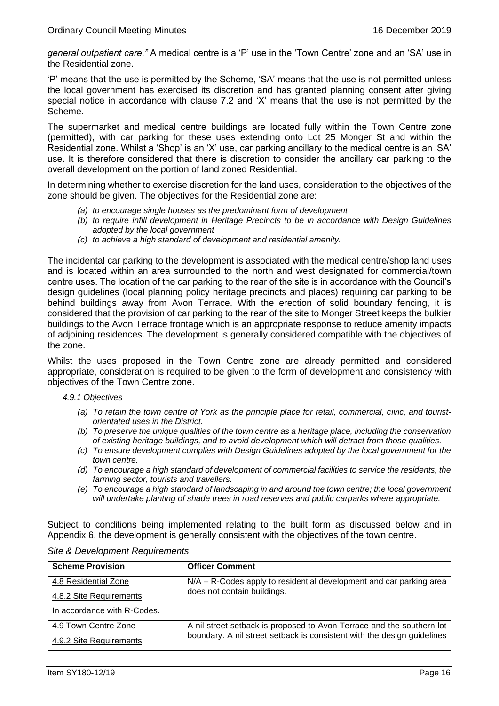*general outpatient care."* A medical centre is a 'P' use in the 'Town Centre' zone and an 'SA' use in the Residential zone.

'P' means that the use is permitted by the Scheme, 'SA' means that the use is not permitted unless the local government has exercised its discretion and has granted planning consent after giving special notice in accordance with clause 7.2 and 'X' means that the use is not permitted by the Scheme.

The supermarket and medical centre buildings are located fully within the Town Centre zone (permitted), with car parking for these uses extending onto Lot 25 Monger St and within the Residential zone. Whilst a 'Shop' is an 'X' use, car parking ancillary to the medical centre is an 'SA' use. It is therefore considered that there is discretion to consider the ancillary car parking to the overall development on the portion of land zoned Residential.

In determining whether to exercise discretion for the land uses, consideration to the objectives of the zone should be given. The objectives for the Residential zone are:

- *(a) to encourage single houses as the predominant form of development*
- *(b) to require infill development in Heritage Precincts to be in accordance with Design Guidelines adopted by the local government*
- *(c) to achieve a high standard of development and residential amenity.*

The incidental car parking to the development is associated with the medical centre/shop land uses and is located within an area surrounded to the north and west designated for commercial/town centre uses. The location of the car parking to the rear of the site is in accordance with the Council's design guidelines (local planning policy heritage precincts and places) requiring car parking to be behind buildings away from Avon Terrace. With the erection of solid boundary fencing, it is considered that the provision of car parking to the rear of the site to Monger Street keeps the bulkier buildings to the Avon Terrace frontage which is an appropriate response to reduce amenity impacts of adjoining residences. The development is generally considered compatible with the objectives of the zone.

Whilst the uses proposed in the Town Centre zone are already permitted and considered appropriate, consideration is required to be given to the form of development and consistency with objectives of the Town Centre zone.

#### *4.9.1 Objectives*

- *(a) To retain the town centre of York as the principle place for retail, commercial, civic, and touristorientated uses in the District.*
- *(b) To preserve the unique qualities of the town centre as a heritage place, including the conservation of existing heritage buildings, and to avoid development which will detract from those qualities.*
- *(c) To ensure development complies with Design Guidelines adopted by the local government for the town centre.*
- *(d) To encourage a high standard of development of commercial facilities to service the residents, the farming sector, tourists and travellers.*
- *(e) To encourage a high standard of landscaping in and around the town centre; the local government will undertake planting of shade trees in road reserves and public carparks where appropriate.*

Subject to conditions being implemented relating to the built form as discussed below and in Appendix 6, the development is generally consistent with the objectives of the town centre.

| <b>Scheme Provision</b>     | <b>Officer Comment</b>                                                                             |
|-----------------------------|----------------------------------------------------------------------------------------------------|
| 4.8 Residential Zone        | N/A – R-Codes apply to residential development and car parking area<br>does not contain buildings. |
| 4.8.2 Site Requirements     |                                                                                                    |
| In accordance with R-Codes. |                                                                                                    |
| 4.9 Town Centre Zone        | A nil street setback is proposed to Avon Terrace and the southern lot                              |
| 4.9.2 Site Requirements     | boundary. A nil street setback is consistent with the design guidelines                            |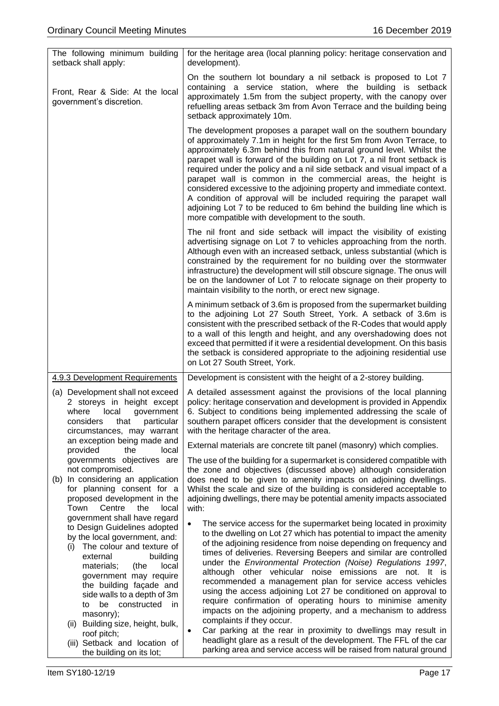| The following minimum building<br>setback shall apply:                                                                                                                                                                                                                                                                          | for the heritage area (local planning policy: heritage conservation and<br>development).                                                                                                                                                                                                                                                                                                                                                                                                                                                                                                                                                                                                                                                                                                               |
|---------------------------------------------------------------------------------------------------------------------------------------------------------------------------------------------------------------------------------------------------------------------------------------------------------------------------------|--------------------------------------------------------------------------------------------------------------------------------------------------------------------------------------------------------------------------------------------------------------------------------------------------------------------------------------------------------------------------------------------------------------------------------------------------------------------------------------------------------------------------------------------------------------------------------------------------------------------------------------------------------------------------------------------------------------------------------------------------------------------------------------------------------|
| Front, Rear & Side: At the local<br>government's discretion.                                                                                                                                                                                                                                                                    | On the southern lot boundary a nil setback is proposed to Lot 7<br>containing a service station, where the building is setback<br>approximately 1.5m from the subject property, with the canopy over<br>refuelling areas setback 3m from Avon Terrace and the building being<br>setback approximately 10m.                                                                                                                                                                                                                                                                                                                                                                                                                                                                                             |
|                                                                                                                                                                                                                                                                                                                                 | The development proposes a parapet wall on the southern boundary<br>of approximately 7.1m in height for the first 5m from Avon Terrace, to<br>approximately 6.3m behind this from natural ground level. Whilst the<br>parapet wall is forward of the building on Lot 7, a nil front setback is<br>required under the policy and a nil side setback and visual impact of a<br>parapet wall is common in the commercial areas, the height is<br>considered excessive to the adjoining property and immediate context.<br>A condition of approval will be included requiring the parapet wall<br>adjoining Lot 7 to be reduced to 6m behind the building line which is<br>more compatible with development to the south.                                                                                  |
|                                                                                                                                                                                                                                                                                                                                 | The nil front and side setback will impact the visibility of existing<br>advertising signage on Lot 7 to vehicles approaching from the north.<br>Although even with an increased setback, unless substantial (which is<br>constrained by the requirement for no building over the stormwater<br>infrastructure) the development will still obscure signage. The onus will<br>be on the landowner of Lot 7 to relocate signage on their property to<br>maintain visibility to the north, or erect new signage.                                                                                                                                                                                                                                                                                          |
|                                                                                                                                                                                                                                                                                                                                 | A minimum setback of 3.6m is proposed from the supermarket building<br>to the adjoining Lot 27 South Street, York. A setback of 3.6m is<br>consistent with the prescribed setback of the R-Codes that would apply<br>to a wall of this length and height, and any overshadowing does not<br>exceed that permitted if it were a residential development. On this basis<br>the setback is considered appropriate to the adjoining residential use<br>on Lot 27 South Street, York.                                                                                                                                                                                                                                                                                                                       |
| 4.9.3 Development Requirements                                                                                                                                                                                                                                                                                                  | Development is consistent with the height of a 2-storey building.                                                                                                                                                                                                                                                                                                                                                                                                                                                                                                                                                                                                                                                                                                                                      |
| (a) Development shall not exceed<br>2 storeys in height except<br>where<br>local<br>government<br>considers<br>particular<br>that<br>circumstances, may warrant                                                                                                                                                                 | A detailed assessment against the provisions of the local planning<br>policy: heritage conservation and development is provided in Appendix<br>6. Subject to conditions being implemented addressing the scale of<br>southern parapet officers consider that the development is consistent<br>with the heritage character of the area.                                                                                                                                                                                                                                                                                                                                                                                                                                                                 |
| an exception being made and<br>provided<br>the<br>local                                                                                                                                                                                                                                                                         | External materials are concrete tilt panel (masonry) which complies.                                                                                                                                                                                                                                                                                                                                                                                                                                                                                                                                                                                                                                                                                                                                   |
| governments objectives are<br>not compromised.<br>(b) In considering an application<br>for planning consent for a<br>proposed development in the<br>Town<br>Centre<br>the<br>local<br>government shall have regard                                                                                                              | The use of the building for a supermarket is considered compatible with<br>the zone and objectives (discussed above) although consideration<br>does need to be given to amenity impacts on adjoining dwellings.<br>Whilst the scale and size of the building is considered acceptable to<br>adjoining dwellings, there may be potential amenity impacts associated<br>with:                                                                                                                                                                                                                                                                                                                                                                                                                            |
| to Design Guidelines adopted<br>by the local government, and:<br>The colour and texture of<br>(i)<br>external<br>building<br>materials;<br>local<br>(the<br>government may require<br>the building façade and<br>side walls to a depth of 3m<br>be constructed<br>to<br>in<br>masonry);<br>Building size, height, bulk,<br>(ii) | The service access for the supermarket being located in proximity<br>$\bullet$<br>to the dwelling on Lot 27 which has potential to impact the amenity<br>of the adjoining residence from noise depending on frequency and<br>times of deliveries. Reversing Beepers and similar are controlled<br>under the Environmental Protection (Noise) Regulations 1997,<br>although other vehicular noise emissions are not. It is<br>recommended a management plan for service access vehicles<br>using the access adjoining Lot 27 be conditioned on approval to<br>require confirmation of operating hours to minimise amenity<br>impacts on the adjoining property, and a mechanism to address<br>complaints if they occur.<br>Car parking at the rear in proximity to dwellings may result in<br>$\bullet$ |
| roof pitch;<br>(iii) Setback and location of<br>the building on its lot;                                                                                                                                                                                                                                                        | headlight glare as a result of the development. The FFL of the car<br>parking area and service access will be raised from natural ground                                                                                                                                                                                                                                                                                                                                                                                                                                                                                                                                                                                                                                                               |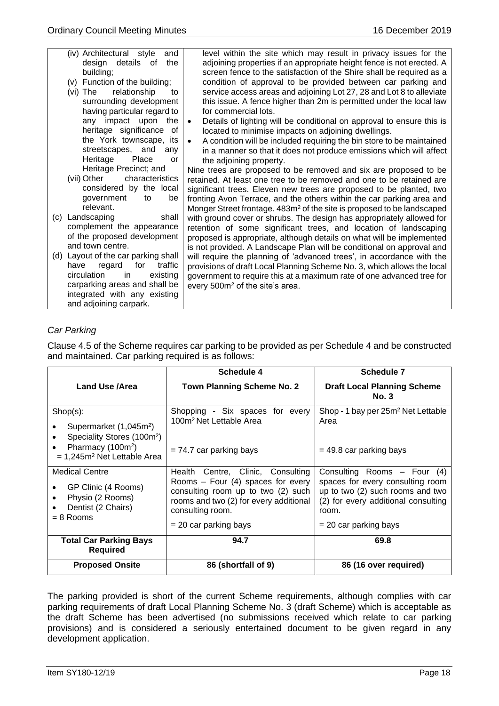|     | (iv) Architectural style<br>and<br>design details of<br>the<br>building;<br>(v) Function of the building;<br>relationship<br>(vi) The<br>to<br>surrounding development<br>having particular regard to | level within the site which may result in privacy issues for the<br>adjoining properties if an appropriate height fence is not erected. A<br>screen fence to the satisfaction of the Shire shall be required as a<br>condition of approval to be provided between car parking and<br>service access areas and adjoining Lot 27, 28 and Lot 8 to alleviate<br>this issue. A fence higher than 2m is permitted under the local law<br>for commercial lots. |
|-----|-------------------------------------------------------------------------------------------------------------------------------------------------------------------------------------------------------|----------------------------------------------------------------------------------------------------------------------------------------------------------------------------------------------------------------------------------------------------------------------------------------------------------------------------------------------------------------------------------------------------------------------------------------------------------|
|     | any impact upon<br>the<br>heritage significance of                                                                                                                                                    | Details of lighting will be conditional on approval to ensure this is<br>$\bullet$<br>located to minimise impacts on adjoining dwellings.                                                                                                                                                                                                                                                                                                                |
|     | the York townscape, its<br>streetscapes, and<br>any<br>Heritage<br>Place<br>or                                                                                                                        | A condition will be included requiring the bin store to be maintained<br>$\bullet$<br>in a manner so that it does not produce emissions which will affect<br>the adjoining property.                                                                                                                                                                                                                                                                     |
|     | Heritage Precinct; and<br>(vii) Other<br>characteristics                                                                                                                                              | Nine trees are proposed to be removed and six are proposed to be<br>retained. At least one tree to be removed and one to be retained are                                                                                                                                                                                                                                                                                                                 |
|     | considered by the local<br>government<br>be<br>to<br>relevant.                                                                                                                                        | significant trees. Eleven new trees are proposed to be planted, two<br>fronting Avon Terrace, and the others within the car parking area and<br>Monger Street frontage. 483m <sup>2</sup> of the site is proposed to be landscaped                                                                                                                                                                                                                       |
| (c) | Landscaping<br>shall                                                                                                                                                                                  | with ground cover or shrubs. The design has appropriately allowed for                                                                                                                                                                                                                                                                                                                                                                                    |
|     | complement the appearance<br>of the proposed development<br>and town centre.                                                                                                                          | retention of some significant trees, and location of landscaping<br>proposed is appropriate, although details on what will be implemented<br>is not provided. A Landscape Plan will be conditional on approval and                                                                                                                                                                                                                                       |
|     | (d) Layout of the car parking shall                                                                                                                                                                   | will require the planning of 'advanced trees', in accordance with the                                                                                                                                                                                                                                                                                                                                                                                    |
|     | traffic<br>for<br>have<br>regard<br>circulation<br>existing<br>in                                                                                                                                     | provisions of draft Local Planning Scheme No. 3, which allows the local<br>government to require this at a maximum rate of one advanced tree for                                                                                                                                                                                                                                                                                                         |
|     | carparking areas and shall be                                                                                                                                                                         | every 500m <sup>2</sup> of the site's area.                                                                                                                                                                                                                                                                                                                                                                                                              |
|     | integrated with any existing                                                                                                                                                                          |                                                                                                                                                                                                                                                                                                                                                                                                                                                          |
|     | and adjoining carpark.                                                                                                                                                                                |                                                                                                                                                                                                                                                                                                                                                                                                                                                          |

# *Car Parking*

Clause 4.5 of the Scheme requires car parking to be provided as per Schedule 4 and be constructed and maintained. Car parking required is as follows:

|                                                                                                                                                                                              | Schedule 4                                                                                                                                                                                              | Schedule 7                                                                                                                                                                       |
|----------------------------------------------------------------------------------------------------------------------------------------------------------------------------------------------|---------------------------------------------------------------------------------------------------------------------------------------------------------------------------------------------------------|----------------------------------------------------------------------------------------------------------------------------------------------------------------------------------|
| Land Use /Area                                                                                                                                                                               | <b>Town Planning Scheme No. 2</b>                                                                                                                                                                       | <b>Draft Local Planning Scheme</b><br><b>No. 3</b>                                                                                                                               |
| $Shop(s)$ :<br>Supermarket (1,045m <sup>2</sup> )<br>٠<br>Speciality Stores (100m <sup>2</sup> )<br>$\bullet$<br>Pharmacy (100m <sup>2</sup> )<br>$\bullet$<br>$= 1,245m2$ Net Lettable Area | Shopping - Six spaces for every<br>100m <sup>2</sup> Net Lettable Area<br>$= 74.7$ car parking bays                                                                                                     | Shop - 1 bay per 25m <sup>2</sup> Net Lettable<br>Area<br>$=$ 49.8 car parking bays                                                                                              |
| <b>Medical Centre</b><br>GP Clinic (4 Rooms)<br>$\bullet$<br>Physio (2 Rooms)<br>$\bullet$<br>Dentist (2 Chairs)<br>$= 8$ Rooms                                                              | Health Centre, Clinic, Consulting<br>Rooms $-$ Four (4) spaces for every<br>consulting room up to two (2) such<br>rooms and two (2) for every additional<br>consulting room.<br>$= 20$ car parking bays | Consulting Rooms $-$ Four (4)<br>spaces for every consulting room<br>up to two (2) such rooms and two<br>(2) for every additional consulting<br>room.<br>$= 20$ car parking bays |
| <b>Total Car Parking Bays</b><br><b>Required</b>                                                                                                                                             | 94.7                                                                                                                                                                                                    | 69.8                                                                                                                                                                             |
| <b>Proposed Onsite</b>                                                                                                                                                                       | 86 (shortfall of 9)                                                                                                                                                                                     | 86 (16 over required)                                                                                                                                                            |

The parking provided is short of the current Scheme requirements, although complies with car parking requirements of draft Local Planning Scheme No. 3 (draft Scheme) which is acceptable as the draft Scheme has been advertised (no submissions received which relate to car parking provisions) and is considered a seriously entertained document to be given regard in any development application.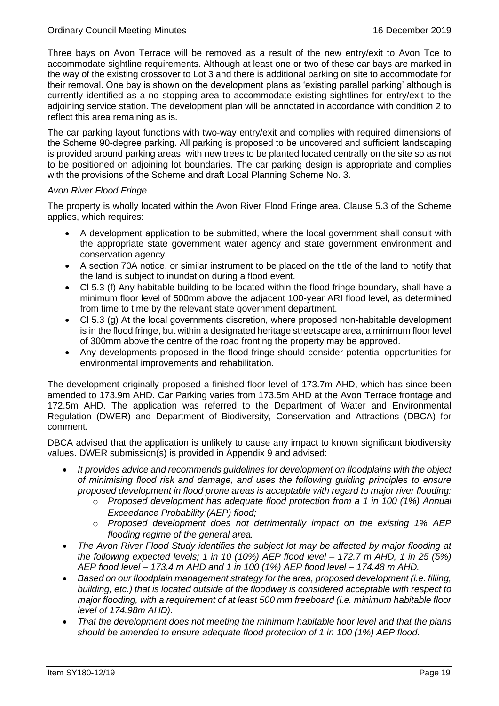Three bays on Avon Terrace will be removed as a result of the new entry/exit to Avon Tce to accommodate sightline requirements. Although at least one or two of these car bays are marked in the way of the existing crossover to Lot 3 and there is additional parking on site to accommodate for their removal. One bay is shown on the development plans as 'existing parallel parking' although is currently identified as a no stopping area to accommodate existing sightlines for entry/exit to the adjoining service station. The development plan will be annotated in accordance with condition 2 to reflect this area remaining as is.

The car parking layout functions with two-way entry/exit and complies with required dimensions of the Scheme 90-degree parking. All parking is proposed to be uncovered and sufficient landscaping is provided around parking areas, with new trees to be planted located centrally on the site so as not to be positioned on adjoining lot boundaries. The car parking design is appropriate and complies with the provisions of the Scheme and draft Local Planning Scheme No. 3.

#### *Avon River Flood Fringe*

The property is wholly located within the Avon River Flood Fringe area. Clause 5.3 of the Scheme applies, which requires:

- A development application to be submitted, where the local government shall consult with the appropriate state government water agency and state government environment and conservation agency.
- A section 70A notice, or similar instrument to be placed on the title of the land to notify that the land is subject to inundation during a flood event.
- Cl 5.3 (f) Any habitable building to be located within the flood fringe boundary, shall have a minimum floor level of 500mm above the adjacent 100-year ARI flood level, as determined from time to time by the relevant state government department.
- Cl 5.3 (g) At the local governments discretion, where proposed non-habitable development is in the flood fringe, but within a designated heritage streetscape area, a minimum floor level of 300mm above the centre of the road fronting the property may be approved.
- Any developments proposed in the flood fringe should consider potential opportunities for environmental improvements and rehabilitation.

The development originally proposed a finished floor level of 173.7m AHD, which has since been amended to 173.9m AHD. Car Parking varies from 173.5m AHD at the Avon Terrace frontage and 172.5m AHD. The application was referred to the Department of Water and Environmental Regulation (DWER) and Department of Biodiversity, Conservation and Attractions (DBCA) for comment.

DBCA advised that the application is unlikely to cause any impact to known significant biodiversity values. DWER submission(s) is provided in Appendix 9 and advised:

- *It provides advice and recommends guidelines for development on floodplains with the object of minimising flood risk and damage, and uses the following guiding principles to ensure proposed development in flood prone areas is acceptable with regard to major river flooding:*
	- o *Proposed development has adequate flood protection from a 1 in 100 (1%) Annual Exceedance Probability (AEP) flood;*
	- o *Proposed development does not detrimentally impact on the existing 1% AEP flooding regime of the general area.*
- *The Avon River Flood Study identifies the subject lot may be affected by major flooding at the following expected levels; 1 in 10 (10%) AEP flood level – 172.7 m AHD, 1 in 25 (5%) AEP flood level – 173.4 m AHD and 1 in 100 (1%) AEP flood level – 174.48 m AHD.*
- *Based on our floodplain management strategy for the area, proposed development (i.e. filling, building, etc.) that is located outside of the floodway is considered acceptable with respect to major flooding, with a requirement of at least 500 mm freeboard (i.e. minimum habitable floor level of 174.98m AHD).*
- *That the development does not meeting the minimum habitable floor level and that the plans should be amended to ensure adequate flood protection of 1 in 100 (1%) AEP flood.*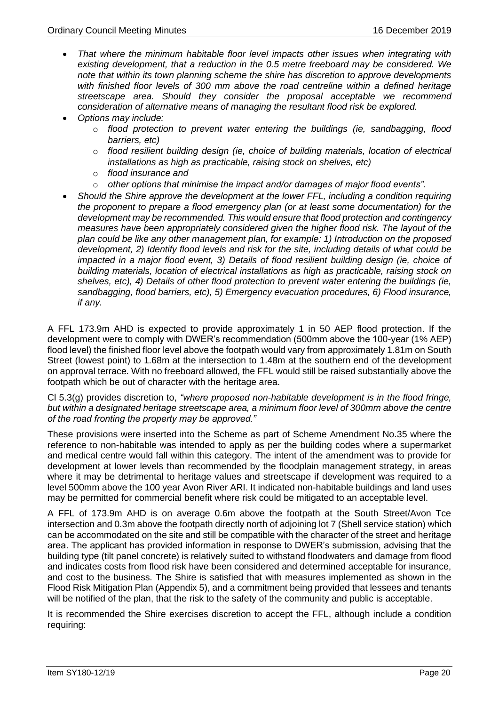- *That where the minimum habitable floor level impacts other issues when integrating with existing development, that a reduction in the 0.5 metre freeboard may be considered. We note that within its town planning scheme the shire has discretion to approve developments with finished floor levels of 300 mm above the road centreline within a defined heritage streetscape area. Should they consider the proposal acceptable we recommend consideration of alternative means of managing the resultant flood risk be explored.*
- *Options may include:*
	- o *flood protection to prevent water entering the buildings (ie, sandbagging, flood barriers, etc)*
	- o *flood resilient building design (ie, choice of building materials, location of electrical installations as high as practicable, raising stock on shelves, etc)*
	- o *flood insurance and*
	- o *other options that minimise the impact and/or damages of major flood events".*
- *Should the Shire approve the development at the lower FFL, including a condition requiring the proponent to prepare a flood emergency plan (or at least some documentation) for the development may be recommended. This would ensure that flood protection and contingency measures have been appropriately considered given the higher flood risk. The layout of the plan could be like any other management plan, for example: 1) Introduction on the proposed development, 2) Identify flood levels and risk for the site, including details of what could be impacted in a major flood event, 3) Details of flood resilient building design (ie, choice of building materials, location of electrical installations as high as practicable, raising stock on shelves, etc), 4) Details of other flood protection to prevent water entering the buildings (ie, sandbagging, flood barriers, etc), 5) Emergency evacuation procedures, 6) Flood insurance, if any.*

A FFL 173.9m AHD is expected to provide approximately 1 in 50 AEP flood protection. If the development were to comply with DWER's recommendation (500mm above the 100-year (1% AEP) flood level) the finished floor level above the footpath would vary from approximately 1.81m on South Street (lowest point) to 1.68m at the intersection to 1.48m at the southern end of the development on approval terrace. With no freeboard allowed, the FFL would still be raised substantially above the footpath which be out of character with the heritage area.

Cl 5.3(g) provides discretion to, *"where proposed non-habitable development is in the flood fringe, but within a designated heritage streetscape area, a minimum floor level of 300mm above the centre of the road fronting the property may be approved."*

These provisions were inserted into the Scheme as part of Scheme Amendment No.35 where the reference to non-habitable was intended to apply as per the building codes where a supermarket and medical centre would fall within this category. The intent of the amendment was to provide for development at lower levels than recommended by the floodplain management strategy, in areas where it may be detrimental to heritage values and streetscape if development was required to a level 500mm above the 100 year Avon River ARI. It indicated non-habitable buildings and land uses may be permitted for commercial benefit where risk could be mitigated to an acceptable level.

A FFL of 173.9m AHD is on average 0.6m above the footpath at the South Street/Avon Tce intersection and 0.3m above the footpath directly north of adjoining lot 7 (Shell service station) which can be accommodated on the site and still be compatible with the character of the street and heritage area. The applicant has provided information in response to DWER's submission, advising that the building type (tilt panel concrete) is relatively suited to withstand floodwaters and damage from flood and indicates costs from flood risk have been considered and determined acceptable for insurance, and cost to the business. The Shire is satisfied that with measures implemented as shown in the Flood Risk Mitigation Plan (Appendix 5), and a commitment being provided that lessees and tenants will be notified of the plan, that the risk to the safety of the community and public is acceptable.

It is recommended the Shire exercises discretion to accept the FFL, although include a condition requiring: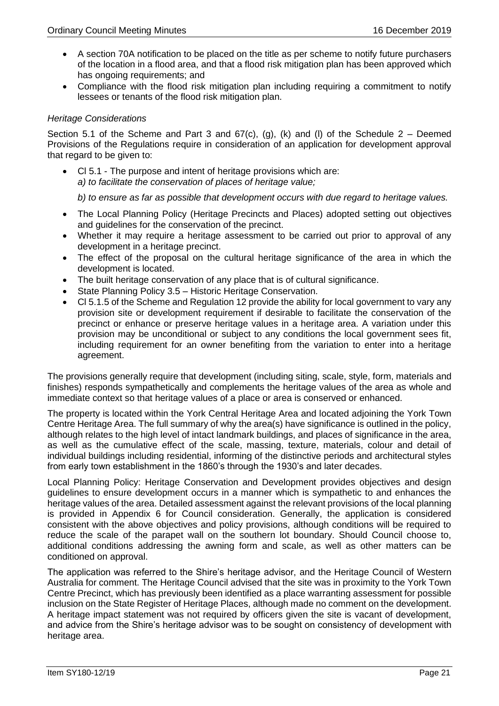- A section 70A notification to be placed on the title as per scheme to notify future purchasers of the location in a flood area, and that a flood risk mitigation plan has been approved which has ongoing requirements; and
- Compliance with the flood risk mitigation plan including requiring a commitment to notify lessees or tenants of the flood risk mitigation plan.

#### *Heritage Considerations*

Section 5.1 of the Scheme and Part 3 and  $67(c)$ , (g), (k) and (l) of the Schedule 2 – Deemed Provisions of the Regulations require in consideration of an application for development approval that regard to be given to:

• Cl 5.1 - The purpose and intent of heritage provisions which are: *a) to facilitate the conservation of places of heritage value;*

*b) to ensure as far as possible that development occurs with due regard to heritage values.* 

- The Local Planning Policy (Heritage Precincts and Places) adopted setting out objectives and guidelines for the conservation of the precinct.
- Whether it may require a heritage assessment to be carried out prior to approval of any development in a heritage precinct.
- The effect of the proposal on the cultural heritage significance of the area in which the development is located.
- The built heritage conservation of any place that is of cultural significance.
- State Planning Policy 3.5 Historic Heritage Conservation.
- Cl 5.1.5 of the Scheme and Regulation 12 provide the ability for local government to vary any provision site or development requirement if desirable to facilitate the conservation of the precinct or enhance or preserve heritage values in a heritage area. A variation under this provision may be unconditional or subject to any conditions the local government sees fit, including requirement for an owner benefiting from the variation to enter into a heritage agreement.

The provisions generally require that development (including siting, scale, style, form, materials and finishes) responds sympathetically and complements the heritage values of the area as whole and immediate context so that heritage values of a place or area is conserved or enhanced.

The property is located within the York Central Heritage Area and located adjoining the York Town Centre Heritage Area. The full summary of why the area(s) have significance is outlined in the policy, although relates to the high level of intact landmark buildings, and places of significance in the area, as well as the cumulative effect of the scale, massing, texture, materials, colour and detail of individual buildings including residential, informing of the distinctive periods and architectural styles from early town establishment in the 1860's through the 1930's and later decades.

Local Planning Policy: Heritage Conservation and Development provides objectives and design guidelines to ensure development occurs in a manner which is sympathetic to and enhances the heritage values of the area. Detailed assessment against the relevant provisions of the local planning is provided in Appendix 6 for Council consideration. Generally, the application is considered consistent with the above objectives and policy provisions, although conditions will be required to reduce the scale of the parapet wall on the southern lot boundary. Should Council choose to, additional conditions addressing the awning form and scale, as well as other matters can be conditioned on approval.

The application was referred to the Shire's heritage advisor, and the Heritage Council of Western Australia for comment. The Heritage Council advised that the site was in proximity to the York Town Centre Precinct, which has previously been identified as a place warranting assessment for possible inclusion on the State Register of Heritage Places, although made no comment on the development. A heritage impact statement was not required by officers given the site is vacant of development, and advice from the Shire's heritage advisor was to be sought on consistency of development with heritage area.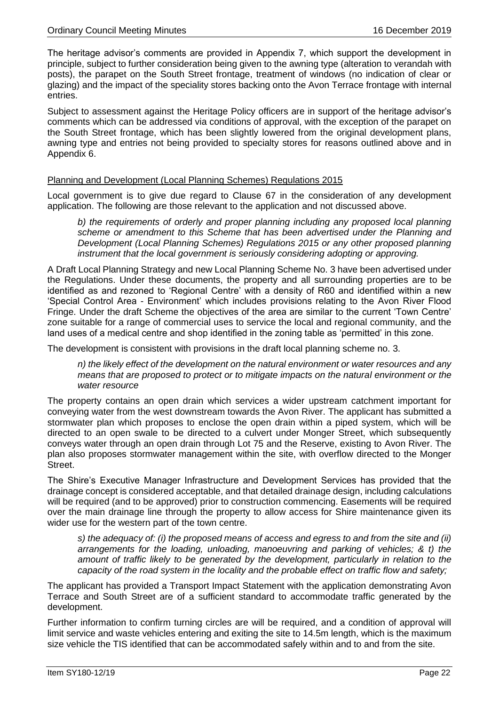The heritage advisor's comments are provided in Appendix 7, which support the development in principle, subject to further consideration being given to the awning type (alteration to verandah with posts), the parapet on the South Street frontage, treatment of windows (no indication of clear or glazing) and the impact of the speciality stores backing onto the Avon Terrace frontage with internal entries.

Subject to assessment against the Heritage Policy officers are in support of the heritage advisor's comments which can be addressed via conditions of approval, with the exception of the parapet on the South Street frontage, which has been slightly lowered from the original development plans, awning type and entries not being provided to specialty stores for reasons outlined above and in Appendix 6.

#### Planning and Development (Local Planning Schemes) Regulations 2015

Local government is to give due regard to Clause 67 in the consideration of any development application. The following are those relevant to the application and not discussed above.

*b) the requirements of orderly and proper planning including any proposed local planning scheme or amendment to this Scheme that has been advertised under the Planning and Development (Local Planning Schemes) Regulations 2015 or any other proposed planning instrument that the local government is seriously considering adopting or approving.* 

A Draft Local Planning Strategy and new Local Planning Scheme No. 3 have been advertised under the Regulations. Under these documents, the property and all surrounding properties are to be identified as and rezoned to 'Regional Centre' with a density of R60 and identified within a new 'Special Control Area - Environment' which includes provisions relating to the Avon River Flood Fringe. Under the draft Scheme the objectives of the area are similar to the current 'Town Centre' zone suitable for a range of commercial uses to service the local and regional community, and the land uses of a medical centre and shop identified in the zoning table as 'permitted' in this zone.

The development is consistent with provisions in the draft local planning scheme no. 3.

*n) the likely effect of the development on the natural environment or water resources and any means that are proposed to protect or to mitigate impacts on the natural environment or the water resource*

The property contains an open drain which services a wider upstream catchment important for conveying water from the west downstream towards the Avon River. The applicant has submitted a stormwater plan which proposes to enclose the open drain within a piped system, which will be directed to an open swale to be directed to a culvert under Monger Street, which subsequently conveys water through an open drain through Lot 75 and the Reserve, existing to Avon River. The plan also proposes stormwater management within the site, with overflow directed to the Monger Street.

The Shire's Executive Manager Infrastructure and Development Services has provided that the drainage concept is considered acceptable, and that detailed drainage design, including calculations will be required (and to be approved) prior to construction commencing. Easements will be required over the main drainage line through the property to allow access for Shire maintenance given its wider use for the western part of the town centre.

*s) the adequacy of: (i) the proposed means of access and egress to and from the site and (ii) arrangements for the loading, unloading, manoeuvring and parking of vehicles; & t) the amount of traffic likely to be generated by the development, particularly in relation to the capacity of the road system in the locality and the probable effect on traffic flow and safety;* 

The applicant has provided a Transport Impact Statement with the application demonstrating Avon Terrace and South Street are of a sufficient standard to accommodate traffic generated by the development.

Further information to confirm turning circles are will be required, and a condition of approval will limit service and waste vehicles entering and exiting the site to 14.5m length, which is the maximum size vehicle the TIS identified that can be accommodated safely within and to and from the site.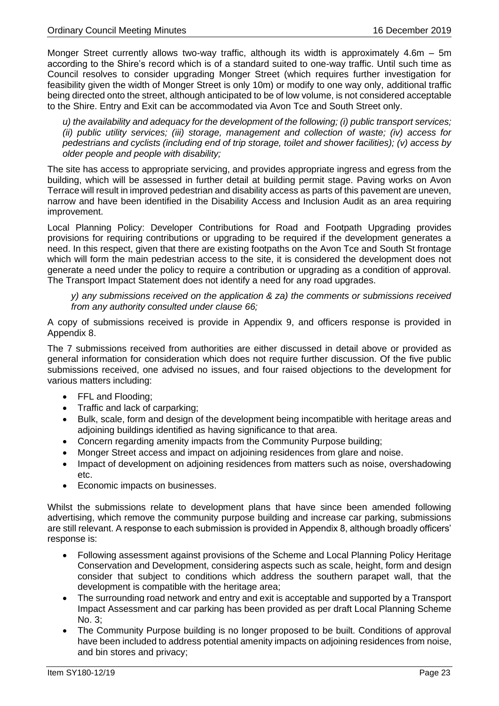Monger Street currently allows two-way traffic, although its width is approximately 4.6m – 5m according to the Shire's record which is of a standard suited to one-way traffic. Until such time as Council resolves to consider upgrading Monger Street (which requires further investigation for feasibility given the width of Monger Street is only 10m) or modify to one way only, additional traffic being directed onto the street, although anticipated to be of low volume, is not considered acceptable to the Shire. Entry and Exit can be accommodated via Avon Tce and South Street only.

*u) the availability and adequacy for the development of the following; (i) public transport services; (ii) public utility services; (iii) storage, management and collection of waste; (iv) access for pedestrians and cyclists (including end of trip storage, toilet and shower facilities); (v) access by older people and people with disability;*

The site has access to appropriate servicing, and provides appropriate ingress and egress from the building, which will be assessed in further detail at building permit stage. Paving works on Avon Terrace will result in improved pedestrian and disability access as parts of this pavement are uneven, narrow and have been identified in the Disability Access and Inclusion Audit as an area requiring improvement.

Local Planning Policy: Developer Contributions for Road and Footpath Upgrading provides provisions for requiring contributions or upgrading to be required if the development generates a need. In this respect, given that there are existing footpaths on the Avon Tce and South St frontage which will form the main pedestrian access to the site, it is considered the development does not generate a need under the policy to require a contribution or upgrading as a condition of approval. The Transport Impact Statement does not identify a need for any road upgrades.

*y) any submissions received on the application & za) the comments or submissions received from any authority consulted under clause 66;*

A copy of submissions received is provide in Appendix 9, and officers response is provided in Appendix 8.

The 7 submissions received from authorities are either discussed in detail above or provided as general information for consideration which does not require further discussion. Of the five public submissions received, one advised no issues, and four raised objections to the development for various matters including:

- FFL and Flooding:
- Traffic and lack of carparking;
- Bulk, scale, form and design of the development being incompatible with heritage areas and adjoining buildings identified as having significance to that area.
- Concern regarding amenity impacts from the Community Purpose building;
- Monger Street access and impact on adjoining residences from glare and noise.
- Impact of development on adjoining residences from matters such as noise, overshadowing etc.
- Economic impacts on businesses.

Whilst the submissions relate to development plans that have since been amended following advertising, which remove the community purpose building and increase car parking, submissions are still relevant. A response to each submission is provided in Appendix 8, although broadly officers' response is:

- Following assessment against provisions of the Scheme and Local Planning Policy Heritage Conservation and Development, considering aspects such as scale, height, form and design consider that subject to conditions which address the southern parapet wall, that the development is compatible with the heritage area;
- The surrounding road network and entry and exit is acceptable and supported by a Transport Impact Assessment and car parking has been provided as per draft Local Planning Scheme No. 3;
- The Community Purpose building is no longer proposed to be built. Conditions of approval have been included to address potential amenity impacts on adjoining residences from noise, and bin stores and privacy;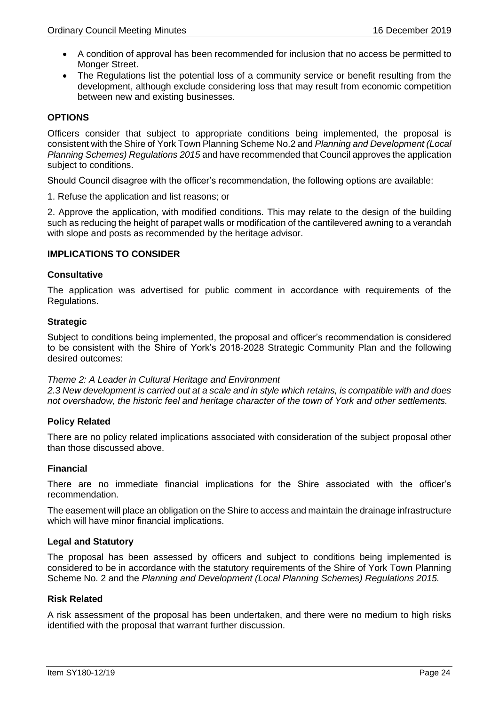- A condition of approval has been recommended for inclusion that no access be permitted to Monger Street.
- The Regulations list the potential loss of a community service or benefit resulting from the development, although exclude considering loss that may result from economic competition between new and existing businesses.

#### **OPTIONS**

Officers consider that subject to appropriate conditions being implemented, the proposal is consistent with the Shire of York Town Planning Scheme No.2 and *Planning and Development (Local Planning Schemes) Regulations 2015* and have recommended that Council approves the application subject to conditions.

Should Council disagree with the officer's recommendation, the following options are available:

1. Refuse the application and list reasons; or

2. Approve the application, with modified conditions. This may relate to the design of the building such as reducing the height of parapet walls or modification of the cantilevered awning to a verandah with slope and posts as recommended by the heritage advisor.

#### **IMPLICATIONS TO CONSIDER**

#### **Consultative**

The application was advertised for public comment in accordance with requirements of the Regulations.

#### **Strategic**

Subject to conditions being implemented, the proposal and officer's recommendation is considered to be consistent with the Shire of York's 2018-2028 Strategic Community Plan and the following desired outcomes:

#### *Theme 2: A Leader in Cultural Heritage and Environment*

*2.3 New development is carried out at a scale and in style which retains, is compatible with and does not overshadow, the historic feel and heritage character of the town of York and other settlements.*

#### **Policy Related**

There are no policy related implications associated with consideration of the subject proposal other than those discussed above.

#### **Financial**

There are no immediate financial implications for the Shire associated with the officer's recommendation.

The easement will place an obligation on the Shire to access and maintain the drainage infrastructure which will have minor financial implications.

#### **Legal and Statutory**

The proposal has been assessed by officers and subject to conditions being implemented is considered to be in accordance with the statutory requirements of the Shire of York Town Planning Scheme No. 2 and the *Planning and Development (Local Planning Schemes) Regulations 2015.*

#### **Risk Related**

A risk assessment of the proposal has been undertaken, and there were no medium to high risks identified with the proposal that warrant further discussion.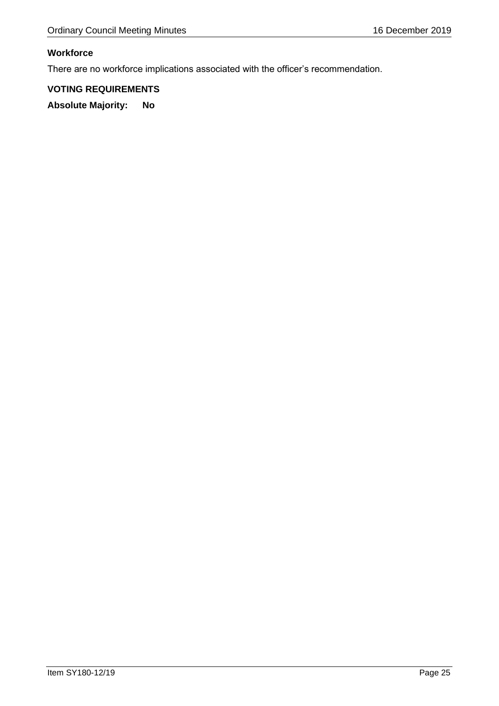# **Workforce**

There are no workforce implications associated with the officer's recommendation.

# **VOTING REQUIREMENTS**

**Absolute Majority: No**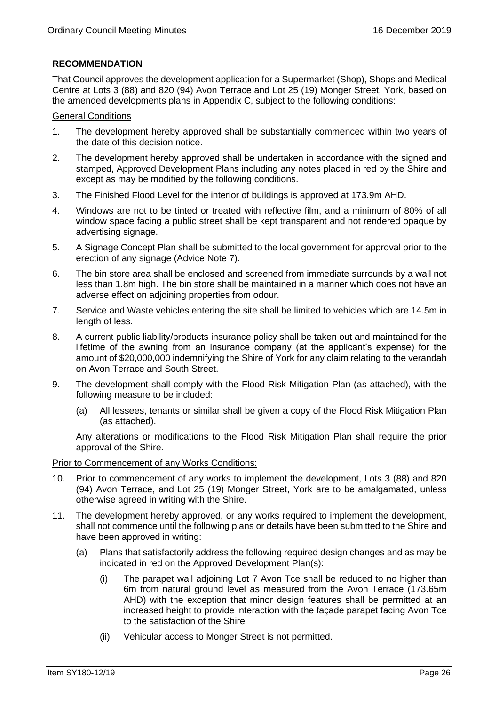# **RECOMMENDATION**

That Council approves the development application for a Supermarket (Shop), Shops and Medical Centre at Lots 3 (88) and 820 (94) Avon Terrace and Lot 25 (19) Monger Street, York, based on the amended developments plans in Appendix C, subject to the following conditions:

#### General Conditions

- 1. The development hereby approved shall be substantially commenced within two years of the date of this decision notice.
- 2. The development hereby approved shall be undertaken in accordance with the signed and stamped, Approved Development Plans including any notes placed in red by the Shire and except as may be modified by the following conditions.
- 3. The Finished Flood Level for the interior of buildings is approved at 173.9m AHD.
- 4. Windows are not to be tinted or treated with reflective film, and a minimum of 80% of all window space facing a public street shall be kept transparent and not rendered opaque by advertising signage.
- 5. A Signage Concept Plan shall be submitted to the local government for approval prior to the erection of any signage (Advice Note 7).
- 6. The bin store area shall be enclosed and screened from immediate surrounds by a wall not less than 1.8m high. The bin store shall be maintained in a manner which does not have an adverse effect on adjoining properties from odour.
- 7. Service and Waste vehicles entering the site shall be limited to vehicles which are 14.5m in length of less.
- 8. A current public liability/products insurance policy shall be taken out and maintained for the lifetime of the awning from an insurance company (at the applicant's expense) for the amount of \$20,000,000 indemnifying the Shire of York for any claim relating to the verandah on Avon Terrace and South Street.
- 9. The development shall comply with the Flood Risk Mitigation Plan (as attached), with the following measure to be included:
	- (a) All lessees, tenants or similar shall be given a copy of the Flood Risk Mitigation Plan (as attached).

Any alterations or modifications to the Flood Risk Mitigation Plan shall require the prior approval of the Shire.

#### Prior to Commencement of any Works Conditions:

- 10. Prior to commencement of any works to implement the development, Lots 3 (88) and 820 (94) Avon Terrace, and Lot 25 (19) Monger Street, York are to be amalgamated, unless otherwise agreed in writing with the Shire.
- 11. The development hereby approved, or any works required to implement the development, shall not commence until the following plans or details have been submitted to the Shire and have been approved in writing:
	- (a) Plans that satisfactorily address the following required design changes and as may be indicated in red on the Approved Development Plan(s):
		- (i) The parapet wall adjoining Lot 7 Avon Tce shall be reduced to no higher than 6m from natural ground level as measured from the Avon Terrace (173.65m AHD) with the exception that minor design features shall be permitted at an increased height to provide interaction with the façade parapet facing Avon Tce to the satisfaction of the Shire
		- (ii) Vehicular access to Monger Street is not permitted.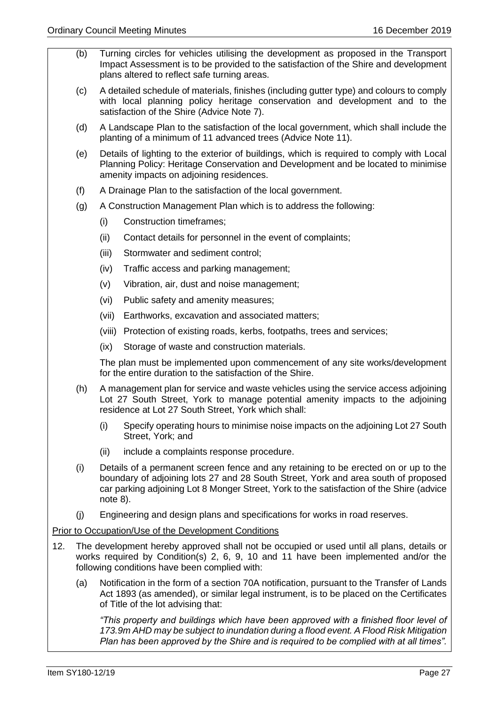- (b) Turning circles for vehicles utilising the development as proposed in the Transport Impact Assessment is to be provided to the satisfaction of the Shire and development plans altered to reflect safe turning areas.
- (c) A detailed schedule of materials, finishes (including gutter type) and colours to comply with local planning policy heritage conservation and development and to the satisfaction of the Shire (Advice Note 7).
- (d) A Landscape Plan to the satisfaction of the local government, which shall include the planting of a minimum of 11 advanced trees (Advice Note 11).
- (e) Details of lighting to the exterior of buildings, which is required to comply with Local Planning Policy: Heritage Conservation and Development and be located to minimise amenity impacts on adjoining residences.
- (f) A Drainage Plan to the satisfaction of the local government.
- (g) A Construction Management Plan which is to address the following:
	- (i) Construction timeframes;
	- (ii) Contact details for personnel in the event of complaints;
	- (iii) Stormwater and sediment control;
	- (iv) Traffic access and parking management;
	- (v) Vibration, air, dust and noise management;
	- (vi) Public safety and amenity measures;
	- (vii) Earthworks, excavation and associated matters;
	- (viii) Protection of existing roads, kerbs, footpaths, trees and services;
	- (ix) Storage of waste and construction materials.

The plan must be implemented upon commencement of any site works/development for the entire duration to the satisfaction of the Shire.

- (h) A management plan for service and waste vehicles using the service access adjoining Lot 27 South Street, York to manage potential amenity impacts to the adjoining residence at Lot 27 South Street, York which shall:
	- (i) Specify operating hours to minimise noise impacts on the adjoining Lot 27 South Street, York; and
	- (ii) include a complaints response procedure.
- (i) Details of a permanent screen fence and any retaining to be erected on or up to the boundary of adjoining lots 27 and 28 South Street, York and area south of proposed car parking adjoining Lot 8 Monger Street, York to the satisfaction of the Shire (advice note 8).
- (j) Engineering and design plans and specifications for works in road reserves.

#### Prior to Occupation/Use of the Development Conditions

- 12. The development hereby approved shall not be occupied or used until all plans, details or works required by Condition(s) 2, 6, 9, 10 and 11 have been implemented and/or the following conditions have been complied with:
	- (a) Notification in the form of a section 70A notification, pursuant to the Transfer of Lands Act 1893 (as amended), or similar legal instrument, is to be placed on the Certificates of Title of the lot advising that:

*"This property and buildings which have been approved with a finished floor level of 173.9m AHD may be subject to inundation during a flood event. A Flood Risk Mitigation Plan has been approved by the Shire and is required to be complied with at all times".*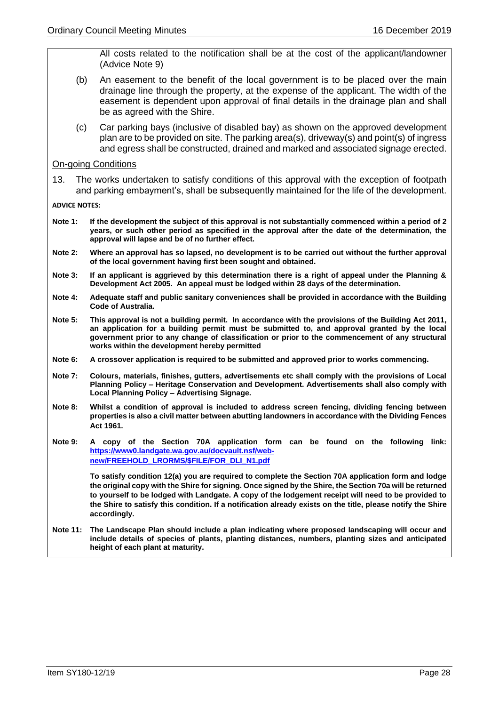All costs related to the notification shall be at the cost of the applicant/landowner (Advice Note 9)

- (b) An easement to the benefit of the local government is to be placed over the main drainage line through the property, at the expense of the applicant. The width of the easement is dependent upon approval of final details in the drainage plan and shall be as agreed with the Shire.
- (c) Car parking bays (inclusive of disabled bay) as shown on the approved development plan are to be provided on site. The parking area(s), driveway(s) and point(s) of ingress and egress shall be constructed, drained and marked and associated signage erected.

On-going Conditions

13. The works undertaken to satisfy conditions of this approval with the exception of footpath and parking embayment's, shall be subsequently maintained for the life of the development.

**ADVICE NOTES:**

- **Note 1: If the development the subject of this approval is not substantially commenced within a period of 2 years, or such other period as specified in the approval after the date of the determination, the approval will lapse and be of no further effect.**
- **Note 2: Where an approval has so lapsed, no development is to be carried out without the further approval of the local government having first been sought and obtained.**
- **Note 3: If an applicant is aggrieved by this determination there is a right of appeal under the Planning & Development Act 2005. An appeal must be lodged within 28 days of the determination.**
- **Note 4: Adequate staff and public sanitary conveniences shall be provided in accordance with the Building Code of Australia.**
- **Note 5: This approval is not a building permit. In accordance with the provisions of the Building Act 2011, an application for a building permit must be submitted to, and approval granted by the local government prior to any change of classification or prior to the commencement of any structural works within the development hereby permitted**
- **Note 6: A crossover application is required to be submitted and approved prior to works commencing.**
- **Note 7: Colours, materials, finishes, gutters, advertisements etc shall comply with the provisions of Local Planning Policy – Heritage Conservation and Development. Advertisements shall also comply with Local Planning Policy – Advertising Signage.**
- **Note 8: Whilst a condition of approval is included to address screen fencing, dividing fencing between properties is also a civil matter between abutting landowners in accordance with the Dividing Fences Act 1961.**
- **Note 9: A copy of the Section 70A application form can be found on the following link: [https://www0.landgate.wa.gov.au/docvault.nsf/web](https://www0.landgate.wa.gov.au/docvault.nsf/web-new/FREEHOLD_LRORMS/$FILE/FOR_DLI_N1.pdf)[new/FREEHOLD\\_LRORMS/\\$FILE/FOR\\_DLI\\_N1.pdf](https://www0.landgate.wa.gov.au/docvault.nsf/web-new/FREEHOLD_LRORMS/$FILE/FOR_DLI_N1.pdf)**

**To satisfy condition 12(a) you are required to complete the Section 70A application form and lodge the original copy with the Shire for signing. Once signed by the Shire, the Section 70a will be returned to yourself to be lodged with Landgate. A copy of the lodgement receipt will need to be provided to the Shire to satisfy this condition. If a notification already exists on the title, please notify the Shire accordingly.** 

**Note 11: The Landscape Plan should include a plan indicating where proposed landscaping will occur and include details of species of plants, planting distances, numbers, planting sizes and anticipated height of each plant at maturity.**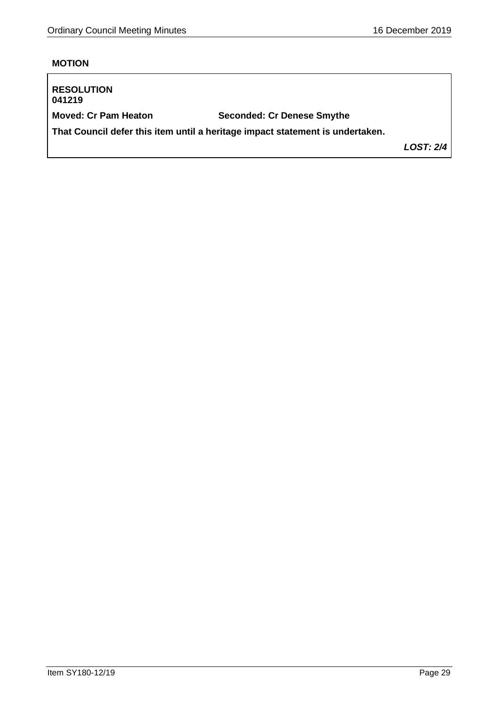# **MOTION**

| <b>RESOLUTION</b><br>041219 |                                                                               |                  |
|-----------------------------|-------------------------------------------------------------------------------|------------------|
| <b>Moved: Cr Pam Heaton</b> | <b>Seconded: Cr Denese Smythe</b>                                             |                  |
|                             | That Council defer this item until a heritage impact statement is undertaken. |                  |
|                             |                                                                               | <b>LOST: 2/4</b> |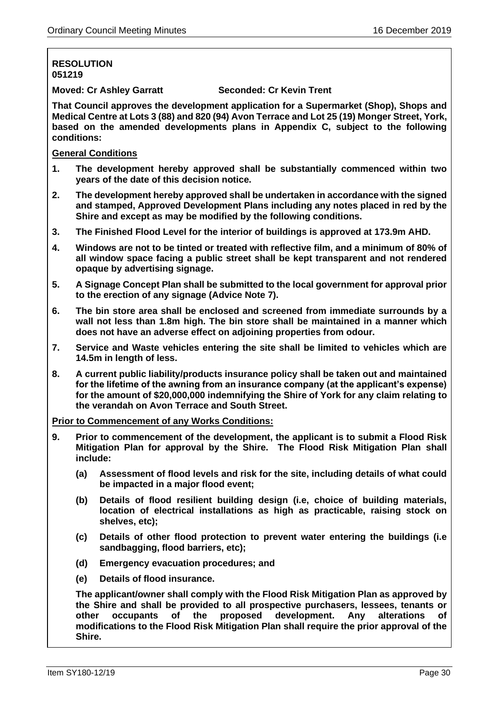# **RESOLUTION 051219**

**Moved: Cr Ashley Garratt Seconded: Cr Kevin Trent**

**That Council approves the development application for a Supermarket (Shop), Shops and Medical Centre at Lots 3 (88) and 820 (94) Avon Terrace and Lot 25 (19) Monger Street, York, based on the amended developments plans in Appendix C, subject to the following conditions:**

#### **General Conditions**

- **1. The development hereby approved shall be substantially commenced within two years of the date of this decision notice.**
- **2. The development hereby approved shall be undertaken in accordance with the signed and stamped, Approved Development Plans including any notes placed in red by the Shire and except as may be modified by the following conditions.**
- **3. The Finished Flood Level for the interior of buildings is approved at 173.9m AHD.**
- **4. Windows are not to be tinted or treated with reflective film, and a minimum of 80% of all window space facing a public street shall be kept transparent and not rendered opaque by advertising signage.**
- **5. A Signage Concept Plan shall be submitted to the local government for approval prior to the erection of any signage (Advice Note 7).**
- **6. The bin store area shall be enclosed and screened from immediate surrounds by a wall not less than 1.8m high. The bin store shall be maintained in a manner which does not have an adverse effect on adjoining properties from odour.**
- **7. Service and Waste vehicles entering the site shall be limited to vehicles which are 14.5m in length of less.**
- **8. A current public liability/products insurance policy shall be taken out and maintained for the lifetime of the awning from an insurance company (at the applicant's expense) for the amount of \$20,000,000 indemnifying the Shire of York for any claim relating to the verandah on Avon Terrace and South Street.**

**Prior to Commencement of any Works Conditions:**

- **9. Prior to commencement of the development, the applicant is to submit a Flood Risk Mitigation Plan for approval by the Shire. The Flood Risk Mitigation Plan shall include:**
	- **(a) Assessment of flood levels and risk for the site, including details of what could be impacted in a major flood event;**
	- **(b) Details of flood resilient building design (i.e, choice of building materials, location of electrical installations as high as practicable, raising stock on shelves, etc);**
	- **(c) Details of other flood protection to prevent water entering the buildings (i.e sandbagging, flood barriers, etc);**
	- **(d) Emergency evacuation procedures; and**
	- **(e) Details of flood insurance.**

**The applicant/owner shall comply with the Flood Risk Mitigation Plan as approved by the Shire and shall be provided to all prospective purchasers, lessees, tenants or other occupants of the proposed development. Any alterations of modifications to the Flood Risk Mitigation Plan shall require the prior approval of the Shire.**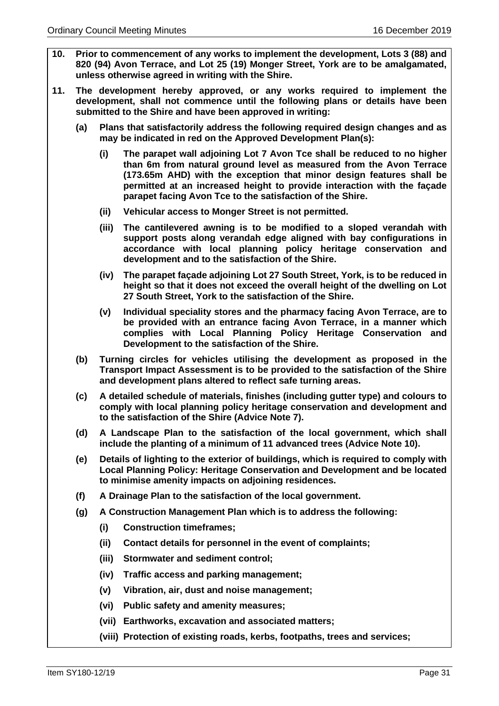- **10. Prior to commencement of any works to implement the development, Lots 3 (88) and 820 (94) Avon Terrace, and Lot 25 (19) Monger Street, York are to be amalgamated, unless otherwise agreed in writing with the Shire.**
- **11. The development hereby approved, or any works required to implement the development, shall not commence until the following plans or details have been submitted to the Shire and have been approved in writing:**
	- **(a) Plans that satisfactorily address the following required design changes and as may be indicated in red on the Approved Development Plan(s):**
		- **(i) The parapet wall adjoining Lot 7 Avon Tce shall be reduced to no higher than 6m from natural ground level as measured from the Avon Terrace (173.65m AHD) with the exception that minor design features shall be permitted at an increased height to provide interaction with the façade parapet facing Avon Tce to the satisfaction of the Shire.**
		- **(ii) Vehicular access to Monger Street is not permitted.**
		- **(iii) The cantilevered awning is to be modified to a sloped verandah with support posts along verandah edge aligned with bay configurations in accordance with local planning policy heritage conservation and development and to the satisfaction of the Shire.**
		- **(iv) The parapet façade adjoining Lot 27 South Street, York, is to be reduced in height so that it does not exceed the overall height of the dwelling on Lot 27 South Street, York to the satisfaction of the Shire.**
		- **(v) Individual speciality stores and the pharmacy facing Avon Terrace, are to be provided with an entrance facing Avon Terrace, in a manner which complies with Local Planning Policy Heritage Conservation and Development to the satisfaction of the Shire.**
	- **(b) Turning circles for vehicles utilising the development as proposed in the Transport Impact Assessment is to be provided to the satisfaction of the Shire and development plans altered to reflect safe turning areas.**
	- **(c) A detailed schedule of materials, finishes (including gutter type) and colours to comply with local planning policy heritage conservation and development and to the satisfaction of the Shire (Advice Note 7).**
	- **(d) A Landscape Plan to the satisfaction of the local government, which shall include the planting of a minimum of 11 advanced trees (Advice Note 10).**
	- **(e) Details of lighting to the exterior of buildings, which is required to comply with Local Planning Policy: Heritage Conservation and Development and be located to minimise amenity impacts on adjoining residences.**
	- **(f) A Drainage Plan to the satisfaction of the local government.**
	- **(g) A Construction Management Plan which is to address the following:**
		- **(i) Construction timeframes;**
		- **(ii) Contact details for personnel in the event of complaints;**
		- **(iii) Stormwater and sediment control;**
		- **(iv) Traffic access and parking management;**
		- **(v) Vibration, air, dust and noise management;**
		- **(vi) Public safety and amenity measures;**
		- **(vii) Earthworks, excavation and associated matters;**
		- **(viii) Protection of existing roads, kerbs, footpaths, trees and services;**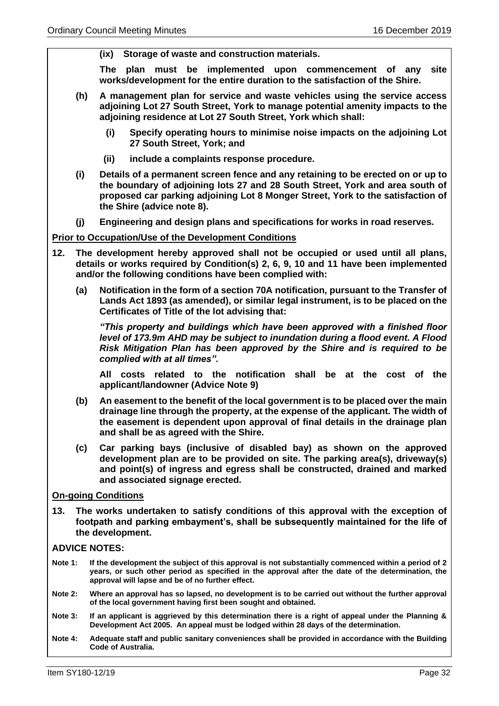**(ix) Storage of waste and construction materials.** 

**The plan must be implemented upon commencement of any site works/development for the entire duration to the satisfaction of the Shire.** 

- **(h) A management plan for service and waste vehicles using the service access adjoining Lot 27 South Street, York to manage potential amenity impacts to the adjoining residence at Lot 27 South Street, York which shall:**
	- **(i) Specify operating hours to minimise noise impacts on the adjoining Lot 27 South Street, York; and**
	- **(ii) include a complaints response procedure.**
- **(i) Details of a permanent screen fence and any retaining to be erected on or up to the boundary of adjoining lots 27 and 28 South Street, York and area south of proposed car parking adjoining Lot 8 Monger Street, York to the satisfaction of the Shire (advice note 8).**
- **(j) Engineering and design plans and specifications for works in road reserves.**

#### **Prior to Occupation/Use of the Development Conditions**

- **12. The development hereby approved shall not be occupied or used until all plans, details or works required by Condition(s) 2, 6, 9, 10 and 11 have been implemented and/or the following conditions have been complied with:**
	- **(a) Notification in the form of a section 70A notification, pursuant to the Transfer of Lands Act 1893 (as amended), or similar legal instrument, is to be placed on the Certificates of Title of the lot advising that:**

*"This property and buildings which have been approved with a finished floor level of 173.9m AHD may be subject to inundation during a flood event. A Flood Risk Mitigation Plan has been approved by the Shire and is required to be complied with at all times".* 

**All costs related to the notification shall be at the cost of the applicant/landowner (Advice Note 9)**

- **(b) An easement to the benefit of the local government is to be placed over the main drainage line through the property, at the expense of the applicant. The width of the easement is dependent upon approval of final details in the drainage plan and shall be as agreed with the Shire.**
- **(c) Car parking bays (inclusive of disabled bay) as shown on the approved development plan are to be provided on site. The parking area(s), driveway(s) and point(s) of ingress and egress shall be constructed, drained and marked and associated signage erected.**

#### **On-going Conditions**

**13. The works undertaken to satisfy conditions of this approval with the exception of footpath and parking embayment's, shall be subsequently maintained for the life of the development.**

#### **ADVICE NOTES:**

- **Note 1: If the development the subject of this approval is not substantially commenced within a period of 2 years, or such other period as specified in the approval after the date of the determination, the approval will lapse and be of no further effect.**
- **Note 2: Where an approval has so lapsed, no development is to be carried out without the further approval of the local government having first been sought and obtained.**
- **Note 3: If an applicant is aggrieved by this determination there is a right of appeal under the Planning & Development Act 2005. An appeal must be lodged within 28 days of the determination.**
- **Note 4: Adequate staff and public sanitary conveniences shall be provided in accordance with the Building Code of Australia.**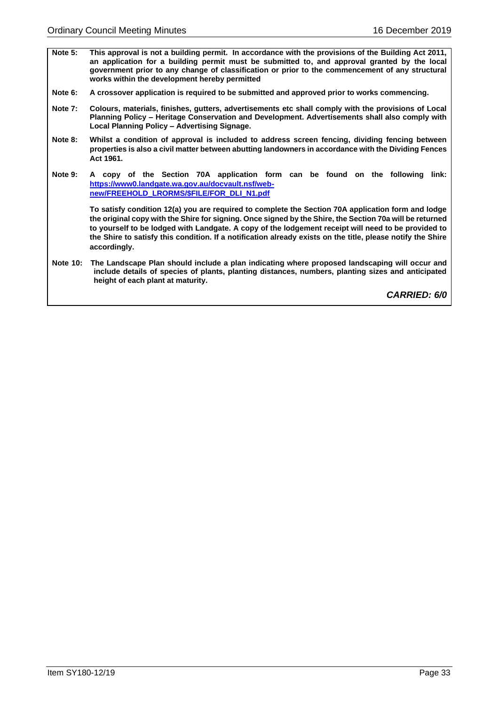- **Note 5: This approval is not a building permit. In accordance with the provisions of the Building Act 2011, an application for a building permit must be submitted to, and approval granted by the local government prior to any change of classification or prior to the commencement of any structural works within the development hereby permitted**
- **Note 6: A crossover application is required to be submitted and approved prior to works commencing.**
- **Note 7: Colours, materials, finishes, gutters, advertisements etc shall comply with the provisions of Local Planning Policy – Heritage Conservation and Development. Advertisements shall also comply with Local Planning Policy – Advertising Signage.**
- **Note 8: Whilst a condition of approval is included to address screen fencing, dividing fencing between properties is also a civil matter between abutting landowners in accordance with the Dividing Fences Act 1961.**
- **Note 9: A copy of the Section 70A application form can be found on the following link: [https://www0.landgate.wa.gov.au/docvault.nsf/web](https://www0.landgate.wa.gov.au/docvault.nsf/web-new/FREEHOLD_LRORMS/$FILE/FOR_DLI_N1.pdf)[new/FREEHOLD\\_LRORMS/\\$FILE/FOR\\_DLI\\_N1.pdf](https://www0.landgate.wa.gov.au/docvault.nsf/web-new/FREEHOLD_LRORMS/$FILE/FOR_DLI_N1.pdf)**

**To satisfy condition 12(a) you are required to complete the Section 70A application form and lodge the original copy with the Shire for signing. Once signed by the Shire, the Section 70a will be returned to yourself to be lodged with Landgate. A copy of the lodgement receipt will need to be provided to the Shire to satisfy this condition. If a notification already exists on the title, please notify the Shire accordingly.** 

**Note 10: The Landscape Plan should include a plan indicating where proposed landscaping will occur and include details of species of plants, planting distances, numbers, planting sizes and anticipated height of each plant at maturity.**

*CARRIED: 6/0*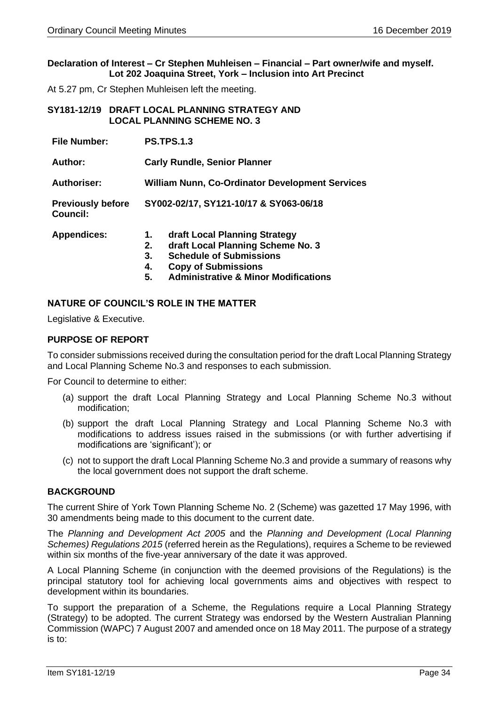#### **Declaration of Interest – Cr Stephen Muhleisen – Financial – Part owner/wife and myself. Lot 202 Joaquina Street, York – Inclusion into Art Precinct**

At 5.27 pm, Cr Stephen Muhleisen left the meeting.

<span id="page-33-0"></span>

| SY181-12/19   DRAFT LOCAL PLANNING STRATEGY AND |
|-------------------------------------------------|
| <b>LOCAL PLANNING SCHEME NO. 3</b>              |

| <b>File Number:</b>                         | <b>PS.TPS.1.3</b>                                                                                                                                                                                                   |  |
|---------------------------------------------|---------------------------------------------------------------------------------------------------------------------------------------------------------------------------------------------------------------------|--|
| Author:                                     | <b>Carly Rundle, Senior Planner</b>                                                                                                                                                                                 |  |
| <b>Authoriser:</b>                          | <b>William Nunn, Co-Ordinator Development Services</b>                                                                                                                                                              |  |
| <b>Previously before</b><br><b>Council:</b> | SY002-02/17, SY121-10/17 & SY063-06/18                                                                                                                                                                              |  |
| <b>Appendices:</b>                          | draft Local Planning Strategy<br>1.<br>draft Local Planning Scheme No. 3<br>2.<br><b>Schedule of Submissions</b><br>3.<br><b>Copy of Submissions</b><br>4.<br><b>Administrative &amp; Minor Modifications</b><br>5. |  |

#### **NATURE OF COUNCIL'S ROLE IN THE MATTER**

Legislative & Executive.

#### **PURPOSE OF REPORT**

To consider submissions received during the consultation period for the draft Local Planning Strategy and Local Planning Scheme No.3 and responses to each submission.

For Council to determine to either:

- (a) support the draft Local Planning Strategy and Local Planning Scheme No.3 without modification;
- (b) support the draft Local Planning Strategy and Local Planning Scheme No.3 with modifications to address issues raised in the submissions (or with further advertising if modifications are 'significant'); or
- (c) not to support the draft Local Planning Scheme No.3 and provide a summary of reasons why the local government does not support the draft scheme.

#### **BACKGROUND**

The current Shire of York Town Planning Scheme No. 2 (Scheme) was gazetted 17 May 1996, with 30 amendments being made to this document to the current date.

The *Planning and Development Act 2005* and the *Planning and Development (Local Planning Schemes) Regulations 2015* (referred herein as the Regulations), requires a Scheme to be reviewed within six months of the five-year anniversary of the date it was approved.

A Local Planning Scheme (in conjunction with the deemed provisions of the Regulations) is the principal statutory tool for achieving local governments aims and objectives with respect to development within its boundaries.

To support the preparation of a Scheme, the Regulations require a Local Planning Strategy (Strategy) to be adopted. The current Strategy was endorsed by the Western Australian Planning Commission (WAPC) 7 August 2007 and amended once on 18 May 2011. The purpose of a strategy is to: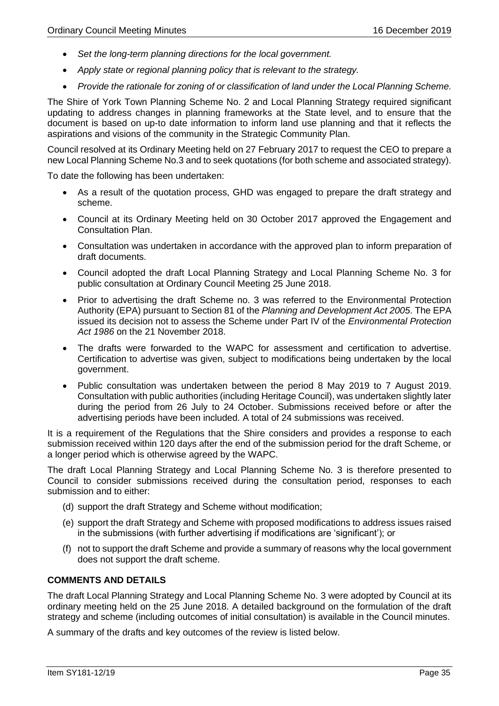- *Set the long-term planning directions for the local government.*
- *Apply state or regional planning policy that is relevant to the strategy.*
- *Provide the rationale for zoning of or classification of land under the Local Planning Scheme.*

The Shire of York Town Planning Scheme No. 2 and Local Planning Strategy required significant updating to address changes in planning frameworks at the State level, and to ensure that the document is based on up-to date information to inform land use planning and that it reflects the aspirations and visions of the community in the Strategic Community Plan.

Council resolved at its Ordinary Meeting held on 27 February 2017 to request the CEO to prepare a new Local Planning Scheme No.3 and to seek quotations (for both scheme and associated strategy).

To date the following has been undertaken:

- As a result of the quotation process, GHD was engaged to prepare the draft strategy and scheme.
- Council at its Ordinary Meeting held on 30 October 2017 approved the Engagement and Consultation Plan.
- Consultation was undertaken in accordance with the approved plan to inform preparation of draft documents.
- Council adopted the draft Local Planning Strategy and Local Planning Scheme No. 3 for public consultation at Ordinary Council Meeting 25 June 2018.
- Prior to advertising the draft Scheme no. 3 was referred to the Environmental Protection Authority (EPA) pursuant to Section 81 of the *Planning and Development Act 2005*. The EPA issued its decision not to assess the Scheme under Part IV of the *Environmental Protection Act 1986* on the 21 November 2018.
- The drafts were forwarded to the WAPC for assessment and certification to advertise. Certification to advertise was given, subject to modifications being undertaken by the local government.
- Public consultation was undertaken between the period 8 May 2019 to 7 August 2019. Consultation with public authorities (including Heritage Council), was undertaken slightly later during the period from 26 July to 24 October. Submissions received before or after the advertising periods have been included. A total of 24 submissions was received.

It is a requirement of the Regulations that the Shire considers and provides a response to each submission received within 120 days after the end of the submission period for the draft Scheme, or a longer period which is otherwise agreed by the WAPC.

The draft Local Planning Strategy and Local Planning Scheme No. 3 is therefore presented to Council to consider submissions received during the consultation period, responses to each submission and to either:

- (d) support the draft Strategy and Scheme without modification;
- (e) support the draft Strategy and Scheme with proposed modifications to address issues raised in the submissions (with further advertising if modifications are 'significant'); or
- (f) not to support the draft Scheme and provide a summary of reasons why the local government does not support the draft scheme.

#### **COMMENTS AND DETAILS**

The draft Local Planning Strategy and Local Planning Scheme No. 3 were adopted by Council at its ordinary meeting held on the 25 June 2018. A detailed background on the formulation of the draft strategy and scheme (including outcomes of initial consultation) is available in the Council minutes.

A summary of the drafts and key outcomes of the review is listed below.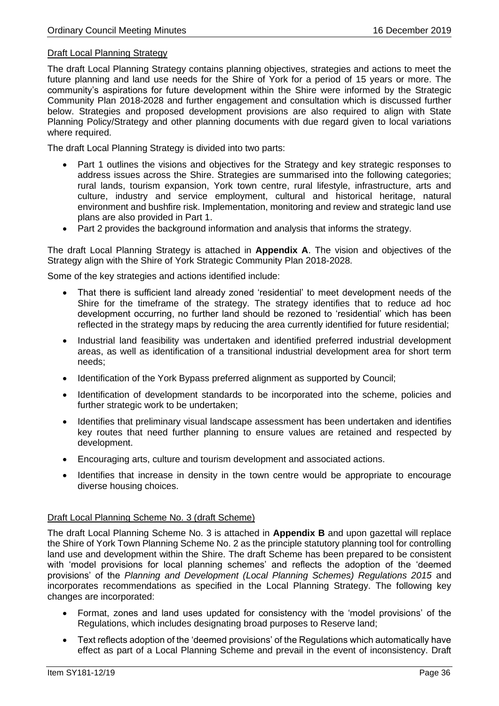# Draft Local Planning Strategy

The draft Local Planning Strategy contains planning objectives, strategies and actions to meet the future planning and land use needs for the Shire of York for a period of 15 years or more. The community's aspirations for future development within the Shire were informed by the Strategic Community Plan 2018-2028 and further engagement and consultation which is discussed further below. Strategies and proposed development provisions are also required to align with State Planning Policy/Strategy and other planning documents with due regard given to local variations where required.

The draft Local Planning Strategy is divided into two parts:

- Part 1 outlines the visions and objectives for the Strategy and key strategic responses to address issues across the Shire. Strategies are summarised into the following categories; rural lands, tourism expansion, York town centre, rural lifestyle, infrastructure, arts and culture, industry and service employment, cultural and historical heritage, natural environment and bushfire risk. Implementation, monitoring and review and strategic land use plans are also provided in Part 1.
- Part 2 provides the background information and analysis that informs the strategy.

The draft Local Planning Strategy is attached in **Appendix A**. The vision and objectives of the Strategy align with the Shire of York Strategic Community Plan 2018-2028.

Some of the key strategies and actions identified include:

- That there is sufficient land already zoned 'residential' to meet development needs of the Shire for the timeframe of the strategy. The strategy identifies that to reduce ad hoc development occurring, no further land should be rezoned to 'residential' which has been reflected in the strategy maps by reducing the area currently identified for future residential;
- Industrial land feasibility was undertaken and identified preferred industrial development areas, as well as identification of a transitional industrial development area for short term needs;
- Identification of the York Bypass preferred alignment as supported by Council;
- Identification of development standards to be incorporated into the scheme, policies and further strategic work to be undertaken;
- Identifies that preliminary visual landscape assessment has been undertaken and identifies key routes that need further planning to ensure values are retained and respected by development.
- Encouraging arts, culture and tourism development and associated actions.
- Identifies that increase in density in the town centre would be appropriate to encourage diverse housing choices.

#### Draft Local Planning Scheme No. 3 (draft Scheme)

The draft Local Planning Scheme No. 3 is attached in **Appendix B** and upon gazettal will replace the Shire of York Town Planning Scheme No. 2 as the principle statutory planning tool for controlling land use and development within the Shire. The draft Scheme has been prepared to be consistent with 'model provisions for local planning schemes' and reflects the adoption of the 'deemed provisions' of the *Planning and Development (Local Planning Schemes) Regulations 2015* and incorporates recommendations as specified in the Local Planning Strategy. The following key changes are incorporated:

- Format, zones and land uses updated for consistency with the 'model provisions' of the Regulations, which includes designating broad purposes to Reserve land;
- Text reflects adoption of the 'deemed provisions' of the Regulations which automatically have effect as part of a Local Planning Scheme and prevail in the event of inconsistency. Draft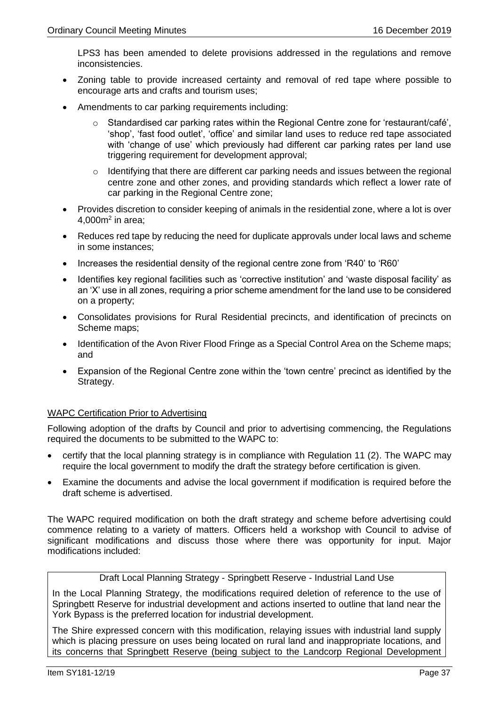LPS3 has been amended to delete provisions addressed in the regulations and remove inconsistencies.

- Zoning table to provide increased certainty and removal of red tape where possible to encourage arts and crafts and tourism uses;
- Amendments to car parking requirements including:
	- $\circ$  Standardised car parking rates within the Regional Centre zone for 'restaurant/café', 'shop', 'fast food outlet', 'office' and similar land uses to reduce red tape associated with 'change of use' which previously had different car parking rates per land use triggering requirement for development approval;
	- o Identifying that there are different car parking needs and issues between the regional centre zone and other zones, and providing standards which reflect a lower rate of car parking in the Regional Centre zone;
- Provides discretion to consider keeping of animals in the residential zone, where a lot is over  $4,000$ m<sup>2</sup> in area;
- Reduces red tape by reducing the need for duplicate approvals under local laws and scheme in some instances;
- Increases the residential density of the regional centre zone from 'R40' to 'R60'
- Identifies key regional facilities such as 'corrective institution' and 'waste disposal facility' as an 'X' use in all zones, requiring a prior scheme amendment for the land use to be considered on a property;
- Consolidates provisions for Rural Residential precincts, and identification of precincts on Scheme maps;
- Identification of the Avon River Flood Fringe as a Special Control Area on the Scheme maps; and
- Expansion of the Regional Centre zone within the 'town centre' precinct as identified by the Strategy.

## WAPC Certification Prior to Advertising

Following adoption of the drafts by Council and prior to advertising commencing, the Regulations required the documents to be submitted to the WAPC to:

- certify that the local planning strategy is in compliance with Regulation 11 (2). The WAPC may require the local government to modify the draft the strategy before certification is given.
- Examine the documents and advise the local government if modification is required before the draft scheme is advertised.

The WAPC required modification on both the draft strategy and scheme before advertising could commence relating to a variety of matters. Officers held a workshop with Council to advise of significant modifications and discuss those where there was opportunity for input. Major modifications included:

# Draft Local Planning Strategy - Springbett Reserve - Industrial Land Use

In the Local Planning Strategy, the modifications required deletion of reference to the use of Springbett Reserve for industrial development and actions inserted to outline that land near the York Bypass is the preferred location for industrial development.

The Shire expressed concern with this modification, relaying issues with industrial land supply which is placing pressure on uses being located on rural land and inappropriate locations, and its concerns that Springbett Reserve (being subject to the Landcorp Regional Development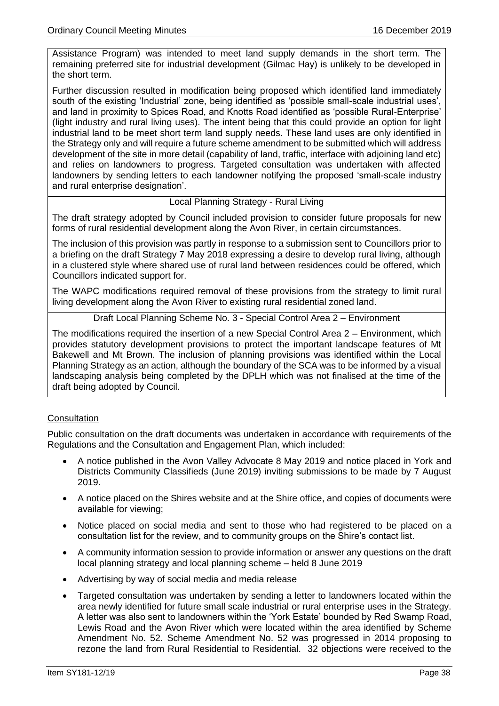Assistance Program) was intended to meet land supply demands in the short term. The remaining preferred site for industrial development (Gilmac Hay) is unlikely to be developed in the short term.

Further discussion resulted in modification being proposed which identified land immediately south of the existing 'Industrial' zone, being identified as 'possible small-scale industrial uses', and land in proximity to Spices Road, and Knotts Road identified as 'possible Rural-Enterprise' (light industry and rural living uses). The intent being that this could provide an option for light industrial land to be meet short term land supply needs. These land uses are only identified in the Strategy only and will require a future scheme amendment to be submitted which will address development of the site in more detail (capability of land, traffic, interface with adjoining land etc) and relies on landowners to progress. Targeted consultation was undertaken with affected landowners by sending letters to each landowner notifying the proposed 'small-scale industry and rural enterprise designation'.

## Local Planning Strategy - Rural Living

The draft strategy adopted by Council included provision to consider future proposals for new forms of rural residential development along the Avon River, in certain circumstances.

The inclusion of this provision was partly in response to a submission sent to Councillors prior to a briefing on the draft Strategy 7 May 2018 expressing a desire to develop rural living, although in a clustered style where shared use of rural land between residences could be offered, which Councillors indicated support for.

The WAPC modifications required removal of these provisions from the strategy to limit rural living development along the Avon River to existing rural residential zoned land.

Draft Local Planning Scheme No. 3 - Special Control Area 2 – Environment

The modifications required the insertion of a new Special Control Area 2 – Environment, which provides statutory development provisions to protect the important landscape features of Mt Bakewell and Mt Brown. The inclusion of planning provisions was identified within the Local Planning Strategy as an action, although the boundary of the SCA was to be informed by a visual landscaping analysis being completed by the DPLH which was not finalised at the time of the draft being adopted by Council.

## **Consultation**

Public consultation on the draft documents was undertaken in accordance with requirements of the Regulations and the Consultation and Engagement Plan, which included:

- A notice published in the Avon Valley Advocate 8 May 2019 and notice placed in York and Districts Community Classifieds (June 2019) inviting submissions to be made by 7 August 2019.
- A notice placed on the Shires website and at the Shire office, and copies of documents were available for viewing;
- Notice placed on social media and sent to those who had registered to be placed on a consultation list for the review, and to community groups on the Shire's contact list.
- A community information session to provide information or answer any questions on the draft local planning strategy and local planning scheme – held 8 June 2019
- Advertising by way of social media and media release
- Targeted consultation was undertaken by sending a letter to landowners located within the area newly identified for future small scale industrial or rural enterprise uses in the Strategy. A letter was also sent to landowners within the 'York Estate' bounded by Red Swamp Road, Lewis Road and the Avon River which were located within the area identified by Scheme Amendment No. 52. Scheme Amendment No. 52 was progressed in 2014 proposing to rezone the land from Rural Residential to Residential. 32 objections were received to the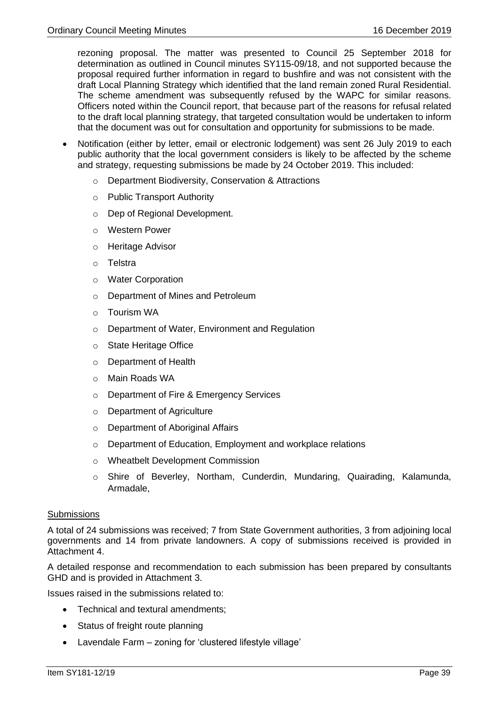rezoning proposal. The matter was presented to Council 25 September 2018 for determination as outlined in Council minutes SY115-09/18, and not supported because the proposal required further information in regard to bushfire and was not consistent with the draft Local Planning Strategy which identified that the land remain zoned Rural Residential. The scheme amendment was subsequently refused by the WAPC for similar reasons. Officers noted within the Council report, that because part of the reasons for refusal related to the draft local planning strategy, that targeted consultation would be undertaken to inform that the document was out for consultation and opportunity for submissions to be made.

- Notification (either by letter, email or electronic lodgement) was sent 26 July 2019 to each public authority that the local government considers is likely to be affected by the scheme and strategy, requesting submissions be made by 24 October 2019. This included:
	- o Department Biodiversity, Conservation & Attractions
	- o Public Transport Authority
	- o Dep of Regional Development.
	- o Western Power
	- o Heritage Advisor
	- o Telstra
	- o Water Corporation
	- o Department of Mines and Petroleum
	- o Tourism WA
	- o Department of Water, Environment and Regulation
	- o State Heritage Office
	- o Department of Health
	- o Main Roads WA
	- o Department of Fire & Emergency Services
	- o Department of Agriculture
	- o Department of Aboriginal Affairs
	- o Department of Education, Employment and workplace relations
	- o Wheatbelt Development Commission
	- o Shire of Beverley, Northam, Cunderdin, Mundaring, Quairading, Kalamunda, Armadale,

## **Submissions**

A total of 24 submissions was received; 7 from State Government authorities, 3 from adjoining local governments and 14 from private landowners. A copy of submissions received is provided in Attachment 4.

A detailed response and recommendation to each submission has been prepared by consultants GHD and is provided in Attachment 3.

Issues raised in the submissions related to:

- Technical and textural amendments:
- Status of freight route planning
- Lavendale Farm zoning for 'clustered lifestyle village'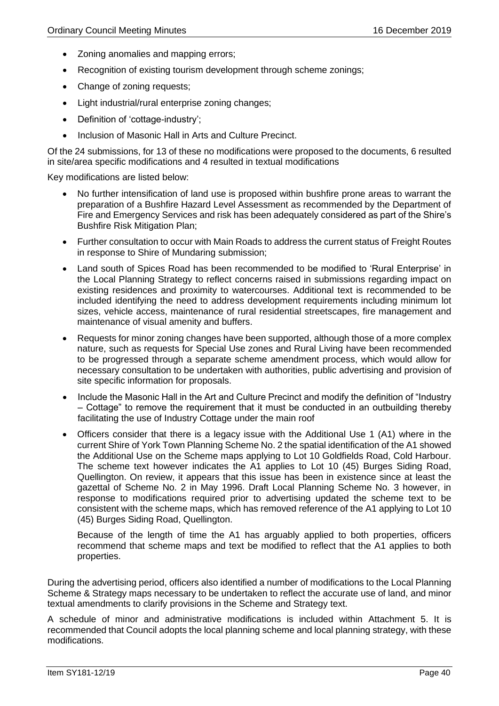- Zoning anomalies and mapping errors;
- Recognition of existing tourism development through scheme zonings;
- Change of zoning requests;
- Light industrial/rural enterprise zoning changes;
- Definition of 'cottage-industry';
- Inclusion of Masonic Hall in Arts and Culture Precinct.

Of the 24 submissions, for 13 of these no modifications were proposed to the documents, 6 resulted in site/area specific modifications and 4 resulted in textual modifications

Key modifications are listed below:

- No further intensification of land use is proposed within bushfire prone areas to warrant the preparation of a Bushfire Hazard Level Assessment as recommended by the Department of Fire and Emergency Services and risk has been adequately considered as part of the Shire's Bushfire Risk Mitigation Plan;
- Further consultation to occur with Main Roads to address the current status of Freight Routes in response to Shire of Mundaring submission;
- Land south of Spices Road has been recommended to be modified to 'Rural Enterprise' in the Local Planning Strategy to reflect concerns raised in submissions regarding impact on existing residences and proximity to watercourses. Additional text is recommended to be included identifying the need to address development requirements including minimum lot sizes, vehicle access, maintenance of rural residential streetscapes, fire management and maintenance of visual amenity and buffers.
- Requests for minor zoning changes have been supported, although those of a more complex nature, such as requests for Special Use zones and Rural Living have been recommended to be progressed through a separate scheme amendment process, which would allow for necessary consultation to be undertaken with authorities, public advertising and provision of site specific information for proposals.
- Include the Masonic Hall in the Art and Culture Precinct and modify the definition of "Industry – Cottage" to remove the requirement that it must be conducted in an outbuilding thereby facilitating the use of Industry Cottage under the main roof
- Officers consider that there is a legacy issue with the Additional Use 1 (A1) where in the current Shire of York Town Planning Scheme No. 2 the spatial identification of the A1 showed the Additional Use on the Scheme maps applying to Lot 10 Goldfields Road, Cold Harbour. The scheme text however indicates the A1 applies to Lot 10 (45) Burges Siding Road, Quellington. On review, it appears that this issue has been in existence since at least the gazettal of Scheme No. 2 in May 1996. Draft Local Planning Scheme No. 3 however, in response to modifications required prior to advertising updated the scheme text to be consistent with the scheme maps, which has removed reference of the A1 applying to Lot 10 (45) Burges Siding Road, Quellington.

Because of the length of time the A1 has arguably applied to both properties, officers recommend that scheme maps and text be modified to reflect that the A1 applies to both properties.

During the advertising period, officers also identified a number of modifications to the Local Planning Scheme & Strategy maps necessary to be undertaken to reflect the accurate use of land, and minor textual amendments to clarify provisions in the Scheme and Strategy text.

A schedule of minor and administrative modifications is included within Attachment 5. It is recommended that Council adopts the local planning scheme and local planning strategy, with these modifications.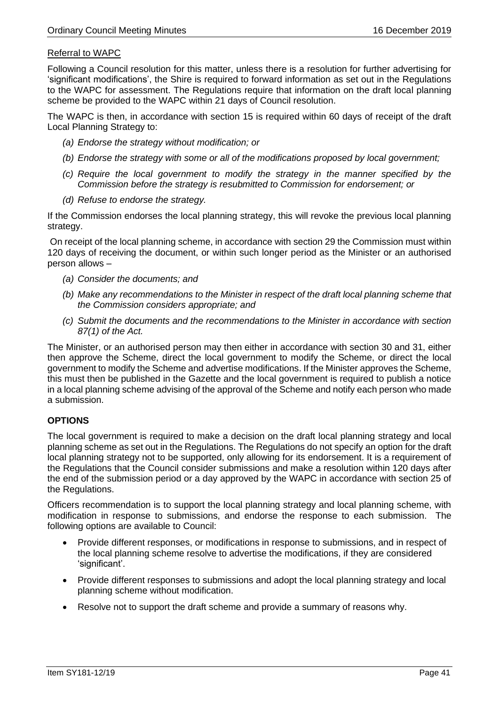# Referral to WAPC

Following a Council resolution for this matter, unless there is a resolution for further advertising for 'significant modifications', the Shire is required to forward information as set out in the Regulations to the WAPC for assessment. The Regulations require that information on the draft local planning scheme be provided to the WAPC within 21 days of Council resolution.

The WAPC is then, in accordance with section 15 is required within 60 days of receipt of the draft Local Planning Strategy to:

- *(a) Endorse the strategy without modification; or*
- *(b) Endorse the strategy with some or all of the modifications proposed by local government;*
- *(c) Require the local government to modify the strategy in the manner specified by the Commission before the strategy is resubmitted to Commission for endorsement; or*
- *(d) Refuse to endorse the strategy.*

If the Commission endorses the local planning strategy, this will revoke the previous local planning strategy.

On receipt of the local planning scheme, in accordance with section 29 the Commission must within 120 days of receiving the document, or within such longer period as the Minister or an authorised person allows –

- *(a) Consider the documents; and*
- *(b) Make any recommendations to the Minister in respect of the draft local planning scheme that the Commission considers appropriate; and*
- *(c) Submit the documents and the recommendations to the Minister in accordance with section 87(1) of the Act.*

The Minister, or an authorised person may then either in accordance with section 30 and 31, either then approve the Scheme, direct the local government to modify the Scheme, or direct the local government to modify the Scheme and advertise modifications. If the Minister approves the Scheme, this must then be published in the Gazette and the local government is required to publish a notice in a local planning scheme advising of the approval of the Scheme and notify each person who made a submission.

## **OPTIONS**

The local government is required to make a decision on the draft local planning strategy and local planning scheme as set out in the Regulations. The Regulations do not specify an option for the draft local planning strategy not to be supported, only allowing for its endorsement. It is a requirement of the Regulations that the Council consider submissions and make a resolution within 120 days after the end of the submission period or a day approved by the WAPC in accordance with section 25 of the Regulations.

Officers recommendation is to support the local planning strategy and local planning scheme, with modification in response to submissions, and endorse the response to each submission. The following options are available to Council:

- Provide different responses, or modifications in response to submissions, and in respect of the local planning scheme resolve to advertise the modifications, if they are considered 'significant'.
- Provide different responses to submissions and adopt the local planning strategy and local planning scheme without modification.
- Resolve not to support the draft scheme and provide a summary of reasons why.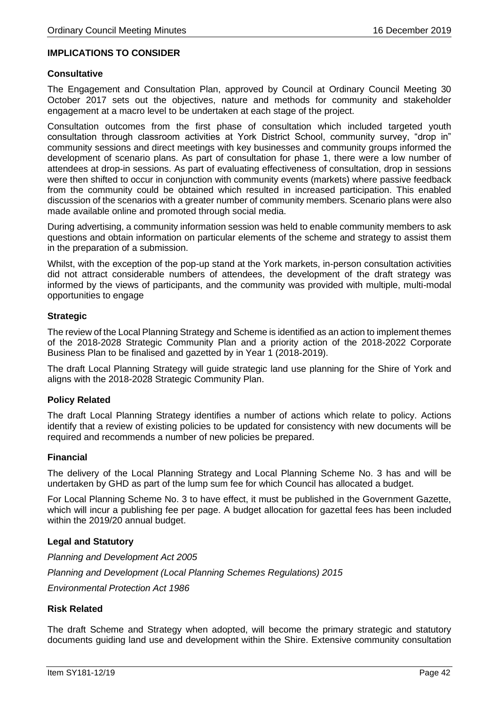## **IMPLICATIONS TO CONSIDER**

#### **Consultative**

The Engagement and Consultation Plan, approved by Council at Ordinary Council Meeting 30 October 2017 sets out the objectives, nature and methods for community and stakeholder engagement at a macro level to be undertaken at each stage of the project.

Consultation outcomes from the first phase of consultation which included targeted youth consultation through classroom activities at York District School, community survey, "drop in" community sessions and direct meetings with key businesses and community groups informed the development of scenario plans. As part of consultation for phase 1, there were a low number of attendees at drop-in sessions. As part of evaluating effectiveness of consultation, drop in sessions were then shifted to occur in conjunction with community events (markets) where passive feedback from the community could be obtained which resulted in increased participation. This enabled discussion of the scenarios with a greater number of community members. Scenario plans were also made available online and promoted through social media.

During advertising, a community information session was held to enable community members to ask questions and obtain information on particular elements of the scheme and strategy to assist them in the preparation of a submission.

Whilst, with the exception of the pop-up stand at the York markets, in-person consultation activities did not attract considerable numbers of attendees, the development of the draft strategy was informed by the views of participants, and the community was provided with multiple, multi-modal opportunities to engage

#### **Strategic**

The review of the Local Planning Strategy and Scheme is identified as an action to implement themes of the 2018-2028 Strategic Community Plan and a priority action of the 2018-2022 Corporate Business Plan to be finalised and gazetted by in Year 1 (2018-2019).

The draft Local Planning Strategy will guide strategic land use planning for the Shire of York and aligns with the 2018-2028 Strategic Community Plan.

#### **Policy Related**

The draft Local Planning Strategy identifies a number of actions which relate to policy. Actions identify that a review of existing policies to be updated for consistency with new documents will be required and recommends a number of new policies be prepared.

## **Financial**

The delivery of the Local Planning Strategy and Local Planning Scheme No. 3 has and will be undertaken by GHD as part of the lump sum fee for which Council has allocated a budget.

For Local Planning Scheme No. 3 to have effect, it must be published in the Government Gazette, which will incur a publishing fee per page. A budget allocation for gazettal fees has been included within the 2019/20 annual budget.

#### **Legal and Statutory**

*Planning and Development Act 2005 Planning and Development (Local Planning Schemes Regulations) 2015*

*Environmental Protection Act 1986*

#### **Risk Related**

The draft Scheme and Strategy when adopted, will become the primary strategic and statutory documents guiding land use and development within the Shire. Extensive community consultation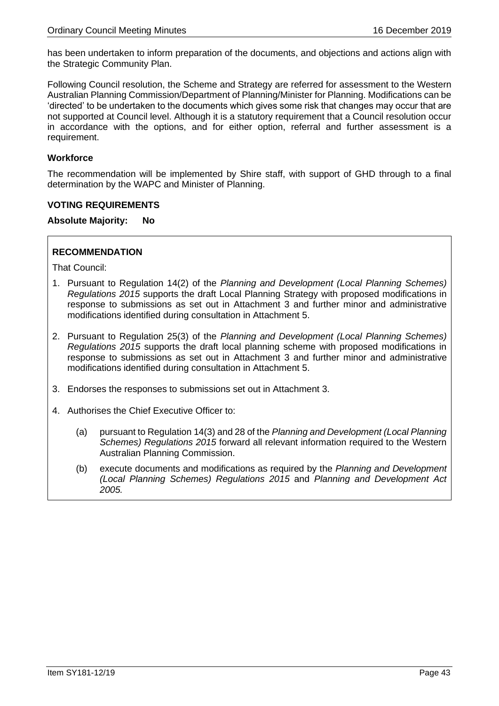has been undertaken to inform preparation of the documents, and objections and actions align with the Strategic Community Plan.

Following Council resolution, the Scheme and Strategy are referred for assessment to the Western Australian Planning Commission/Department of Planning/Minister for Planning. Modifications can be 'directed' to be undertaken to the documents which gives some risk that changes may occur that are not supported at Council level. Although it is a statutory requirement that a Council resolution occur in accordance with the options, and for either option, referral and further assessment is a requirement.

### **Workforce**

The recommendation will be implemented by Shire staff, with support of GHD through to a final determination by the WAPC and Minister of Planning.

### **VOTING REQUIREMENTS**

**Absolute Majority: No**

## **RECOMMENDATION**

That Council:

- 1. Pursuant to Regulation 14(2) of the *Planning and Development (Local Planning Schemes) Regulations 2015* supports the draft Local Planning Strategy with proposed modifications in response to submissions as set out in Attachment 3 and further minor and administrative modifications identified during consultation in Attachment 5.
- 2. Pursuant to Regulation 25(3) of the *Planning and Development (Local Planning Schemes) Regulations 2015* supports the draft local planning scheme with proposed modifications in response to submissions as set out in Attachment 3 and further minor and administrative modifications identified during consultation in Attachment 5.
- 3. Endorses the responses to submissions set out in Attachment 3.
- 4. Authorises the Chief Executive Officer to:
	- (a) pursuant to Regulation 14(3) and 28 of the *Planning and Development (Local Planning Schemes) Regulations 2015* forward all relevant information required to the Western Australian Planning Commission.
	- (b) execute documents and modifications as required by the *Planning and Development (Local Planning Schemes) Regulations 2015* and *Planning and Development Act 2005.*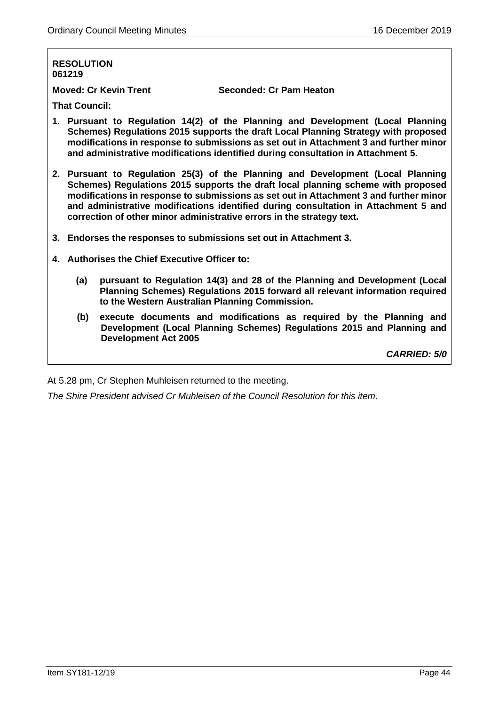### **RESOLUTION 061219**

**Moved: Cr Kevin Trent Seconded: Cr Pam Heaton**

**That Council:**

- **1. Pursuant to Regulation 14(2) of the Planning and Development (Local Planning Schemes) Regulations 2015 supports the draft Local Planning Strategy with proposed modifications in response to submissions as set out in Attachment 3 and further minor and administrative modifications identified during consultation in Attachment 5.**
- **2. Pursuant to Regulation 25(3) of the Planning and Development (Local Planning Schemes) Regulations 2015 supports the draft local planning scheme with proposed modifications in response to submissions as set out in Attachment 3 and further minor and administrative modifications identified during consultation in Attachment 5 and correction of other minor administrative errors in the strategy text.**
- **3. Endorses the responses to submissions set out in Attachment 3.**
- **4. Authorises the Chief Executive Officer to:**
	- **(a) pursuant to Regulation 14(3) and 28 of the Planning and Development (Local Planning Schemes) Regulations 2015 forward all relevant information required to the Western Australian Planning Commission.**
	- **(b) execute documents and modifications as required by the Planning and Development (Local Planning Schemes) Regulations 2015 and Planning and Development Act 2005**

*CARRIED: 5/0*

At 5.28 pm, Cr Stephen Muhleisen returned to the meeting.

*The Shire President advised Cr Muhleisen of the Council Resolution for this item.*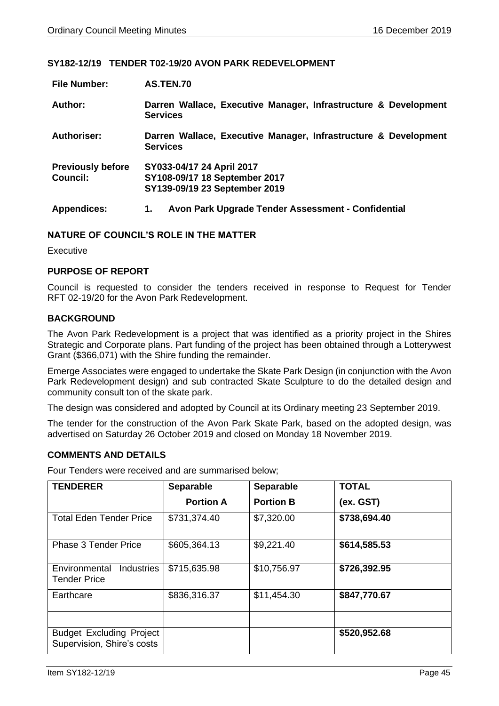## **SY182-12/19 TENDER T02-19/20 AVON PARK REDEVELOPMENT**

| <b>File Number:</b>      | <b>AS.TEN.70</b>                                                                   |  |
|--------------------------|------------------------------------------------------------------------------------|--|
| Author:                  | Darren Wallace, Executive Manager, Infrastructure & Development<br><b>Services</b> |  |
| Authoriser:              | Darren Wallace, Executive Manager, Infrastructure & Development<br><b>Services</b> |  |
| <b>Previously before</b> | SY033-04/17 24 April 2017                                                          |  |
| <b>Council:</b>          | SY108-09/17 18 September 2017                                                      |  |
|                          | SY139-09/19 23 September 2019                                                      |  |
| <b>Appendices:</b>       | Avon Park Upgrade Tender Assessment - Confidential<br>1.                           |  |

## **NATURE OF COUNCIL'S ROLE IN THE MATTER**

**Executive** 

### **PURPOSE OF REPORT**

Council is requested to consider the tenders received in response to Request for Tender RFT 02-19/20 for the Avon Park Redevelopment.

### **BACKGROUND**

The Avon Park Redevelopment is a project that was identified as a priority project in the Shires Strategic and Corporate plans. Part funding of the project has been obtained through a Lotterywest Grant (\$366,071) with the Shire funding the remainder.

Emerge Associates were engaged to undertake the Skate Park Design (in conjunction with the Avon Park Redevelopment design) and sub contracted Skate Sculpture to do the detailed design and community consult ton of the skate park.

The design was considered and adopted by Council at its Ordinary meeting 23 September 2019.

The tender for the construction of the Avon Park Skate Park, based on the adopted design, was advertised on Saturday 26 October 2019 and closed on Monday 18 November 2019.

### **COMMENTS AND DETAILS**

Four Tenders were received and are summarised below;

| <b>TENDERER</b>                                               | <b>Separable</b> | <b>Separable</b> | <b>TOTAL</b> |
|---------------------------------------------------------------|------------------|------------------|--------------|
|                                                               | <b>Portion A</b> | <b>Portion B</b> | (ex. GST)    |
| <b>Total Eden Tender Price</b>                                | \$731,374.40     | \$7,320.00       | \$738,694.40 |
| <b>Phase 3 Tender Price</b>                                   | \$605,364.13     | \$9,221.40       | \$614,585.53 |
| Environmental<br><b>Industries</b><br><b>Tender Price</b>     | \$715,635.98     | \$10,756.97      | \$726,392.95 |
| Earthcare                                                     | \$836,316.37     | \$11,454.30      | \$847,770.67 |
|                                                               |                  |                  |              |
| <b>Budget Excluding Project</b><br>Supervision, Shire's costs |                  |                  | \$520,952.68 |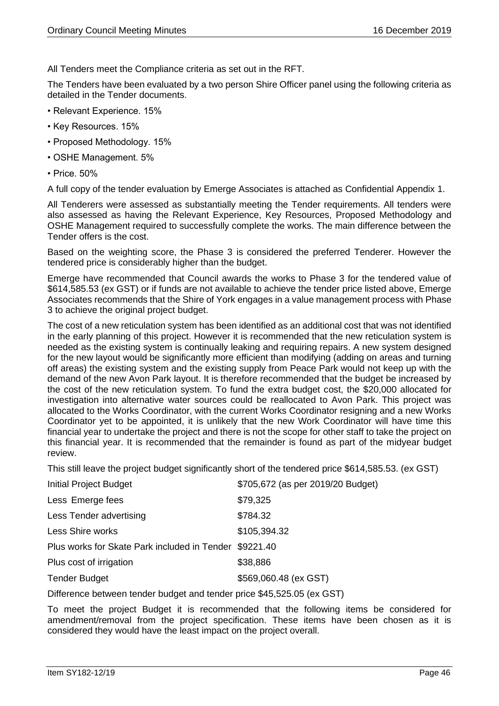All Tenders meet the Compliance criteria as set out in the RFT.

The Tenders have been evaluated by a two person Shire Officer panel using the following criteria as detailed in the Tender documents.

- Relevant Experience. 15%
- Key Resources. 15%
- Proposed Methodology. 15%
- OSHE Management. 5%
- Price. 50%

A full copy of the tender evaluation by Emerge Associates is attached as Confidential Appendix 1.

All Tenderers were assessed as substantially meeting the Tender requirements. All tenders were also assessed as having the Relevant Experience, Key Resources, Proposed Methodology and OSHE Management required to successfully complete the works. The main difference between the Tender offers is the cost.

Based on the weighting score, the Phase 3 is considered the preferred Tenderer. However the tendered price is considerably higher than the budget.

Emerge have recommended that Council awards the works to Phase 3 for the tendered value of \$614,585.53 (ex GST) or if funds are not available to achieve the tender price listed above, Emerge Associates recommends that the Shire of York engages in a value management process with Phase 3 to achieve the original project budget.

The cost of a new reticulation system has been identified as an additional cost that was not identified in the early planning of this project. However it is recommended that the new reticulation system is needed as the existing system is continually leaking and requiring repairs. A new system designed for the new layout would be significantly more efficient than modifying (adding on areas and turning off areas) the existing system and the existing supply from Peace Park would not keep up with the demand of the new Avon Park layout. It is therefore recommended that the budget be increased by the cost of the new reticulation system. To fund the extra budget cost, the \$20,000 allocated for investigation into alternative water sources could be reallocated to Avon Park. This project was allocated to the Works Coordinator, with the current Works Coordinator resigning and a new Works Coordinator yet to be appointed, it is unlikely that the new Work Coordinator will have time this financial year to undertake the project and there is not the scope for other staff to take the project on this financial year. It is recommended that the remainder is found as part of the midyear budget review.

This still leave the project budget significantly short of the tendered price \$614,585.53. (ex GST)

| <b>Initial Project Budget</b>                          | \$705,672 (as per 2019/20 Budget) |
|--------------------------------------------------------|-----------------------------------|
| Less Emerge fees                                       | \$79,325                          |
| Less Tender advertising                                | \$784.32                          |
| <b>Less Shire works</b>                                | \$105,394.32                      |
| Plus works for Skate Park included in Tender \$9221.40 |                                   |
| Plus cost of irrigation                                | \$38,886                          |
| <b>Tender Budget</b>                                   | \$569,060.48 (ex GST)             |
|                                                        |                                   |

Difference between tender budget and tender price \$45,525.05 (ex GST)

To meet the project Budget it is recommended that the following items be considered for amendment/removal from the project specification. These items have been chosen as it is considered they would have the least impact on the project overall.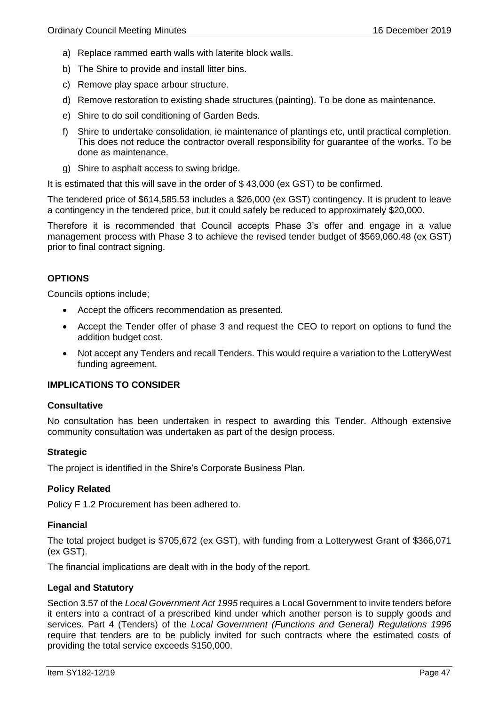- a) Replace rammed earth walls with laterite block walls.
- b) The Shire to provide and install litter bins.
- c) Remove play space arbour structure.
- d) Remove restoration to existing shade structures (painting). To be done as maintenance.
- e) Shire to do soil conditioning of Garden Beds.
- f) Shire to undertake consolidation, ie maintenance of plantings etc, until practical completion. This does not reduce the contractor overall responsibility for guarantee of the works. To be done as maintenance.
- g) Shire to asphalt access to swing bridge.

It is estimated that this will save in the order of \$ 43,000 (ex GST) to be confirmed.

The tendered price of \$614,585.53 includes a \$26,000 (ex GST) contingency. It is prudent to leave a contingency in the tendered price, but it could safely be reduced to approximately \$20,000.

Therefore it is recommended that Council accepts Phase 3's offer and engage in a value management process with Phase 3 to achieve the revised tender budget of \$569,060.48 (ex GST) prior to final contract signing.

## **OPTIONS**

Councils options include;

- Accept the officers recommendation as presented.
- Accept the Tender offer of phase 3 and request the CEO to report on options to fund the addition budget cost.
- Not accept any Tenders and recall Tenders. This would require a variation to the LotteryWest funding agreement.

## **IMPLICATIONS TO CONSIDER**

#### **Consultative**

No consultation has been undertaken in respect to awarding this Tender. Although extensive community consultation was undertaken as part of the design process.

#### **Strategic**

The project is identified in the Shire's Corporate Business Plan.

## **Policy Related**

Policy F 1.2 Procurement has been adhered to.

#### **Financial**

The total project budget is \$705,672 (ex GST), with funding from a Lotterywest Grant of \$366,071 (ex GST).

The financial implications are dealt with in the body of the report.

#### **Legal and Statutory**

Section 3.57 of the *Local Government Act 1995* requires a Local Government to invite tenders before it enters into a contract of a prescribed kind under which another person is to supply goods and services. Part 4 (Tenders) of the *Local Government (Functions and General) Regulations 1996* require that tenders are to be publicly invited for such contracts where the estimated costs of providing the total service exceeds \$150,000.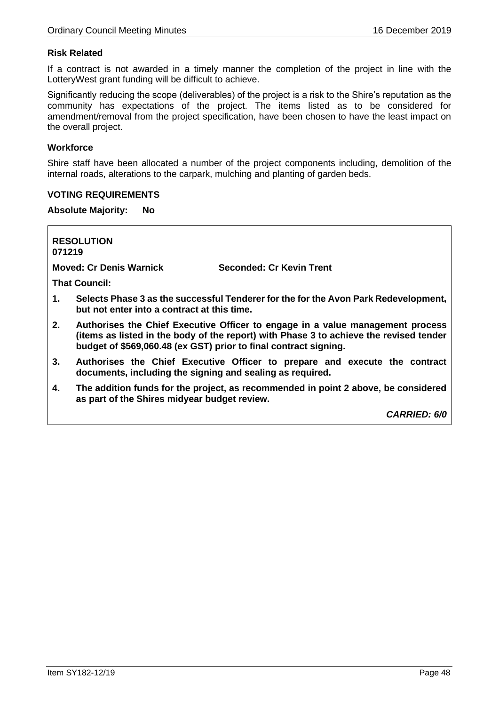# **Risk Related**

If a contract is not awarded in a timely manner the completion of the project in line with the LotteryWest grant funding will be difficult to achieve.

Significantly reducing the scope (deliverables) of the project is a risk to the Shire's reputation as the community has expectations of the project. The items listed as to be considered for amendment/removal from the project specification, have been chosen to have the least impact on the overall project.

## **Workforce**

Shire staff have been allocated a number of the project components including, demolition of the internal roads, alterations to the carpark, mulching and planting of garden beds.

### **VOTING REQUIREMENTS**

**Absolute Majority: No**

**RESOLUTION 071219**

**Moved: Cr Denis Warnick Seconded: Cr Kevin Trent**

**That Council:**

- **1. Selects Phase 3 as the successful Tenderer for the for the Avon Park Redevelopment, but not enter into a contract at this time.**
- **2. Authorises the Chief Executive Officer to engage in a value management process (items as listed in the body of the report) with Phase 3 to achieve the revised tender budget of \$569,060.48 (ex GST) prior to final contract signing.**
- **3. Authorises the Chief Executive Officer to prepare and execute the contract documents, including the signing and sealing as required.**
- **4. The addition funds for the project, as recommended in point 2 above, be considered as part of the Shires midyear budget review.**

*CARRIED: 6/0*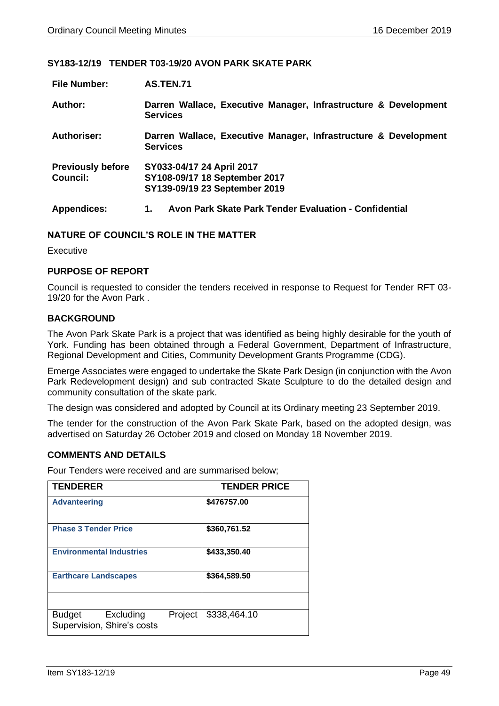## **SY183-12/19 TENDER T03-19/20 AVON PARK SKATE PARK**

| <b>File Number:</b>                         | AS.TEN.71                                                                                   |
|---------------------------------------------|---------------------------------------------------------------------------------------------|
| Author:                                     | Darren Wallace, Executive Manager, Infrastructure & Development<br><b>Services</b>          |
| Authoriser:                                 | Darren Wallace, Executive Manager, Infrastructure & Development<br><b>Services</b>          |
| <b>Previously before</b><br><b>Council:</b> | SY033-04/17 24 April 2017<br>SY108-09/17 18 September 2017<br>SY139-09/19 23 September 2019 |
| <b>Appendices:</b>                          | Avon Park Skate Park Tender Evaluation - Confidential<br>1.                                 |

# **NATURE OF COUNCIL'S ROLE IN THE MATTER**

**Executive** 

### **PURPOSE OF REPORT**

Council is requested to consider the tenders received in response to Request for Tender RFT 03- 19/20 for the Avon Park .

## **BACKGROUND**

The Avon Park Skate Park is a project that was identified as being highly desirable for the youth of York. Funding has been obtained through a Federal Government, Department of Infrastructure, Regional Development and Cities, Community Development Grants Programme (CDG).

Emerge Associates were engaged to undertake the Skate Park Design (in conjunction with the Avon Park Redevelopment design) and sub contracted Skate Sculpture to do the detailed design and community consultation of the skate park.

The design was considered and adopted by Council at its Ordinary meeting 23 September 2019.

The tender for the construction of the Avon Park Skate Park, based on the adopted design, was advertised on Saturday 26 October 2019 and closed on Monday 18 November 2019.

### **COMMENTS AND DETAILS**

Four Tenders were received and are summarised below;

| <b>TENDERER</b>                                                     | <b>TENDER PRICE</b> |
|---------------------------------------------------------------------|---------------------|
| <b>Advanteering</b>                                                 | \$476757.00         |
| <b>Phase 3 Tender Price</b>                                         | \$360,761.52        |
| <b>Environmental Industries</b>                                     | \$433,350.40        |
| <b>Earthcare Landscapes</b>                                         | \$364,589.50        |
|                                                                     |                     |
| Project<br><b>Budget</b><br>Excluding<br>Supervision, Shire's costs | \$338,464.10        |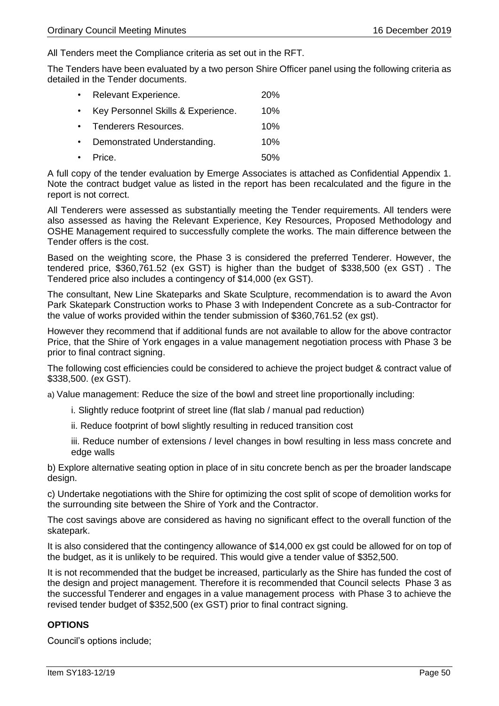All Tenders meet the Compliance criteria as set out in the RFT.

The Tenders have been evaluated by a two person Shire Officer panel using the following criteria as detailed in the Tender documents.

| $\bullet$ . | Relevant Experience.               | 20% |
|-------------|------------------------------------|-----|
| $\bullet$ . | Key Personnel Skills & Experience. | 10% |
|             | • Tenderers Resources.             | 10% |
| $\bullet$   | Demonstrated Understanding.        | 10% |
|             | $\cdot$ Price.                     | 50% |

A full copy of the tender evaluation by Emerge Associates is attached as Confidential Appendix 1. Note the contract budget value as listed in the report has been recalculated and the figure in the report is not correct.

All Tenderers were assessed as substantially meeting the Tender requirements. All tenders were also assessed as having the Relevant Experience, Key Resources, Proposed Methodology and OSHE Management required to successfully complete the works. The main difference between the Tender offers is the cost.

Based on the weighting score, the Phase 3 is considered the preferred Tenderer. However, the tendered price, \$360,761.52 (ex GST) is higher than the budget of \$338,500 (ex GST) . The Tendered price also includes a contingency of \$14,000 (ex GST).

The consultant, New Line Skateparks and Skate Sculpture, recommendation is to award the Avon Park Skatepark Construction works to Phase 3 with Independent Concrete as a sub-Contractor for the value of works provided within the tender submission of \$360,761.52 (ex gst).

However they recommend that if additional funds are not available to allow for the above contractor Price, that the Shire of York engages in a value management negotiation process with Phase 3 be prior to final contract signing.

The following cost efficiencies could be considered to achieve the project budget & contract value of \$338,500. (ex GST).

a) Value management: Reduce the size of the bowl and street line proportionally including:

- i. Slightly reduce footprint of street line (flat slab / manual pad reduction)
- ii. Reduce footprint of bowl slightly resulting in reduced transition cost

iii. Reduce number of extensions / level changes in bowl resulting in less mass concrete and edge walls

b) Explore alternative seating option in place of in situ concrete bench as per the broader landscape design.

c) Undertake negotiations with the Shire for optimizing the cost split of scope of demolition works for the surrounding site between the Shire of York and the Contractor.

The cost savings above are considered as having no significant effect to the overall function of the skatepark.

It is also considered that the contingency allowance of \$14,000 ex gst could be allowed for on top of the budget, as it is unlikely to be required. This would give a tender value of \$352,500.

It is not recommended that the budget be increased, particularly as the Shire has funded the cost of the design and project management. Therefore it is recommended that Council selects Phase 3 as the successful Tenderer and engages in a value management process with Phase 3 to achieve the revised tender budget of \$352,500 (ex GST) prior to final contract signing.

## **OPTIONS**

Council's options include;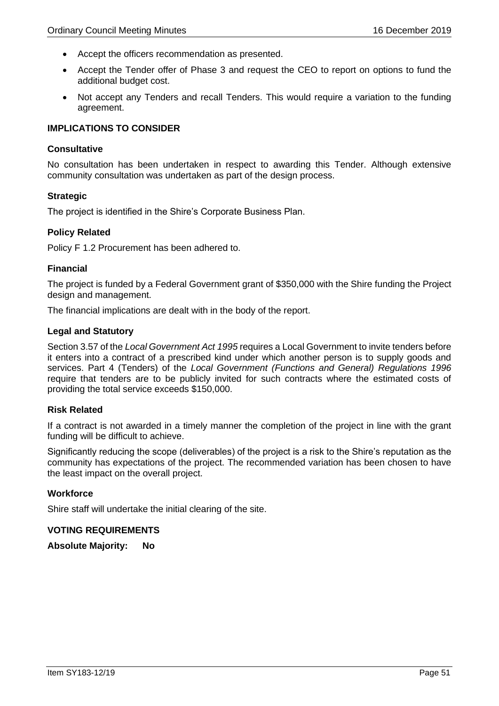- Accept the officers recommendation as presented.
- Accept the Tender offer of Phase 3 and request the CEO to report on options to fund the additional budget cost.
- Not accept any Tenders and recall Tenders. This would require a variation to the funding agreement.

# **IMPLICATIONS TO CONSIDER**

## **Consultative**

No consultation has been undertaken in respect to awarding this Tender. Although extensive community consultation was undertaken as part of the design process.

## **Strategic**

The project is identified in the Shire's Corporate Business Plan.

### **Policy Related**

Policy F 1.2 Procurement has been adhered to.

### **Financial**

The project is funded by a Federal Government grant of \$350,000 with the Shire funding the Project design and management.

The financial implications are dealt with in the body of the report.

### **Legal and Statutory**

Section 3.57 of the *Local Government Act 1995* requires a Local Government to invite tenders before it enters into a contract of a prescribed kind under which another person is to supply goods and services. Part 4 (Tenders) of the *Local Government (Functions and General) Regulations 1996* require that tenders are to be publicly invited for such contracts where the estimated costs of providing the total service exceeds \$150,000.

#### **Risk Related**

If a contract is not awarded in a timely manner the completion of the project in line with the grant funding will be difficult to achieve.

Significantly reducing the scope (deliverables) of the project is a risk to the Shire's reputation as the community has expectations of the project. The recommended variation has been chosen to have the least impact on the overall project.

### **Workforce**

Shire staff will undertake the initial clearing of the site.

#### **VOTING REQUIREMENTS**

**Absolute Majority: No**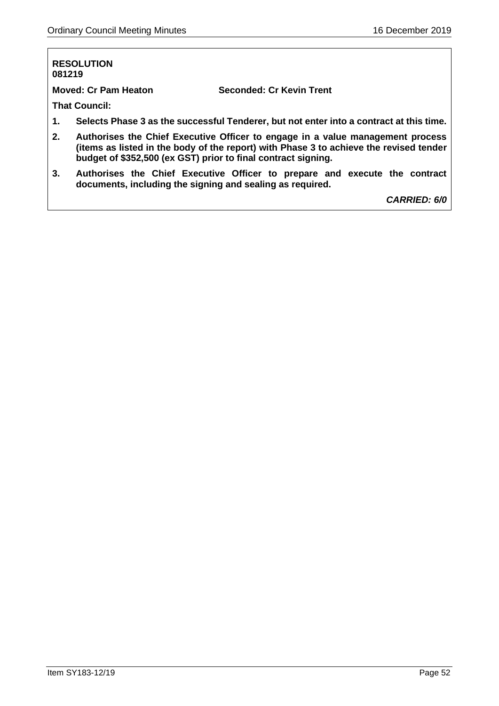#### **RESOLUTION 081219**

**Moved: Cr Pam Heaton Seconded: Cr Kevin Trent**

**That Council:**

- **1. Selects Phase 3 as the successful Tenderer, but not enter into a contract at this time.**
- **2. Authorises the Chief Executive Officer to engage in a value management process (items as listed in the body of the report) with Phase 3 to achieve the revised tender budget of \$352,500 (ex GST) prior to final contract signing.**
- **3. Authorises the Chief Executive Officer to prepare and execute the contract documents, including the signing and sealing as required.**

*CARRIED: 6/0*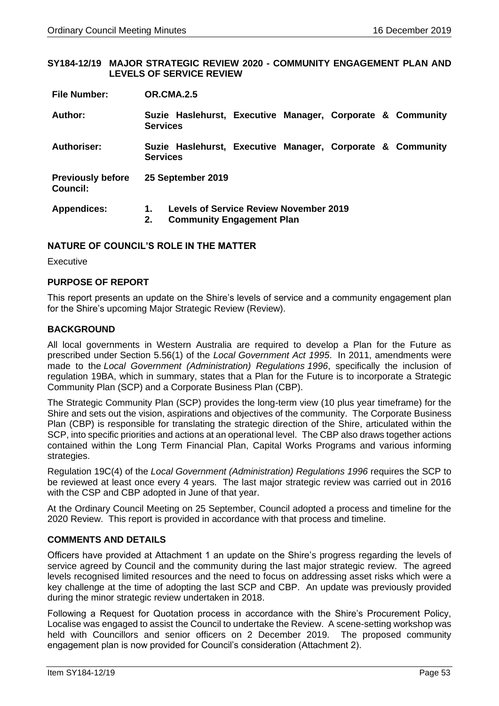### **SY184-12/19 MAJOR STRATEGIC REVIEW 2020 - COMMUNITY ENGAGEMENT PLAN AND LEVELS OF SERVICE REVIEW**

| <b>File Number:</b> | <b>OR.CMA.2.5</b> |
|---------------------|-------------------|
|                     |                   |

| Author:                                     | <b>Services</b>   | Suzie Haslehurst, Executive Manager, Corporate & Community                        |  |  |  |
|---------------------------------------------|-------------------|-----------------------------------------------------------------------------------|--|--|--|
| <b>Authoriser:</b>                          | <b>Services</b>   | Suzie Haslehurst, Executive Manager, Corporate & Community                        |  |  |  |
| <b>Previously before</b><br><b>Council:</b> | 25 September 2019 |                                                                                   |  |  |  |
| <b>Appendices:</b>                          | 2.                | <b>Levels of Service Review November 2019</b><br><b>Community Engagement Plan</b> |  |  |  |

# **NATURE OF COUNCIL'S ROLE IN THE MATTER**

Executive

# **PURPOSE OF REPORT**

This report presents an update on the Shire's levels of service and a community engagement plan for the Shire's upcoming Major Strategic Review (Review).

## **BACKGROUND**

All local governments in Western Australia are required to develop a Plan for the Future as prescribed under Section 5.56(1) of the *Local Government Act 1995*. In 2011, amendments were made to the *Local Government (Administration) Regulations 1996*, specifically the inclusion of regulation 19BA, which in summary, states that a Plan for the Future is to incorporate a Strategic Community Plan (SCP) and a Corporate Business Plan (CBP).

The Strategic Community Plan (SCP) provides the long-term view (10 plus year timeframe) for the Shire and sets out the vision, aspirations and objectives of the community. The Corporate Business Plan (CBP) is responsible for translating the strategic direction of the Shire, articulated within the SCP, into specific priorities and actions at an operational level. The CBP also draws together actions contained within the Long Term Financial Plan, Capital Works Programs and various informing strategies.

Regulation 19C(4) of the *Local Government (Administration) Regulations 1996* requires the SCP to be reviewed at least once every 4 years. The last major strategic review was carried out in 2016 with the CSP and CBP adopted in June of that year.

At the Ordinary Council Meeting on 25 September, Council adopted a process and timeline for the 2020 Review. This report is provided in accordance with that process and timeline.

## **COMMENTS AND DETAILS**

Officers have provided at Attachment 1 an update on the Shire's progress regarding the levels of service agreed by Council and the community during the last major strategic review. The agreed levels recognised limited resources and the need to focus on addressing asset risks which were a key challenge at the time of adopting the last SCP and CBP. An update was previously provided during the minor strategic review undertaken in 2018.

Following a Request for Quotation process in accordance with the Shire's Procurement Policy, Localise was engaged to assist the Council to undertake the Review. A scene-setting workshop was held with Councillors and senior officers on 2 December 2019. The proposed community engagement plan is now provided for Council's consideration (Attachment 2).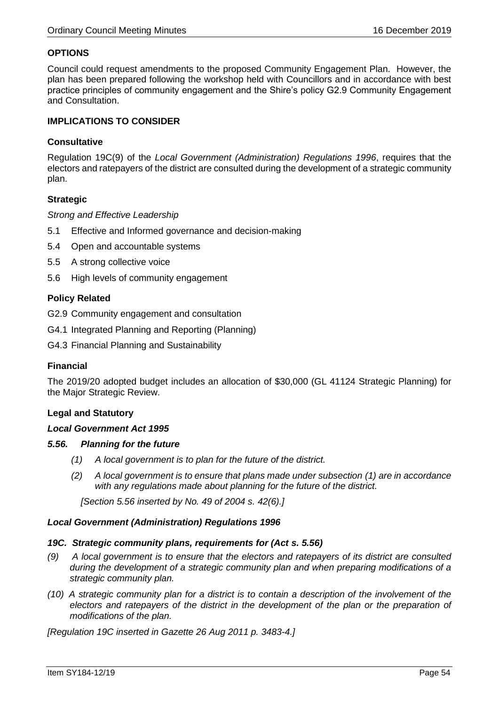# **OPTIONS**

Council could request amendments to the proposed Community Engagement Plan. However, the plan has been prepared following the workshop held with Councillors and in accordance with best practice principles of community engagement and the Shire's policy G2.9 Community Engagement and Consultation.

## **IMPLICATIONS TO CONSIDER**

## **Consultative**

Regulation 19C(9) of the *Local Government (Administration) Regulations 1996*, requires that the electors and ratepayers of the district are consulted during the development of a strategic community plan.

### **Strategic**

### *Strong and Effective Leadership*

- 5.1 Effective and Informed governance and decision-making
- 5.4 Open and accountable systems
- 5.5 A strong collective voice
- 5.6 High levels of community engagement

## **Policy Related**

G2.9 Community engagement and consultation

- G4.1 Integrated Planning and Reporting (Planning)
- G4.3 Financial Planning and Sustainability

### **Financial**

The 2019/20 adopted budget includes an allocation of \$30,000 (GL 41124 Strategic Planning) for the Major Strategic Review.

#### **Legal and Statutory**

#### *Local Government Act 1995*

#### *5.56. Planning for the future*

- *(1) A local government is to plan for the future of the district.*
- *(2) A local government is to ensure that plans made under subsection (1) are in accordance with any regulations made about planning for the future of the district.*

 *[Section 5.56 inserted by No. 49 of 2004 s. 42(6).]*

#### *Local Government (Administration) Regulations 1996*

#### *19C. Strategic community plans, requirements for (Act s. 5.56)*

- *(9) A local government is to ensure that the electors and ratepayers of its district are consulted during the development of a strategic community plan and when preparing modifications of a strategic community plan.*
- *(10) A strategic community plan for a district is to contain a description of the involvement of the*  electors and ratepayers of the district in the development of the plan or the preparation of *modifications of the plan.*

*[Regulation 19C inserted in Gazette 26 Aug 2011 p. 3483-4.]*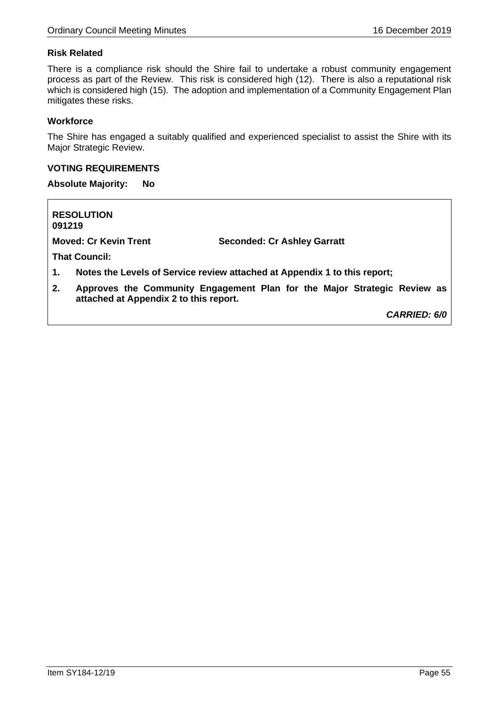# **Risk Related**

There is a compliance risk should the Shire fail to undertake a robust community engagement process as part of the Review. This risk is considered high (12). There is also a reputational risk which is considered high (15). The adoption and implementation of a Community Engagement Plan mitigates these risks.

## **Workforce**

The Shire has engaged a suitably qualified and experienced specialist to assist the Shire with its Major Strategic Review.

## **VOTING REQUIREMENTS**

**Absolute Majority: No**

**RESOLUTION 091219**

**Moved: Cr Kevin Trent Seconded: Cr Ashley Garratt**

**That Council:**

- **1. Notes the Levels of Service review attached at Appendix 1 to this report;**
- **2. Approves the Community Engagement Plan for the Major Strategic Review as attached at Appendix 2 to this report.**

*CARRIED: 6/0*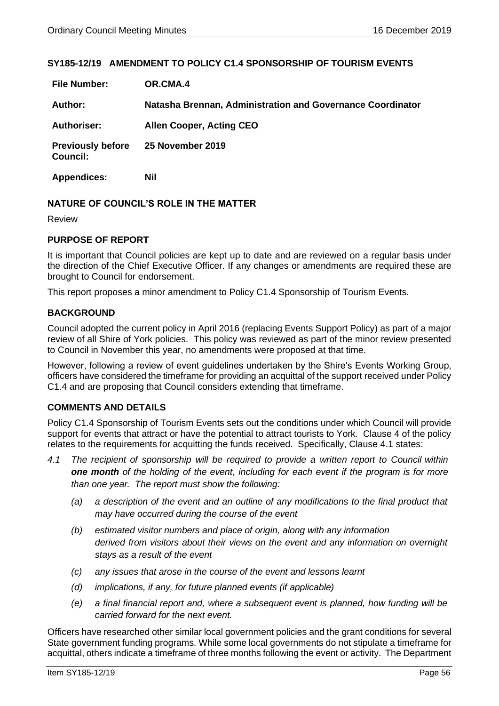# **SY185-12/19 AMENDMENT TO POLICY C1.4 SPONSORSHIP OF TOURISM EVENTS**

| <b>File Number:</b>                         | OR.CMA.4                                                   |
|---------------------------------------------|------------------------------------------------------------|
| Author:                                     | Natasha Brennan, Administration and Governance Coordinator |
| <b>Authoriser:</b>                          | <b>Allen Cooper, Acting CEO</b>                            |
| <b>Previously before</b><br><b>Council:</b> | <b>25 November 2019</b>                                    |
| <b>Appendices:</b>                          | Nil                                                        |

## **NATURE OF COUNCIL'S ROLE IN THE MATTER**

Review

# **PURPOSE OF REPORT**

It is important that Council policies are kept up to date and are reviewed on a regular basis under the direction of the Chief Executive Officer. If any changes or amendments are required these are brought to Council for endorsement.

This report proposes a minor amendment to Policy C1.4 Sponsorship of Tourism Events.

## **BACKGROUND**

Council adopted the current policy in April 2016 (replacing Events Support Policy) as part of a major review of all Shire of York policies. This policy was reviewed as part of the minor review presented to Council in November this year, no amendments were proposed at that time.

However, following a review of event guidelines undertaken by the Shire's Events Working Group, officers have considered the timeframe for providing an acquittal of the support received under Policy C1.4 and are proposing that Council considers extending that timeframe.

## **COMMENTS AND DETAILS**

Policy C1.4 Sponsorship of Tourism Events sets out the conditions under which Council will provide support for events that attract or have the potential to attract tourists to York. Clause 4 of the policy relates to the requirements for acquitting the funds received. Specifically, Clause 4.1 states:

- *4.1 The recipient of sponsorship will be required to provide a written report to Council within one month of the holding of the event, including for each event if the program is for more than one year. The report must show the following:*
	- *(a) a description of the event and an outline of any modifications to the final product that may have occurred during the course of the event*
	- *(b) estimated visitor numbers and place of origin, along with any information derived from visitors about their views on the event and any information on overnight stays as a result of the event*
	- *(c) any issues that arose in the course of the event and lessons learnt*
	- *(d) implications, if any, for future planned events (if applicable)*
	- *(e) a final financial report and, where a subsequent event is planned, how funding will be carried forward for the next event.*

Officers have researched other similar local government policies and the grant conditions for several State government funding programs. While some local governments do not stipulate a timeframe for acquittal, others indicate a timeframe of three months following the event or activity. The Department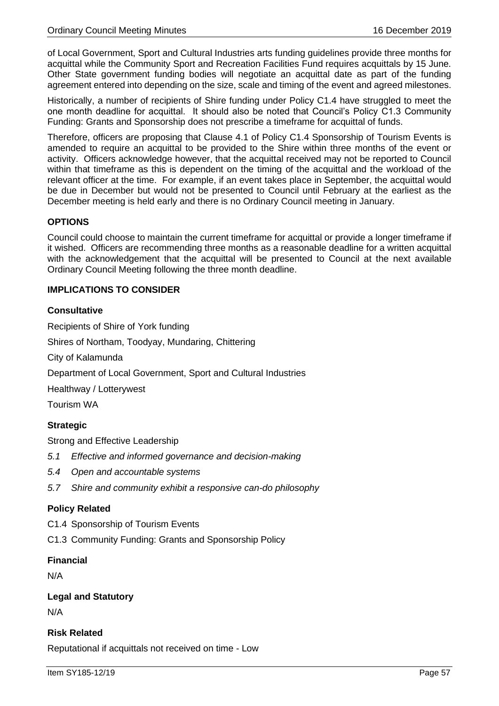of Local Government, Sport and Cultural Industries arts funding guidelines provide three months for acquittal while the Community Sport and Recreation Facilities Fund requires acquittals by 15 June. Other State government funding bodies will negotiate an acquittal date as part of the funding agreement entered into depending on the size, scale and timing of the event and agreed milestones.

Historically, a number of recipients of Shire funding under Policy C1.4 have struggled to meet the one month deadline for acquittal. It should also be noted that Council's Policy C1.3 Community Funding: Grants and Sponsorship does not prescribe a timeframe for acquittal of funds.

Therefore, officers are proposing that Clause 4.1 of Policy C1.4 Sponsorship of Tourism Events is amended to require an acquittal to be provided to the Shire within three months of the event or activity. Officers acknowledge however, that the acquittal received may not be reported to Council within that timeframe as this is dependent on the timing of the acquittal and the workload of the relevant officer at the time. For example, if an event takes place in September, the acquittal would be due in December but would not be presented to Council until February at the earliest as the December meeting is held early and there is no Ordinary Council meeting in January.

# **OPTIONS**

Council could choose to maintain the current timeframe for acquittal or provide a longer timeframe if it wished. Officers are recommending three months as a reasonable deadline for a written acquittal with the acknowledgement that the acquittal will be presented to Council at the next available Ordinary Council Meeting following the three month deadline.

# **IMPLICATIONS TO CONSIDER**

## **Consultative**

Recipients of Shire of York funding Shires of Northam, Toodyay, Mundaring, Chittering City of Kalamunda Department of Local Government, Sport and Cultural Industries Healthway / Lotterywest Tourism WA **Strategic**

Strong and Effective Leadership

- *5.1 Effective and informed governance and decision-making*
- *5.4 Open and accountable systems*
- *5.7 Shire and community exhibit a responsive can-do philosophy*

## **Policy Related**

C1.4 Sponsorship of Tourism Events

C1.3 Community Funding: Grants and Sponsorship Policy

## **Financial**

N/A

## **Legal and Statutory**

N/A

# **Risk Related**

Reputational if acquittals not received on time - Low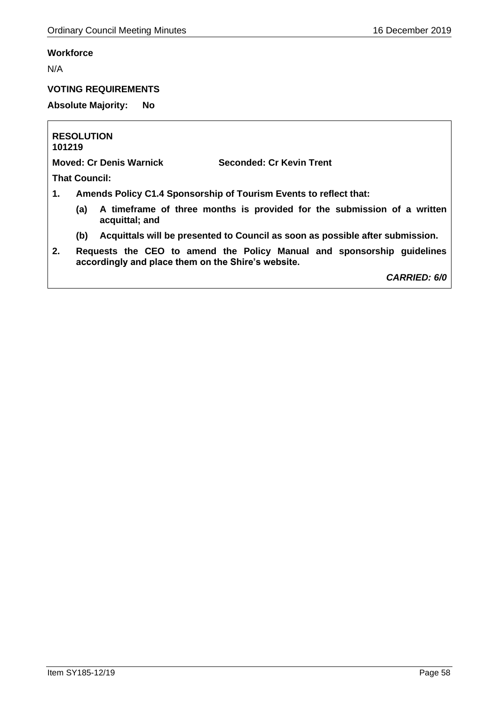# **Workforce**

N/A

# **VOTING REQUIREMENTS**

**Absolute Majority: No**

**RESOLUTION 101219**

**Moved: Cr Denis Warnick Seconded: Cr Kevin Trent**

**That Council:**

- **1. Amends Policy C1.4 Sponsorship of Tourism Events to reflect that:**
	- **(a) A timeframe of three months is provided for the submission of a written acquittal; and**
	- **(b) Acquittals will be presented to Council as soon as possible after submission.**
- **2. Requests the CEO to amend the Policy Manual and sponsorship guidelines accordingly and place them on the Shire's website.**

*CARRIED: 6/0*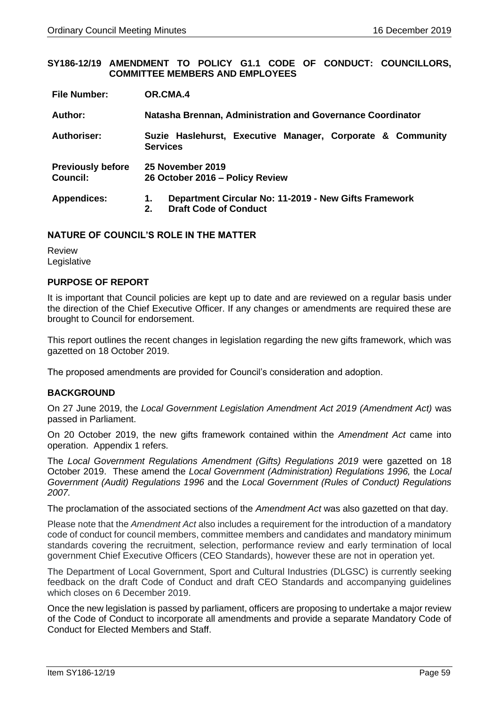### **SY186-12/19 AMENDMENT TO POLICY G1.1 CODE OF CONDUCT: COUNCILLORS, COMMITTEE MEMBERS AND EMPLOYEES**

| <b>File Number:</b>                         | OR.CMA.4                                                                                               |  |
|---------------------------------------------|--------------------------------------------------------------------------------------------------------|--|
| Author:                                     | Natasha Brennan, Administration and Governance Coordinator                                             |  |
| Authoriser:                                 | Suzie Haslehurst, Executive Manager, Corporate & Community<br><b>Services</b>                          |  |
| <b>Previously before</b><br><b>Council:</b> | 25 November 2019<br>26 October 2016 - Policy Review                                                    |  |
| <b>Appendices:</b>                          | Department Circular No: 11-2019 - New Gifts Framework<br>1.<br><b>Draft Code of Conduct</b><br>$2_{-}$ |  |

## **NATURE OF COUNCIL'S ROLE IN THE MATTER**

Review Legislative

## **PURPOSE OF REPORT**

It is important that Council policies are kept up to date and are reviewed on a regular basis under the direction of the Chief Executive Officer. If any changes or amendments are required these are brought to Council for endorsement.

This report outlines the recent changes in legislation regarding the new gifts framework, which was gazetted on 18 October 2019.

The proposed amendments are provided for Council's consideration and adoption.

## **BACKGROUND**

On 27 June 2019, the *Local Government Legislation Amendment Act 2019 (Amendment Act)* was passed in Parliament.

On 20 October 2019, the new gifts framework contained within the *Amendment Act* came into operation. Appendix 1 refers.

The *Local Government Regulations Amendment (Gifts) Regulations 2019* were gazetted on 18 October 2019. These amend the *Local Government (Administration) Regulations 1996,* the *Local Government (Audit) Regulations 1996* and the *Local Government (Rules of Conduct) Regulations 2007.* 

The proclamation of the associated sections of the *Amendment Act* was also gazetted on that day.

Please note that the *Amendment Act* also includes a requirement for the introduction of a mandatory code of conduct for council members, committee members and candidates and mandatory minimum standards covering the recruitment, selection, performance review and early termination of local government Chief Executive Officers (CEO Standards), however these are not in operation yet.

The Department of Local Government, Sport and Cultural Industries (DLGSC) is currently seeking feedback on the draft Code of Conduct and draft CEO Standards and accompanying guidelines which closes on 6 December 2019.

Once the new legislation is passed by parliament, officers are proposing to undertake a major review of the Code of Conduct to incorporate all amendments and provide a separate Mandatory Code of Conduct for Elected Members and Staff.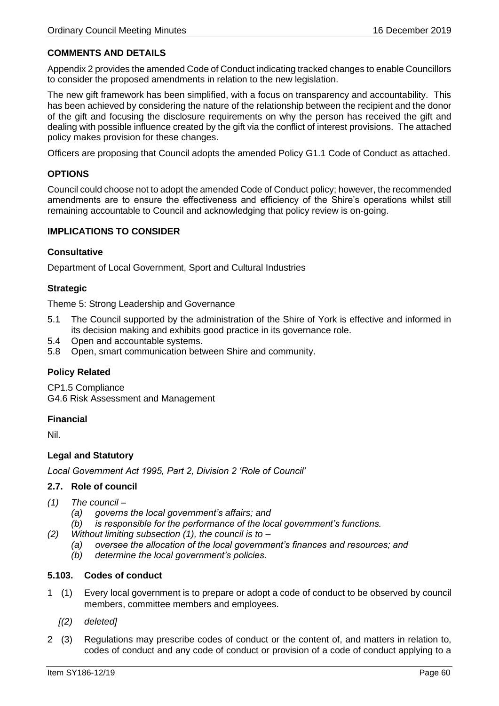# **COMMENTS AND DETAILS**

Appendix 2 provides the amended Code of Conduct indicating tracked changes to enable Councillors to consider the proposed amendments in relation to the new legislation.

The new gift framework has been simplified, with a focus on transparency and accountability. This has been achieved by considering the nature of the relationship between the recipient and the donor of the gift and focusing the disclosure requirements on why the person has received the gift and dealing with possible influence created by the gift via the conflict of interest provisions. The attached policy makes provision for these changes.

Officers are proposing that Council adopts the amended Policy G1.1 Code of Conduct as attached.

# **OPTIONS**

Council could choose not to adopt the amended Code of Conduct policy; however, the recommended amendments are to ensure the effectiveness and efficiency of the Shire's operations whilst still remaining accountable to Council and acknowledging that policy review is on-going.

## **IMPLICATIONS TO CONSIDER**

## **Consultative**

Department of Local Government, Sport and Cultural Industries

## **Strategic**

Theme 5: Strong Leadership and Governance

- 5.1 The Council supported by the administration of the Shire of York is effective and informed in its decision making and exhibits good practice in its governance role.
- 5.4 Open and accountable systems.
- 5.8 Open, smart communication between Shire and community.

## **Policy Related**

CP1.5 Compliance G4.6 Risk Assessment and Management

## **Financial**

Nil.

## **Legal and Statutory**

*Local Government Act 1995, Part 2, Division 2 'Role of Council'*

## **2.7. Role of council**

- *(1) The council –*
	- *(a) governs the local government's affairs; and*
	- *(b) is responsible for the performance of the local government's functions.*
- *(2) Without limiting subsection (1), the council is to –*
	- *(a) oversee the allocation of the local government's finances and resources; and*
	- *(b) determine the local government's policies.*

## **5.103. Codes of conduct**

- 1 (1) Every local government is to prepare or adopt a code of conduct to be observed by council members, committee members and employees.
	- *[(2) deleted]*
- 2 (3) Regulations may prescribe codes of conduct or the content of, and matters in relation to, codes of conduct and any code of conduct or provision of a code of conduct applying to a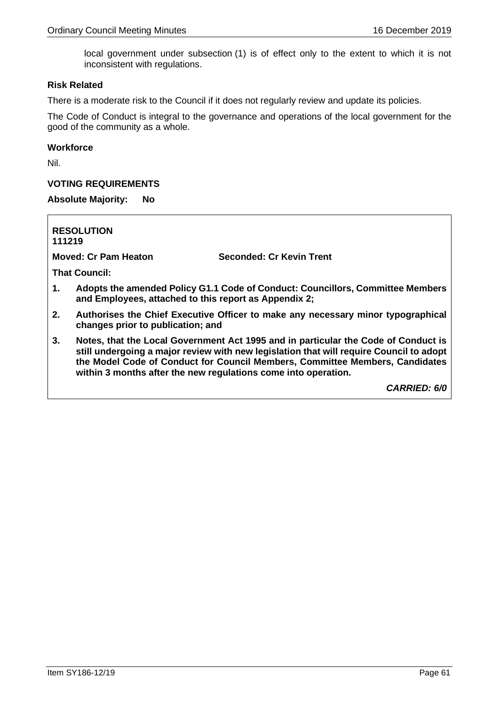local government under subsection (1) is of effect only to the extent to which it is not inconsistent with regulations.

### **Risk Related**

There is a moderate risk to the Council if it does not regularly review and update its policies.

The Code of Conduct is integral to the governance and operations of the local government for the good of the community as a whole.

### **Workforce**

Nil.

## **VOTING REQUIREMENTS**

**Absolute Majority: No**

**RESOLUTION 111219 Moved: Cr Pam Heaton Seconded: Cr Kevin Trent That Council: 1. Adopts the amended Policy G1.1 Code of Conduct: Councillors, Committee Members and Employees, attached to this report as Appendix 2; 2. Authorises the Chief Executive Officer to make any necessary minor typographical changes prior to publication; and 3. Notes, that the Local Government Act 1995 and in particular the Code of Conduct is** 

**still undergoing a major review with new legislation that will require Council to adopt the Model Code of Conduct for Council Members, Committee Members, Candidates within 3 months after the new regulations come into operation.**

*CARRIED: 6/0*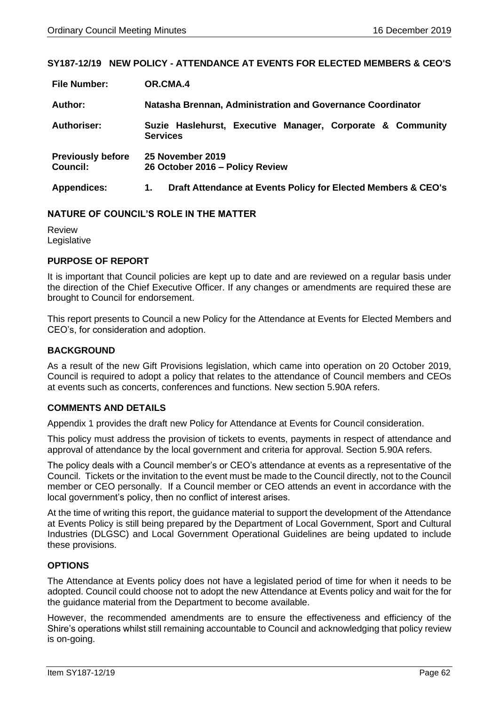## **SY187-12/19 NEW POLICY - ATTENDANCE AT EVENTS FOR ELECTED MEMBERS & CEO'S**

| <b>File Number:</b>                         | OR.CMA.4                                                                      |  |
|---------------------------------------------|-------------------------------------------------------------------------------|--|
| Author:                                     | Natasha Brennan, Administration and Governance Coordinator                    |  |
| Authoriser:                                 | Suzie Haslehurst, Executive Manager, Corporate & Community<br><b>Services</b> |  |
| <b>Previously before</b><br><b>Council:</b> | 25 November 2019<br>26 October 2016 - Policy Review                           |  |
| <b>Appendices:</b>                          | Draft Attendance at Events Policy for Elected Members & CEO's<br>1.           |  |

### **NATURE OF COUNCIL'S ROLE IN THE MATTER**

Review Legislative

### **PURPOSE OF REPORT**

It is important that Council policies are kept up to date and are reviewed on a regular basis under the direction of the Chief Executive Officer. If any changes or amendments are required these are brought to Council for endorsement.

This report presents to Council a new Policy for the Attendance at Events for Elected Members and CEO's, for consideration and adoption.

### **BACKGROUND**

As a result of the new Gift Provisions legislation, which came into operation on 20 October 2019, Council is required to adopt a policy that relates to the attendance of Council members and CEOs at events such as concerts, conferences and functions. New section 5.90A refers.

## **COMMENTS AND DETAILS**

Appendix 1 provides the draft new Policy for Attendance at Events for Council consideration.

This policy must address the provision of tickets to events, payments in respect of attendance and approval of attendance by the local government and criteria for approval. Section 5.90A refers.

The policy deals with a Council member's or CEO's attendance at events as a representative of the Council. Tickets or the invitation to the event must be made to the Council directly, not to the Council member or CEO personally. If a Council member or CEO attends an event in accordance with the local government's policy, then no conflict of interest arises.

At the time of writing this report, the guidance material to support the development of the Attendance at Events Policy is still being prepared by the Department of Local Government, Sport and Cultural Industries (DLGSC) and Local Government Operational Guidelines are being updated to include these provisions.

## **OPTIONS**

The Attendance at Events policy does not have a legislated period of time for when it needs to be adopted. Council could choose not to adopt the new Attendance at Events policy and wait for the for the guidance material from the Department to become available.

However, the recommended amendments are to ensure the effectiveness and efficiency of the Shire's operations whilst still remaining accountable to Council and acknowledging that policy review is on-going.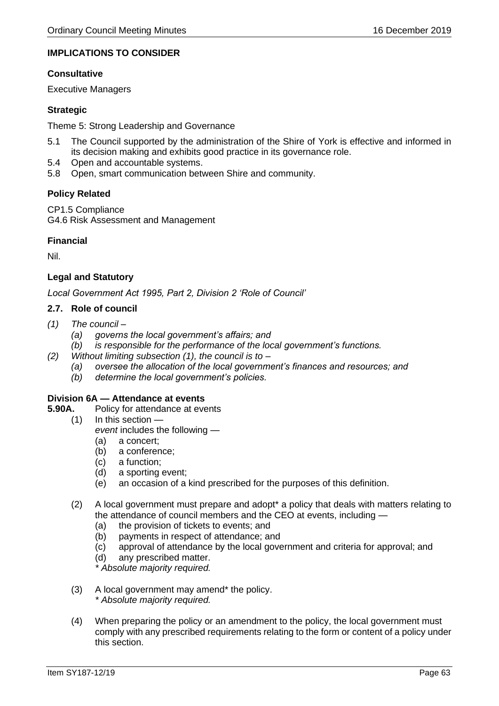# **IMPLICATIONS TO CONSIDER**

## **Consultative**

Executive Managers

## **Strategic**

Theme 5: Strong Leadership and Governance

- 5.1 The Council supported by the administration of the Shire of York is effective and informed in its decision making and exhibits good practice in its governance role.
- 5.4 Open and accountable systems.
- 5.8 Open, smart communication between Shire and community.

## **Policy Related**

CP1.5 Compliance G4.6 Risk Assessment and Management

## **Financial**

Nil.

## **Legal and Statutory**

*Local Government Act 1995, Part 2, Division 2 'Role of Council'*

### **2.7. Role of council**

- *(1) The council –*
	- *(a) governs the local government's affairs; and*
	- *(b) is responsible for the performance of the local government's functions.*
- *(2) Without limiting subsection (1), the council is to –*
	- *(a) oversee the allocation of the local government's finances and resources; and*
	- *(b) determine the local government's policies.*

#### **Division 6A — Attendance at events**

- **5.90A.** Policy for attendance at events
	- (1) In this section *event* includes the following —
		- (a) a concert;
		- (b) a conference;
		- (c) a function;
		- (d) a sporting event;
		- (e) an occasion of a kind prescribed for the purposes of this definition.
	- (2) A local government must prepare and adopt\* a policy that deals with matters relating to the attendance of council members and the CEO at events, including —
		- (a) the provision of tickets to events; and
		- (b) payments in respect of attendance; and
		- (c) approval of attendance by the local government and criteria for approval; and
		- (d) any prescribed matter.

*\* Absolute majority required.*

- (3) A local government may amend\* the policy. *\* Absolute majority required.*
- (4) When preparing the policy or an amendment to the policy, the local government must comply with any prescribed requirements relating to the form or content of a policy under this section.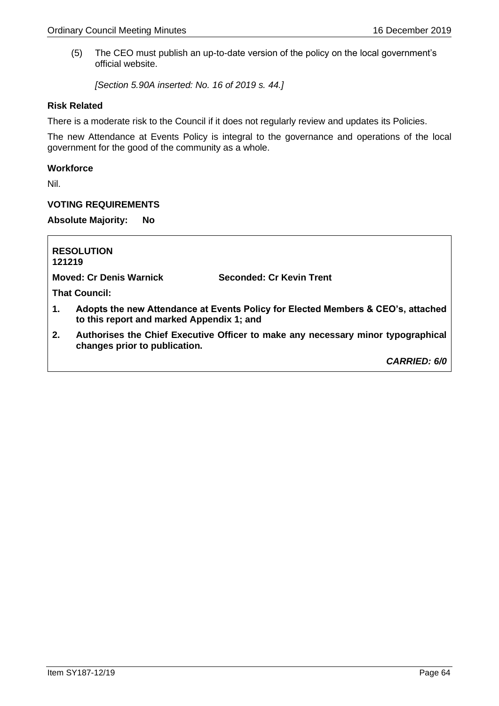(5) The CEO must publish an up-to-date version of the policy on the local government's official website.

*[Section 5.90A inserted: No. 16 of 2019 s. 44.]*

## **Risk Related**

There is a moderate risk to the Council if it does not regularly review and updates its Policies.

The new Attendance at Events Policy is integral to the governance and operations of the local government for the good of the community as a whole.

## **Workforce**

Nil.

### **VOTING REQUIREMENTS**

**Absolute Majority: No**

| 121219 | <b>RESOLUTION</b>                         |                                                                                  |
|--------|-------------------------------------------|----------------------------------------------------------------------------------|
|        | <b>Moved: Cr Denis Warnick</b>            | Seconded: Cr Kevin Trent                                                         |
|        | <b>That Council:</b>                      |                                                                                  |
| 1.     | to this report and marked Appendix 1; and | Adopts the new Attendance at Events Policy for Elected Members & CEO's, attached |
| 2.     | changes prior to publication.             | Authorises the Chief Executive Officer to make any necessary minor typographical |
|        |                                           | <b>CARRIED: 6/0</b>                                                              |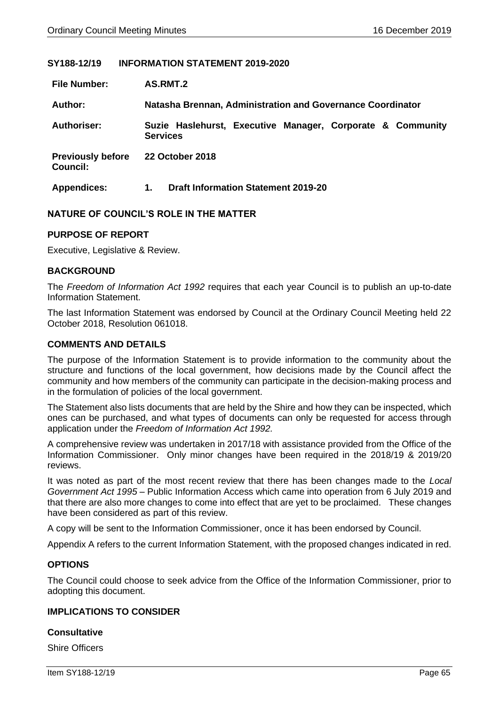## **SY188-12/19 INFORMATION STATEMENT 2019-2020**

| <b>File Number:</b>                         | AS.RMT.2                                                                      |  |  |  |
|---------------------------------------------|-------------------------------------------------------------------------------|--|--|--|
| Author:                                     | Natasha Brennan, Administration and Governance Coordinator                    |  |  |  |
| <b>Authoriser:</b>                          | Suzie Haslehurst, Executive Manager, Corporate & Community<br><b>Services</b> |  |  |  |
| <b>Previously before</b><br><b>Council:</b> | <b>22 October 2018</b>                                                        |  |  |  |
| <b>Appendices:</b>                          | <b>Draft Information Statement 2019-20</b><br>1.                              |  |  |  |

## **NATURE OF COUNCIL'S ROLE IN THE MATTER**

### **PURPOSE OF REPORT**

Executive, Legislative & Review.

### **BACKGROUND**

The *Freedom of Information Act 1992* requires that each year Council is to publish an up-to-date Information Statement.

The last Information Statement was endorsed by Council at the Ordinary Council Meeting held 22 October 2018, Resolution 061018.

## **COMMENTS AND DETAILS**

The purpose of the Information Statement is to provide information to the community about the structure and functions of the local government, how decisions made by the Council affect the community and how members of the community can participate in the decision-making process and in the formulation of policies of the local government.

The Statement also lists documents that are held by the Shire and how they can be inspected, which ones can be purchased, and what types of documents can only be requested for access through application under the *Freedom of Information Act 1992.*

A comprehensive review was undertaken in 2017/18 with assistance provided from the Office of the Information Commissioner. Only minor changes have been required in the 2018/19 & 2019/20 reviews.

It was noted as part of the most recent review that there has been changes made to the *Local Government Act 1995* – Public Information Access which came into operation from 6 July 2019 and that there are also more changes to come into effect that are yet to be proclaimed. These changes have been considered as part of this review.

A copy will be sent to the Information Commissioner, once it has been endorsed by Council.

Appendix A refers to the current Information Statement, with the proposed changes indicated in red.

#### **OPTIONS**

The Council could choose to seek advice from the Office of the Information Commissioner, prior to adopting this document.

### **IMPLICATIONS TO CONSIDER**

#### **Consultative**

Shire Officers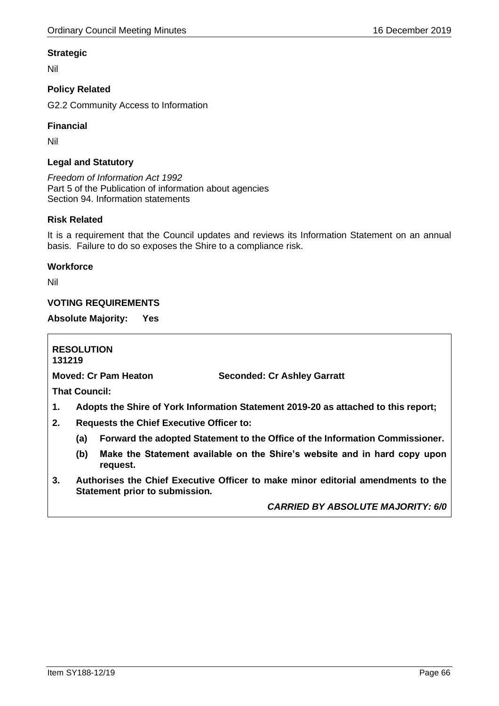# **Strategic**

Nil

# **Policy Related**

G2.2 Community Access to Information

# **Financial**

Nil

# **Legal and Statutory**

*Freedom of Information Act 1992* Part 5 of the Publication of information about agencies Section 94. Information statements

# **Risk Related**

It is a requirement that the Council updates and reviews its Information Statement on an annual basis. Failure to do so exposes the Shire to a compliance risk.

## **Workforce**

Nil

# **VOTING REQUIREMENTS**

**Absolute Majority: Yes**

**RESOLUTION 131219 Moved: Cr Pam Heaton Seconded: Cr Ashley Garratt That Council: 1. Adopts the Shire of York Information Statement 2019-20 as attached to this report; 2. Requests the Chief Executive Officer to: (a) Forward the adopted Statement to the Office of the Information Commissioner. (b) Make the Statement available on the Shire's website and in hard copy upon request. 3. Authorises the Chief Executive Officer to make minor editorial amendments to the Statement prior to submission.**

*CARRIED BY ABSOLUTE MAJORITY: 6/0*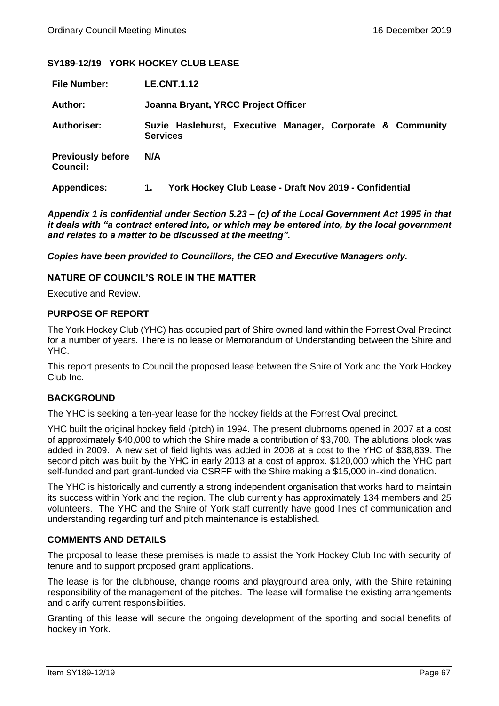## **SY189-12/19 YORK HOCKEY CLUB LEASE**

| <b>File Number:</b>                         | <b>LE.CNT.1.12</b>                                                            |  |  |  |
|---------------------------------------------|-------------------------------------------------------------------------------|--|--|--|
| Author:                                     | Joanna Bryant, YRCC Project Officer                                           |  |  |  |
| <b>Authoriser:</b>                          | Suzie Haslehurst, Executive Manager, Corporate & Community<br><b>Services</b> |  |  |  |
| <b>Previously before</b><br><b>Council:</b> | N/A                                                                           |  |  |  |
| <b>Appendices:</b>                          | York Hockey Club Lease - Draft Nov 2019 - Confidential<br>1.                  |  |  |  |

*Appendix 1 is confidential under Section 5.23 – (c) of the Local Government Act 1995 in that it deals with "a contract entered into, or which may be entered into, by the local government and relates to a matter to be discussed at the meeting".*

*Copies have been provided to Councillors, the CEO and Executive Managers only.*

### **NATURE OF COUNCIL'S ROLE IN THE MATTER**

Executive and Review.

### **PURPOSE OF REPORT**

The York Hockey Club (YHC) has occupied part of Shire owned land within the Forrest Oval Precinct for a number of years. There is no lease or Memorandum of Understanding between the Shire and YHC.

This report presents to Council the proposed lease between the Shire of York and the York Hockey Club Inc.

## **BACKGROUND**

The YHC is seeking a ten-year lease for the hockey fields at the Forrest Oval precinct.

YHC built the original hockey field (pitch) in 1994. The present clubrooms opened in 2007 at a cost of approximately \$40,000 to which the Shire made a contribution of \$3,700. The ablutions block was added in 2009. A new set of field lights was added in 2008 at a cost to the YHC of \$38,839. The second pitch was built by the YHC in early 2013 at a cost of approx. \$120,000 which the YHC part self-funded and part grant-funded via CSRFF with the Shire making a \$15,000 in-kind donation.

The YHC is historically and currently a strong independent organisation that works hard to maintain its success within York and the region. The club currently has approximately 134 members and 25 volunteers. The YHC and the Shire of York staff currently have good lines of communication and understanding regarding turf and pitch maintenance is established.

#### **COMMENTS AND DETAILS**

The proposal to lease these premises is made to assist the York Hockey Club Inc with security of tenure and to support proposed grant applications.

The lease is for the clubhouse, change rooms and playground area only, with the Shire retaining responsibility of the management of the pitches. The lease will formalise the existing arrangements and clarify current responsibilities.

Granting of this lease will secure the ongoing development of the sporting and social benefits of hockey in York.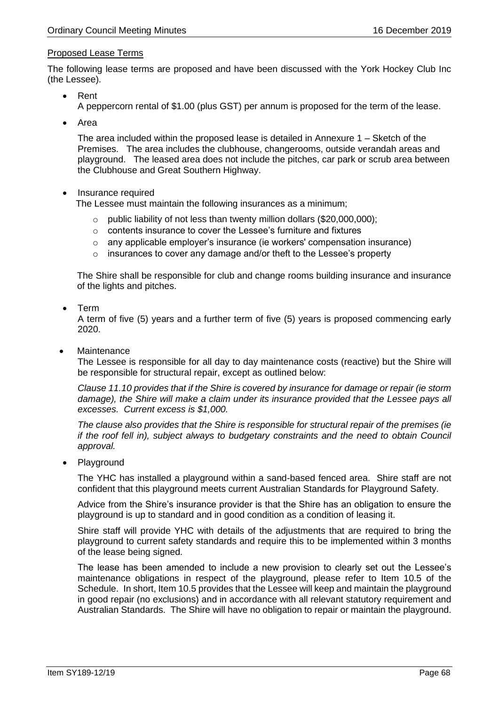# Proposed Lease Terms

The following lease terms are proposed and have been discussed with the York Hockey Club Inc (the Lessee).

- Rent A peppercorn rental of \$1.00 (plus GST) per annum is proposed for the term of the lease.
- Area

The area included within the proposed lease is detailed in Annexure 1 – Sketch of the Premises. The area includes the clubhouse, changerooms, outside verandah areas and playground. The leased area does not include the pitches, car park or scrub area between the Clubhouse and Great Southern Highway.

## • Insurance required

The Lessee must maintain the following insurances as a minimum;

- o public liability of not less than twenty million dollars (\$20,000,000);
- o contents insurance to cover the Lessee's furniture and fixtures
- $\circ$  any applicable employer's insurance (ie workers' compensation insurance)
- o insurances to cover any damage and/or theft to the Lessee's property

The Shire shall be responsible for club and change rooms building insurance and insurance of the lights and pitches.

• Term

A term of five (5) years and a further term of five (5) years is proposed commencing early 2020.

**Maintenance** 

The Lessee is responsible for all day to day maintenance costs (reactive) but the Shire will be responsible for structural repair, except as outlined below:

*Clause 11.10 provides that if the Shire is covered by insurance for damage or repair (ie storm damage), the Shire will make a claim under its insurance provided that the Lessee pays all excesses. Current excess is \$1,000.*

*The clause also provides that the Shire is responsible for structural repair of the premises (ie if the roof fell in), subject always to budgetary constraints and the need to obtain Council approval.*

• Playground

The YHC has installed a playground within a sand-based fenced area. Shire staff are not confident that this playground meets current Australian Standards for Playground Safety.

Advice from the Shire's insurance provider is that the Shire has an obligation to ensure the playground is up to standard and in good condition as a condition of leasing it.

Shire staff will provide YHC with details of the adjustments that are required to bring the playground to current safety standards and require this to be implemented within 3 months of the lease being signed.

The lease has been amended to include a new provision to clearly set out the Lessee's maintenance obligations in respect of the playground, please refer to Item 10.5 of the Schedule. In short, Item 10.5 provides that the Lessee will keep and maintain the playground in good repair (no exclusions) and in accordance with all relevant statutory requirement and Australian Standards. The Shire will have no obligation to repair or maintain the playground.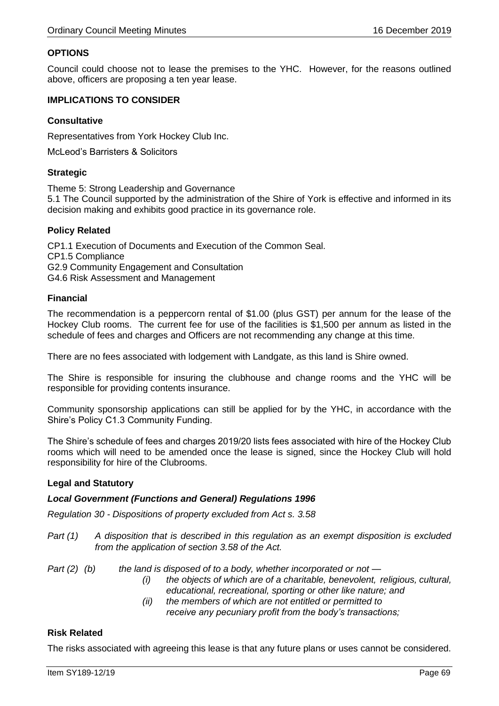# **OPTIONS**

Council could choose not to lease the premises to the YHC. However, for the reasons outlined above, officers are proposing a ten year lease.

## **IMPLICATIONS TO CONSIDER**

# **Consultative**

Representatives from York Hockey Club Inc.

McLeod's Barristers & Solicitors

# **Strategic**

Theme 5: Strong Leadership and Governance 5.1 The Council supported by the administration of the Shire of York is effective and informed in its decision making and exhibits good practice in its governance role.

# **Policy Related**

CP1.1 Execution of Documents and Execution of the Common Seal. CP1.5 Compliance G2.9 Community Engagement and Consultation G4.6 Risk Assessment and Management

## **Financial**

The recommendation is a peppercorn rental of \$1.00 (plus GST) per annum for the lease of the Hockey Club rooms. The current fee for use of the facilities is \$1,500 per annum as listed in the schedule of fees and charges and Officers are not recommending any change at this time.

There are no fees associated with lodgement with Landgate, as this land is Shire owned.

The Shire is responsible for insuring the clubhouse and change rooms and the YHC will be responsible for providing contents insurance.

Community sponsorship applications can still be applied for by the YHC, in accordance with the Shire's Policy C1.3 Community Funding.

The Shire's schedule of fees and charges 2019/20 lists fees associated with hire of the Hockey Club rooms which will need to be amended once the lease is signed, since the Hockey Club will hold responsibility for hire of the Clubrooms.

## **Legal and Statutory**

## *Local Government (Functions and General) Regulations 1996*

*Regulation 30 - Dispositions of property excluded from Act s. 3.58*

- *Part (1) A disposition that is described in this regulation as an exempt disposition is excluded from the application of section 3.58 of the Act.*
- *Part (2) (b) the land is disposed of to a body, whether incorporated or not —*
	- *(i) the objects of which are of a charitable, benevolent, religious, cultural, educational, recreational, sporting or other like nature; and*
	- *(ii) the members of which are not entitled or permitted to receive any pecuniary profit from the body's transactions;*

## **Risk Related**

The risks associated with agreeing this lease is that any future plans or uses cannot be considered.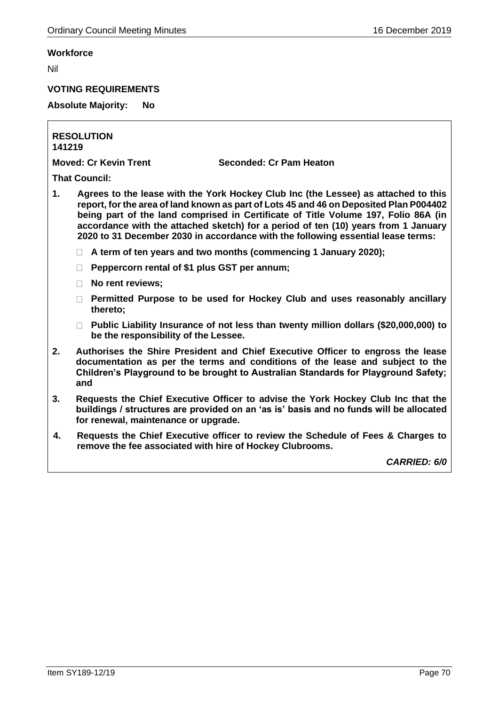# **Workforce**

Nil

# **VOTING REQUIREMENTS**

# **Absolute Majority: No**

**RESOLUTION 141219**

**Moved: Cr Kevin Trent Seconded: Cr Pam Heaton**

**That Council:**

- **1. Agrees to the lease with the York Hockey Club Inc (the Lessee) as attached to this report, for the area of land known as part of Lots 45 and 46 on Deposited Plan P004402 being part of the land comprised in Certificate of Title Volume 197, Folio 86A (in accordance with the attached sketch) for a period of ten (10) years from 1 January 2020 to 31 December 2030 in accordance with the following essential lease terms:**
	- **A term of ten years and two months (commencing 1 January 2020);**
	- **Peppercorn rental of \$1 plus GST per annum;**
	- **No rent reviews;**
	- **Permitted Purpose to be used for Hockey Club and uses reasonably ancillary thereto;**
	- **Public Liability Insurance of not less than twenty million dollars (\$20,000,000) to be the responsibility of the Lessee.**
- **2. Authorises the Shire President and Chief Executive Officer to engross the lease documentation as per the terms and conditions of the lease and subject to the Children's Playground to be brought to Australian Standards for Playground Safety; and**
- **3. Requests the Chief Executive Officer to advise the York Hockey Club Inc that the buildings / structures are provided on an 'as is' basis and no funds will be allocated for renewal, maintenance or upgrade.**
- **4. Requests the Chief Executive officer to review the Schedule of Fees & Charges to remove the fee associated with hire of Hockey Clubrooms.**

*CARRIED: 6/0*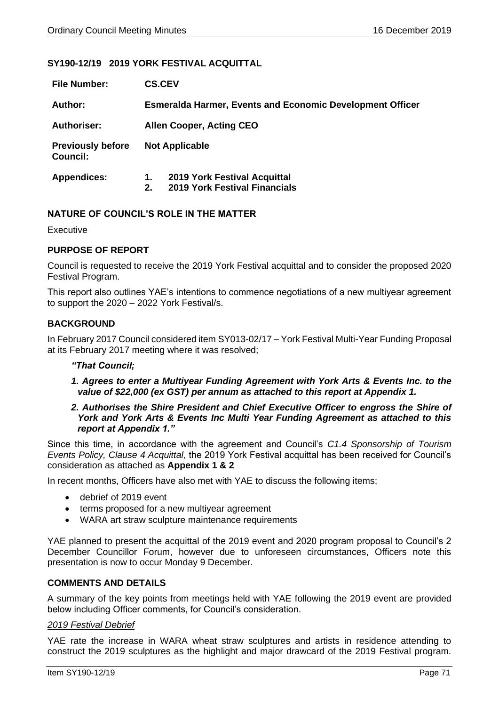# **SY190-12/19 2019 YORK FESTIVAL ACQUITTAL**

| <b>File Number:</b>                         | <b>CS.CEV</b>                                                    |                                                                      |  |  |
|---------------------------------------------|------------------------------------------------------------------|----------------------------------------------------------------------|--|--|
| Author:                                     | <b>Esmeralda Harmer, Events and Economic Development Officer</b> |                                                                      |  |  |
| <b>Authoriser:</b>                          | <b>Allen Cooper, Acting CEO</b>                                  |                                                                      |  |  |
| <b>Previously before</b><br><b>Council:</b> | <b>Not Applicable</b>                                            |                                                                      |  |  |
| <b>Appendices:</b>                          | 1.<br>2.                                                         | 2019 York Festival Acquittal<br><b>2019 York Festival Financials</b> |  |  |

# **NATURE OF COUNCIL'S ROLE IN THE MATTER**

Executive

## **PURPOSE OF REPORT**

Council is requested to receive the 2019 York Festival acquittal and to consider the proposed 2020 Festival Program.

This report also outlines YAE's intentions to commence negotiations of a new multiyear agreement to support the 2020 – 2022 York Festival/s.

## **BACKGROUND**

In February 2017 Council considered item SY013-02/17 – York Festival Multi-Year Funding Proposal at its February 2017 meeting where it was resolved;

## *"That Council;*

*1. Agrees to enter a Multiyear Funding Agreement with York Arts & Events Inc. to the value of \$22,000 (ex GST) per annum as attached to this report at Appendix 1.*

## *2. Authorises the Shire President and Chief Executive Officer to engross the Shire of York and York Arts & Events Inc Multi Year Funding Agreement as attached to this report at Appendix 1."*

Since this time, in accordance with the agreement and Council's *C1.4 Sponsorship of Tourism Events Policy, Clause 4 Acquittal*, the 2019 York Festival acquittal has been received for Council's consideration as attached as **Appendix 1 & 2**

In recent months, Officers have also met with YAE to discuss the following items;

- debrief of 2019 event
- terms proposed for a new multiyear agreement
- WARA art straw sculpture maintenance requirements

YAE planned to present the acquittal of the 2019 event and 2020 program proposal to Council's 2 December Councillor Forum, however due to unforeseen circumstances, Officers note this presentation is now to occur Monday 9 December.

## **COMMENTS AND DETAILS**

A summary of the key points from meetings held with YAE following the 2019 event are provided below including Officer comments, for Council's consideration.

#### *2019 Festival Debrief*

YAE rate the increase in WARA wheat straw sculptures and artists in residence attending to construct the 2019 sculptures as the highlight and major drawcard of the 2019 Festival program.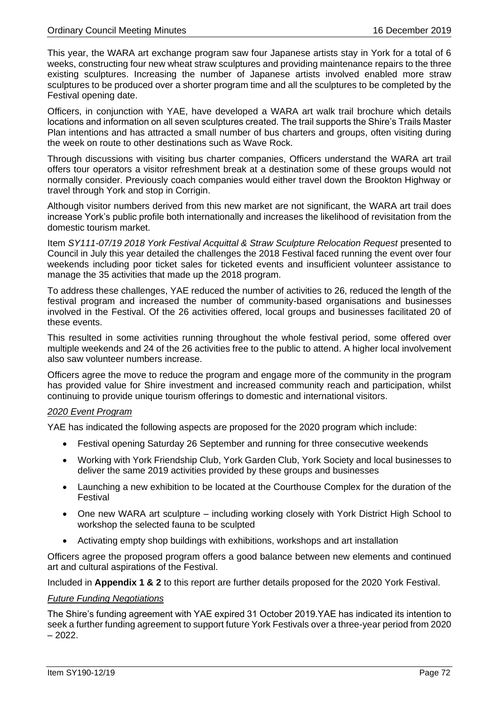This year, the WARA art exchange program saw four Japanese artists stay in York for a total of 6 weeks, constructing four new wheat straw sculptures and providing maintenance repairs to the three existing sculptures. Increasing the number of Japanese artists involved enabled more straw sculptures to be produced over a shorter program time and all the sculptures to be completed by the Festival opening date.

Officers, in conjunction with YAE, have developed a WARA art walk trail brochure which details locations and information on all seven sculptures created. The trail supports the Shire's Trails Master Plan intentions and has attracted a small number of bus charters and groups, often visiting during the week on route to other destinations such as Wave Rock.

Through discussions with visiting bus charter companies, Officers understand the WARA art trail offers tour operators a visitor refreshment break at a destination some of these groups would not normally consider. Previously coach companies would either travel down the Brookton Highway or travel through York and stop in Corrigin.

Although visitor numbers derived from this new market are not significant, the WARA art trail does increase York's public profile both internationally and increases the likelihood of revisitation from the domestic tourism market.

Item *SY111-07/19 2018 York Festival Acquittal & Straw Sculpture Relocation Request* presented to Council in July this year detailed the challenges the 2018 Festival faced running the event over four weekends including poor ticket sales for ticketed events and insufficient volunteer assistance to manage the 35 activities that made up the 2018 program.

To address these challenges, YAE reduced the number of activities to 26, reduced the length of the festival program and increased the number of community-based organisations and businesses involved in the Festival. Of the 26 activities offered, local groups and businesses facilitated 20 of these events.

This resulted in some activities running throughout the whole festival period, some offered over multiple weekends and 24 of the 26 activities free to the public to attend. A higher local involvement also saw volunteer numbers increase.

Officers agree the move to reduce the program and engage more of the community in the program has provided value for Shire investment and increased community reach and participation, whilst continuing to provide unique tourism offerings to domestic and international visitors.

## *2020 Event Program*

YAE has indicated the following aspects are proposed for the 2020 program which include:

- Festival opening Saturday 26 September and running for three consecutive weekends
- Working with York Friendship Club, York Garden Club, York Society and local businesses to deliver the same 2019 activities provided by these groups and businesses
- Launching a new exhibition to be located at the Courthouse Complex for the duration of the Festival
- One new WARA art sculpture including working closely with York District High School to workshop the selected fauna to be sculpted
- Activating empty shop buildings with exhibitions, workshops and art installation

Officers agree the proposed program offers a good balance between new elements and continued art and cultural aspirations of the Festival.

Included in **Appendix 1 & 2** to this report are further details proposed for the 2020 York Festival.

#### *Future Funding Negotiations*

The Shire's funding agreement with YAE expired 31 October 2019.YAE has indicated its intention to seek a further funding agreement to support future York Festivals over a three-year period from 2020  $-2022.$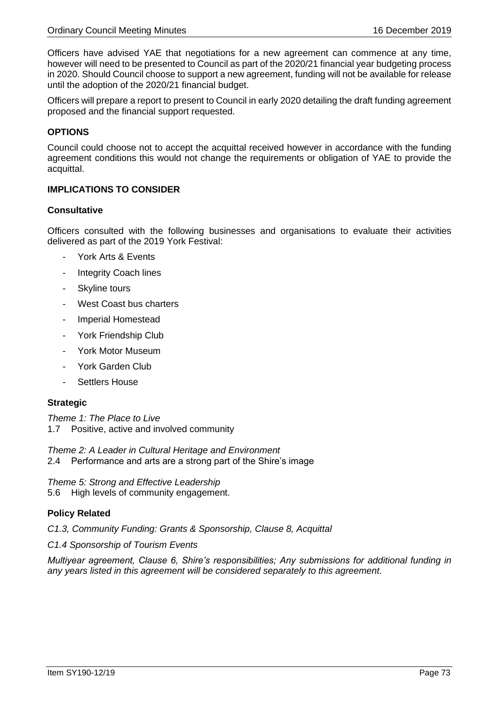Officers have advised YAE that negotiations for a new agreement can commence at any time, however will need to be presented to Council as part of the 2020/21 financial year budgeting process in 2020. Should Council choose to support a new agreement, funding will not be available for release until the adoption of the 2020/21 financial budget.

Officers will prepare a report to present to Council in early 2020 detailing the draft funding agreement proposed and the financial support requested.

### **OPTIONS**

Council could choose not to accept the acquittal received however in accordance with the funding agreement conditions this would not change the requirements or obligation of YAE to provide the acquittal.

# **IMPLICATIONS TO CONSIDER**

#### **Consultative**

Officers consulted with the following businesses and organisations to evaluate their activities delivered as part of the 2019 York Festival:

- York Arts & Events
- Integrity Coach lines
- Skyline tours
- West Coast bus charters
- Imperial Homestead
- York Friendship Club
- York Motor Museum
- York Garden Club
- Settlers House

#### **Strategic**

*Theme 1: The Place to Live* 1.7 Positive, active and involved community

*Theme 2: A Leader in Cultural Heritage and Environment* 2.4 Performance and arts are a strong part of the Shire's image

*Theme 5: Strong and Effective Leadership* 5.6 High levels of community engagement.

# **Policy Related**

*C1.3, Community Funding: Grants & Sponsorship, Clause 8, Acquittal*

*C1.4 Sponsorship of Tourism Events* 

*Multiyear agreement, Clause 6, Shire's responsibilities; Any submissions for additional funding in any years listed in this agreement will be considered separately to this agreement.*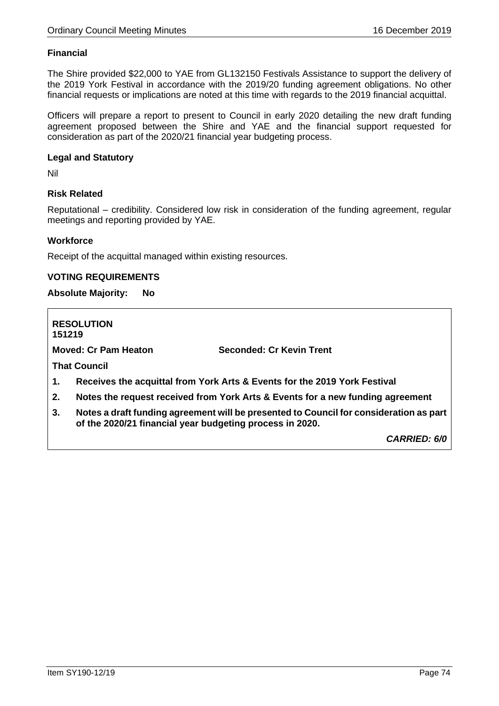# **Financial**

The Shire provided \$22,000 to YAE from GL132150 Festivals Assistance to support the delivery of the 2019 York Festival in accordance with the 2019/20 funding agreement obligations. No other financial requests or implications are noted at this time with regards to the 2019 financial acquittal.

Officers will prepare a report to present to Council in early 2020 detailing the new draft funding agreement proposed between the Shire and YAE and the financial support requested for consideration as part of the 2020/21 financial year budgeting process.

### **Legal and Statutory**

Nil

# **Risk Related**

Reputational – credibility. Considered low risk in consideration of the funding agreement, regular meetings and reporting provided by YAE.

### **Workforce**

Receipt of the acquittal managed within existing resources.

### **VOTING REQUIREMENTS**

**Absolute Majority: No**

**RESOLUTION 151219 Moved: Cr Pam Heaton Seconded: Cr Kevin Trent That Council 1. Receives the acquittal from York Arts & Events for the 2019 York Festival 2. Notes the request received from York Arts & Events for a new funding agreement 3. Notes a draft funding agreement will be presented to Council for consideration as part of the 2020/21 financial year budgeting process in 2020.** *CARRIED: 6/0*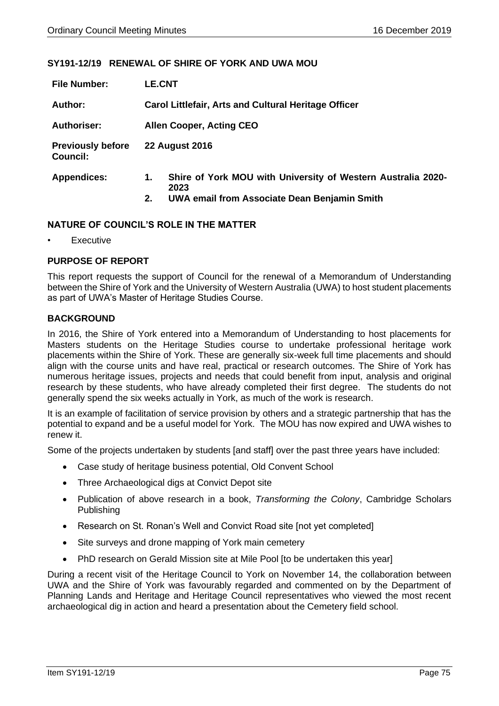# **SY191-12/19 RENEWAL OF SHIRE OF YORK AND UWA MOU**

| <b>File Number:</b>                         | <b>LE.CNT</b>                                                              |  |  |  |  |
|---------------------------------------------|----------------------------------------------------------------------------|--|--|--|--|
| Author:                                     | <b>Carol Littlefair, Arts and Cultural Heritage Officer</b>                |  |  |  |  |
| <b>Authoriser:</b>                          | <b>Allen Cooper, Acting CEO</b>                                            |  |  |  |  |
| <b>Previously before</b><br><b>Council:</b> | <b>22 August 2016</b>                                                      |  |  |  |  |
| <b>Appendices:</b>                          | Shire of York MOU with University of Western Australia 2020-<br>1.<br>2023 |  |  |  |  |
|                                             | UWA email from Associate Dean Benjamin Smith<br>2.                         |  |  |  |  |

### **NATURE OF COUNCIL'S ROLE IN THE MATTER**

**Executive** 

# **PURPOSE OF REPORT**

This report requests the support of Council for the renewal of a Memorandum of Understanding between the Shire of York and the University of Western Australia (UWA) to host student placements as part of UWA's Master of Heritage Studies Course.

### **BACKGROUND**

In 2016, the Shire of York entered into a Memorandum of Understanding to host placements for Masters students on the Heritage Studies course to undertake professional heritage work placements within the Shire of York. These are generally six-week full time placements and should align with the course units and have real, practical or research outcomes. The Shire of York has numerous heritage issues, projects and needs that could benefit from input, analysis and original research by these students, who have already completed their first degree. The students do not generally spend the six weeks actually in York, as much of the work is research.

It is an example of facilitation of service provision by others and a strategic partnership that has the potential to expand and be a useful model for York. The MOU has now expired and UWA wishes to renew it.

Some of the projects undertaken by students [and staff] over the past three years have included:

- Case study of heritage business potential, Old Convent School
- Three Archaeological digs at Convict Depot site
- Publication of above research in a book, *Transforming the Colony*, Cambridge Scholars Publishing
- Research on St. Ronan's Well and Convict Road site [not yet completed]
- Site surveys and drone mapping of York main cemetery
- PhD research on Gerald Mission site at Mile Pool [to be undertaken this year]

During a recent visit of the Heritage Council to York on November 14, the collaboration between UWA and the Shire of York was favourably regarded and commented on by the Department of Planning Lands and Heritage and Heritage Council representatives who viewed the most recent archaeological dig in action and heard a presentation about the Cemetery field school.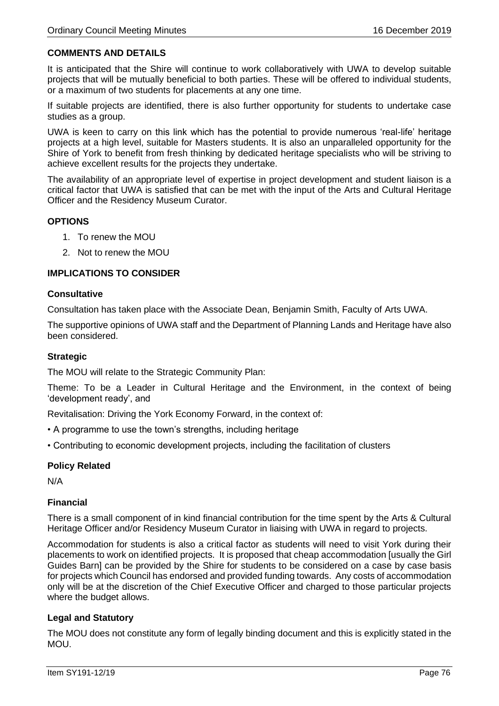# **COMMENTS AND DETAILS**

It is anticipated that the Shire will continue to work collaboratively with UWA to develop suitable projects that will be mutually beneficial to both parties. These will be offered to individual students, or a maximum of two students for placements at any one time.

If suitable projects are identified, there is also further opportunity for students to undertake case studies as a group.

UWA is keen to carry on this link which has the potential to provide numerous 'real-life' heritage projects at a high level, suitable for Masters students. It is also an unparalleled opportunity for the Shire of York to benefit from fresh thinking by dedicated heritage specialists who will be striving to achieve excellent results for the projects they undertake.

The availability of an appropriate level of expertise in project development and student liaison is a critical factor that UWA is satisfied that can be met with the input of the Arts and Cultural Heritage Officer and the Residency Museum Curator.

### **OPTIONS**

- 1. To renew the MOU
- 2. Not to renew the MOU

# **IMPLICATIONS TO CONSIDER**

#### **Consultative**

Consultation has taken place with the Associate Dean, Benjamin Smith, Faculty of Arts UWA.

The supportive opinions of UWA staff and the Department of Planning Lands and Heritage have also been considered.

### **Strategic**

The MOU will relate to the Strategic Community Plan:

Theme: To be a Leader in Cultural Heritage and the Environment, in the context of being 'development ready', and

Revitalisation: Driving the York Economy Forward, in the context of:

- A programme to use the town's strengths, including heritage
- Contributing to economic development projects, including the facilitation of clusters

# **Policy Related**

N/A

#### **Financial**

There is a small component of in kind financial contribution for the time spent by the Arts & Cultural Heritage Officer and/or Residency Museum Curator in liaising with UWA in regard to projects.

Accommodation for students is also a critical factor as students will need to visit York during their placements to work on identified projects. It is proposed that cheap accommodation [usually the Girl Guides Barn] can be provided by the Shire for students to be considered on a case by case basis for projects which Council has endorsed and provided funding towards. Any costs of accommodation only will be at the discretion of the Chief Executive Officer and charged to those particular projects where the budget allows.

# **Legal and Statutory**

The MOU does not constitute any form of legally binding document and this is explicitly stated in the MOU.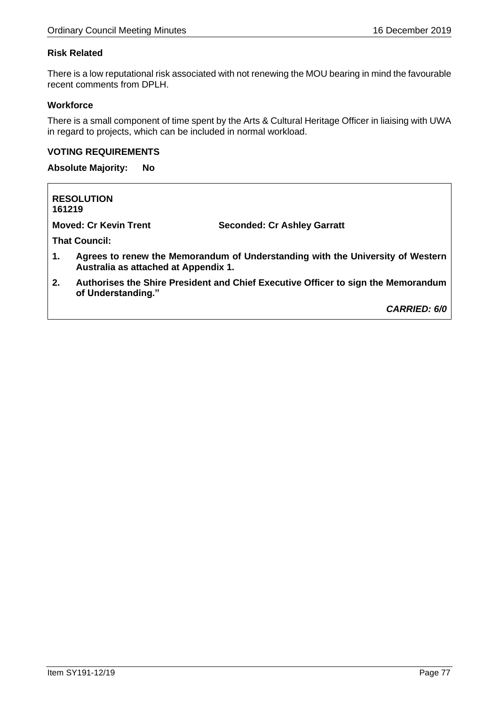# **Risk Related**

There is a low reputational risk associated with not renewing the MOU bearing in mind the favourable recent comments from DPLH.

# **Workforce**

There is a small component of time spent by the Arts & Cultural Heritage Officer in liaising with UWA in regard to projects, which can be included in normal workload.

# **VOTING REQUIREMENTS**

**Absolute Majority: No**

| 161219 | <b>RESOLUTION</b>                    |                                                                                   |
|--------|--------------------------------------|-----------------------------------------------------------------------------------|
|        | <b>Moved: Cr Kevin Trent</b>         | <b>Seconded: Cr Ashley Garratt</b>                                                |
|        | <b>That Council:</b>                 |                                                                                   |
| 1.     | Australia as attached at Appendix 1. | Agrees to renew the Memorandum of Understanding with the University of Western    |
| 2.     | of Understanding."                   | Authorises the Shire President and Chief Executive Officer to sign the Memorandum |

*CARRIED: 6/0*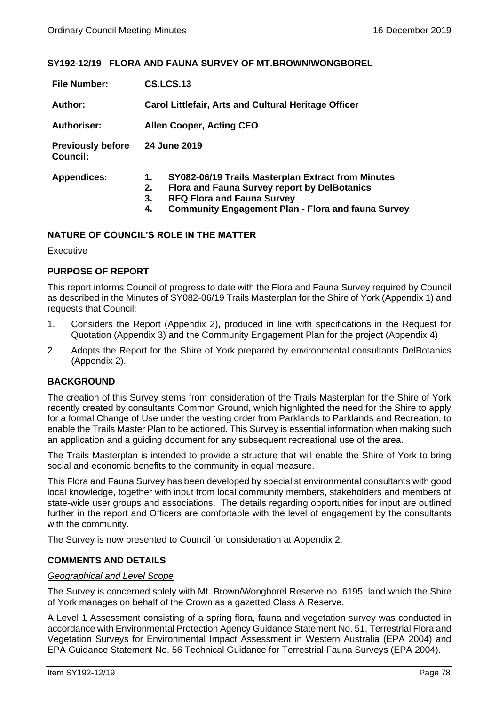# **SY192-12/19 FLORA AND FAUNA SURVEY OF MT.BROWN/WONGBOREL**

| <b>File Number:</b>                         | <b>CS.LCS.13</b>                                                                                                                                                                                                                    |  |  |  |  |
|---------------------------------------------|-------------------------------------------------------------------------------------------------------------------------------------------------------------------------------------------------------------------------------------|--|--|--|--|
| Author:                                     | Carol Littlefair, Arts and Cultural Heritage Officer                                                                                                                                                                                |  |  |  |  |
| <b>Authoriser:</b>                          | <b>Allen Cooper, Acting CEO</b>                                                                                                                                                                                                     |  |  |  |  |
| <b>Previously before</b><br><b>Council:</b> | 24 June 2019                                                                                                                                                                                                                        |  |  |  |  |
| <b>Appendices:</b>                          | SY082-06/19 Trails Masterplan Extract from Minutes<br>1.<br><b>Flora and Fauna Survey report by DelBotanics</b><br>2.<br><b>RFQ Flora and Fauna Survey</b><br>3.<br><b>Community Engagement Plan - Flora and fauna Survey</b><br>4. |  |  |  |  |

# **NATURE OF COUNCIL'S ROLE IN THE MATTER**

**Executive** 

# **PURPOSE OF REPORT**

This report informs Council of progress to date with the Flora and Fauna Survey required by Council as described in the Minutes of SY082-06/19 Trails Masterplan for the Shire of York (Appendix 1) and requests that Council:

- 1. Considers the Report (Appendix 2), produced in line with specifications in the Request for Quotation (Appendix 3) and the Community Engagement Plan for the project (Appendix 4)
- 2. Adopts the Report for the Shire of York prepared by environmental consultants DelBotanics (Appendix 2).

# **BACKGROUND**

The creation of this Survey stems from consideration of the Trails Masterplan for the Shire of York recently created by consultants Common Ground, which highlighted the need for the Shire to apply for a formal Change of Use under the vesting order from Parklands to Parklands and Recreation, to enable the Trails Master Plan to be actioned. This Survey is essential information when making such an application and a guiding document for any subsequent recreational use of the area.

The Trails Masterplan is intended to provide a structure that will enable the Shire of York to bring social and economic benefits to the community in equal measure.

This Flora and Fauna Survey has been developed by specialist environmental consultants with good local knowledge, together with input from local community members, stakeholders and members of state-wide user groups and associations. The details regarding opportunities for input are outlined further in the report and Officers are comfortable with the level of engagement by the consultants with the community.

The Survey is now presented to Council for consideration at Appendix 2.

# **COMMENTS AND DETAILS**

### *Geographical and Level Scope*

The Survey is concerned solely with Mt. Brown/Wongborel Reserve no. 6195; land which the Shire of York manages on behalf of the Crown as a gazetted Class A Reserve.

A Level 1 Assessment consisting of a spring flora, fauna and vegetation survey was conducted in accordance with Environmental Protection Agency Guidance Statement No. 51, Terrestrial Flora and Vegetation Surveys for Environmental Impact Assessment in Western Australia (EPA 2004) and EPA Guidance Statement No. 56 Technical Guidance for Terrestrial Fauna Surveys (EPA 2004).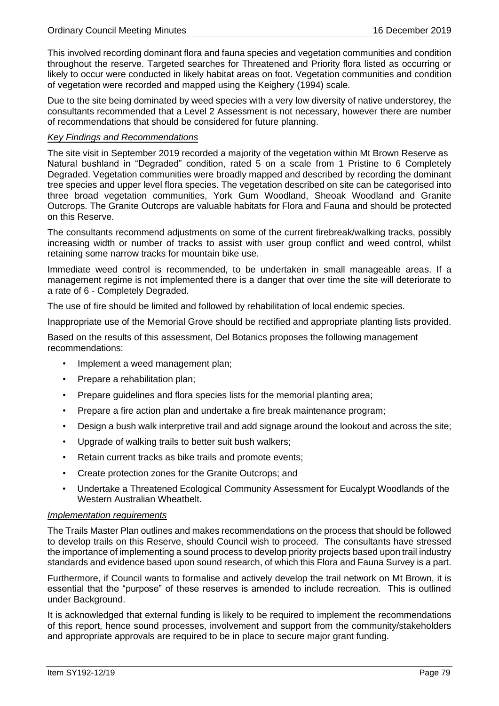This involved recording dominant flora and fauna species and vegetation communities and condition throughout the reserve. Targeted searches for Threatened and Priority flora listed as occurring or likely to occur were conducted in likely habitat areas on foot. Vegetation communities and condition of vegetation were recorded and mapped using the Keighery (1994) scale.

Due to the site being dominated by weed species with a very low diversity of native understorey, the consultants recommended that a Level 2 Assessment is not necessary, however there are number of recommendations that should be considered for future planning.

### *Key Findings and Recommendations*

The site visit in September 2019 recorded a majority of the vegetation within Mt Brown Reserve as Natural bushland in "Degraded" condition, rated 5 on a scale from 1 Pristine to 6 Completely Degraded. Vegetation communities were broadly mapped and described by recording the dominant tree species and upper level flora species. The vegetation described on site can be categorised into three broad vegetation communities, York Gum Woodland, Sheoak Woodland and Granite Outcrops. The Granite Outcrops are valuable habitats for Flora and Fauna and should be protected on this Reserve.

The consultants recommend adjustments on some of the current firebreak/walking tracks, possibly increasing width or number of tracks to assist with user group conflict and weed control, whilst retaining some narrow tracks for mountain bike use.

Immediate weed control is recommended, to be undertaken in small manageable areas. If a management regime is not implemented there is a danger that over time the site will deteriorate to a rate of 6 - Completely Degraded.

The use of fire should be limited and followed by rehabilitation of local endemic species.

Inappropriate use of the Memorial Grove should be rectified and appropriate planting lists provided.

Based on the results of this assessment, Del Botanics proposes the following management recommendations:

- Implement a weed management plan;
- Prepare a rehabilitation plan:
- Prepare guidelines and flora species lists for the memorial planting area;
- Prepare a fire action plan and undertake a fire break maintenance program;
- Design a bush walk interpretive trail and add signage around the lookout and across the site;
- Upgrade of walking trails to better suit bush walkers;
- Retain current tracks as bike trails and promote events;
- Create protection zones for the Granite Outcrops; and
- Undertake a Threatened Ecological Community Assessment for Eucalypt Woodlands of the Western Australian Wheatbelt.

#### *Implementation requirements*

The Trails Master Plan outlines and makes recommendations on the process that should be followed to develop trails on this Reserve, should Council wish to proceed. The consultants have stressed the importance of implementing a sound process to develop priority projects based upon trail industry standards and evidence based upon sound research, of which this Flora and Fauna Survey is a part.

Furthermore, if Council wants to formalise and actively develop the trail network on Mt Brown, it is essential that the "purpose" of these reserves is amended to include recreation. This is outlined under Background.

It is acknowledged that external funding is likely to be required to implement the recommendations of this report, hence sound processes, involvement and support from the community/stakeholders and appropriate approvals are required to be in place to secure major grant funding.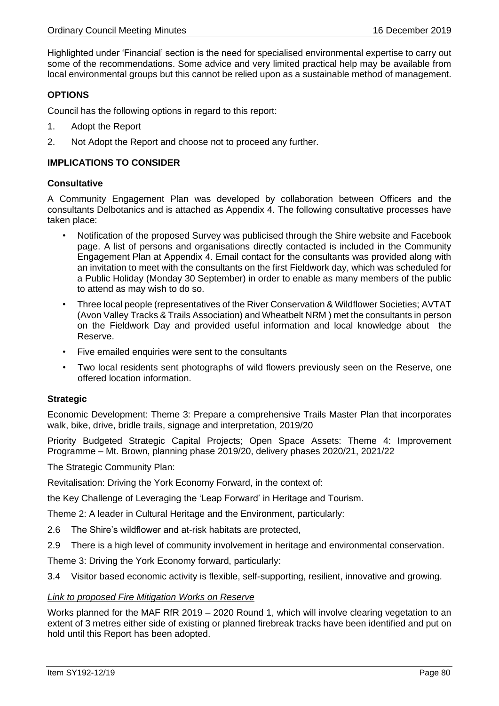Highlighted under 'Financial' section is the need for specialised environmental expertise to carry out some of the recommendations. Some advice and very limited practical help may be available from local environmental groups but this cannot be relied upon as a sustainable method of management.

# **OPTIONS**

Council has the following options in regard to this report:

- 1. Adopt the Report
- 2. Not Adopt the Report and choose not to proceed any further.

### **IMPLICATIONS TO CONSIDER**

### **Consultative**

A Community Engagement Plan was developed by collaboration between Officers and the consultants Delbotanics and is attached as Appendix 4. The following consultative processes have taken place:

- Notification of the proposed Survey was publicised through the Shire website and Facebook page. A list of persons and organisations directly contacted is included in the Community Engagement Plan at Appendix 4. Email contact for the consultants was provided along with an invitation to meet with the consultants on the first Fieldwork day, which was scheduled for a Public Holiday (Monday 30 September) in order to enable as many members of the public to attend as may wish to do so.
- Three local people (representatives of the River Conservation & Wildflower Societies; AVTAT (Avon Valley Tracks & Trails Association) and Wheatbelt NRM ) met the consultants in person on the Fieldwork Day and provided useful information and local knowledge about the Reserve.
- Five emailed enquiries were sent to the consultants
- Two local residents sent photographs of wild flowers previously seen on the Reserve, one offered location information.

#### **Strategic**

Economic Development: Theme 3: Prepare a comprehensive Trails Master Plan that incorporates walk, bike, drive, bridle trails, signage and interpretation, 2019/20

Priority Budgeted Strategic Capital Projects; Open Space Assets: Theme 4: Improvement Programme – Mt. Brown, planning phase 2019/20, delivery phases 2020/21, 2021/22

The Strategic Community Plan:

Revitalisation: Driving the York Economy Forward, in the context of:

the Key Challenge of Leveraging the 'Leap Forward' in Heritage and Tourism.

Theme 2: A leader in Cultural Heritage and the Environment, particularly:

- 2.6 The Shire's wildflower and at-risk habitats are protected,
- 2.9 There is a high level of community involvement in heritage and environmental conservation.

Theme 3: Driving the York Economy forward, particularly:

3.4 Visitor based economic activity is flexible, self-supporting, resilient, innovative and growing.

#### *Link to proposed Fire Mitigation Works on Reserve*

Works planned for the MAF RfR 2019 – 2020 Round 1, which will involve clearing vegetation to an extent of 3 metres either side of existing or planned firebreak tracks have been identified and put on hold until this Report has been adopted.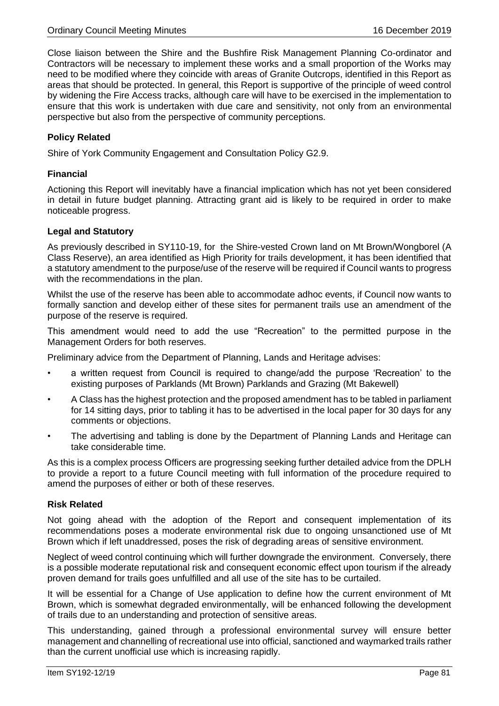Close liaison between the Shire and the Bushfire Risk Management Planning Co-ordinator and Contractors will be necessary to implement these works and a small proportion of the Works may need to be modified where they coincide with areas of Granite Outcrops, identified in this Report as areas that should be protected. In general, this Report is supportive of the principle of weed control by widening the Fire Access tracks, although care will have to be exercised in the implementation to ensure that this work is undertaken with due care and sensitivity, not only from an environmental perspective but also from the perspective of community perceptions.

# **Policy Related**

Shire of York Community Engagement and Consultation Policy G2.9.

# **Financial**

Actioning this Report will inevitably have a financial implication which has not yet been considered in detail in future budget planning. Attracting grant aid is likely to be required in order to make noticeable progress.

# **Legal and Statutory**

As previously described in SY110-19, for the Shire-vested Crown land on Mt Brown/Wongborel (A Class Reserve), an area identified as High Priority for trails development, it has been identified that a statutory amendment to the purpose/use of the reserve will be required if Council wants to progress with the recommendations in the plan.

Whilst the use of the reserve has been able to accommodate adhoc events, if Council now wants to formally sanction and develop either of these sites for permanent trails use an amendment of the purpose of the reserve is required.

This amendment would need to add the use "Recreation" to the permitted purpose in the Management Orders for both reserves.

Preliminary advice from the Department of Planning, Lands and Heritage advises:

- a written request from Council is required to change/add the purpose 'Recreation' to the existing purposes of Parklands (Mt Brown) Parklands and Grazing (Mt Bakewell)
- A Class has the highest protection and the proposed amendment has to be tabled in parliament for 14 sitting days, prior to tabling it has to be advertised in the local paper for 30 days for any comments or objections.
- The advertising and tabling is done by the Department of Planning Lands and Heritage can take considerable time.

As this is a complex process Officers are progressing seeking further detailed advice from the DPLH to provide a report to a future Council meeting with full information of the procedure required to amend the purposes of either or both of these reserves.

# **Risk Related**

Not going ahead with the adoption of the Report and consequent implementation of its recommendations poses a moderate environmental risk due to ongoing unsanctioned use of Mt Brown which if left unaddressed, poses the risk of degrading areas of sensitive environment.

Neglect of weed control continuing which will further downgrade the environment. Conversely, there is a possible moderate reputational risk and consequent economic effect upon tourism if the already proven demand for trails goes unfulfilled and all use of the site has to be curtailed.

It will be essential for a Change of Use application to define how the current environment of Mt Brown, which is somewhat degraded environmentally, will be enhanced following the development of trails due to an understanding and protection of sensitive areas.

This understanding, gained through a professional environmental survey will ensure better management and channelling of recreational use into official, sanctioned and waymarked trails rather than the current unofficial use which is increasing rapidly.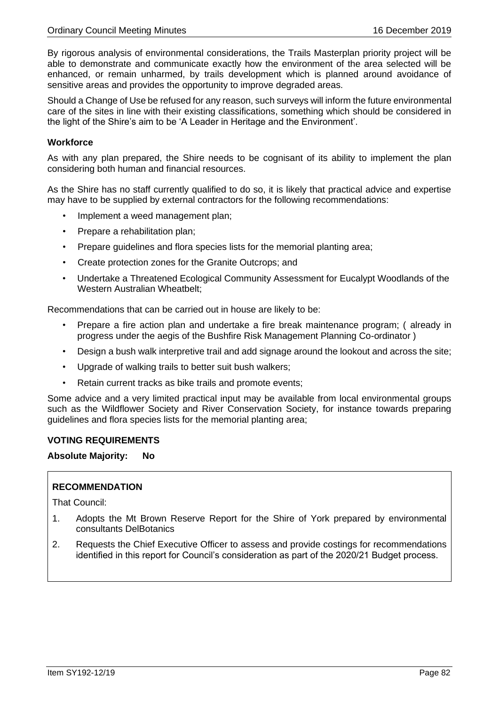By rigorous analysis of environmental considerations, the Trails Masterplan priority project will be able to demonstrate and communicate exactly how the environment of the area selected will be enhanced, or remain unharmed, by trails development which is planned around avoidance of sensitive areas and provides the opportunity to improve degraded areas.

Should a Change of Use be refused for any reason, such surveys will inform the future environmental care of the sites in line with their existing classifications, something which should be considered in the light of the Shire's aim to be 'A Leader in Heritage and the Environment'.

# **Workforce**

As with any plan prepared, the Shire needs to be cognisant of its ability to implement the plan considering both human and financial resources.

As the Shire has no staff currently qualified to do so, it is likely that practical advice and expertise may have to be supplied by external contractors for the following recommendations:

- Implement a weed management plan;
- Prepare a rehabilitation plan;
- Prepare guidelines and flora species lists for the memorial planting area;
- Create protection zones for the Granite Outcrops; and
- Undertake a Threatened Ecological Community Assessment for Eucalypt Woodlands of the Western Australian Wheatbelt;

Recommendations that can be carried out in house are likely to be:

- Prepare a fire action plan and undertake a fire break maintenance program; ( already in progress under the aegis of the Bushfire Risk Management Planning Co-ordinator )
- Design a bush walk interpretive trail and add signage around the lookout and across the site;
- Upgrade of walking trails to better suit bush walkers;
- Retain current tracks as bike trails and promote events;

Some advice and a very limited practical input may be available from local environmental groups such as the Wildflower Society and River Conservation Society, for instance towards preparing guidelines and flora species lists for the memorial planting area;

#### **VOTING REQUIREMENTS**

**Absolute Majority: No**

# **RECOMMENDATION**

That Council:

- 1. Adopts the Mt Brown Reserve Report for the Shire of York prepared by environmental consultants DelBotanics
- 2. Requests the Chief Executive Officer to assess and provide costings for recommendations identified in this report for Council's consideration as part of the 2020/21 Budget process.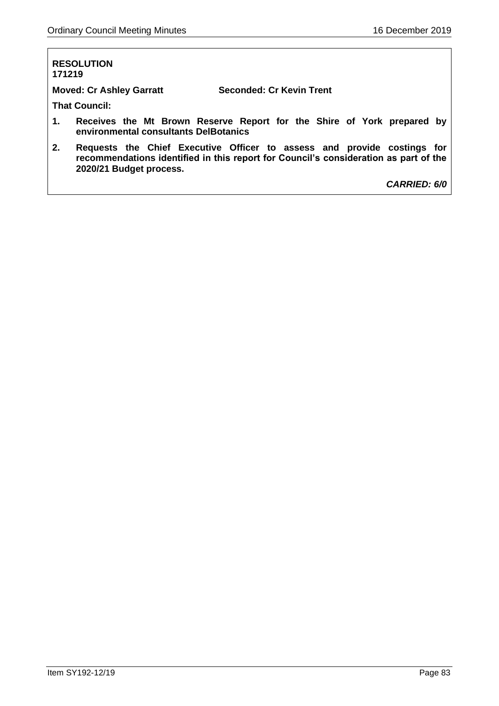### **RESOLUTION 171219**

**Moved: Cr Ashley Garratt Seconded: Cr Kevin Trent**

**That Council:**

- **1. Receives the Mt Brown Reserve Report for the Shire of York prepared by environmental consultants DelBotanics**
- **2. Requests the Chief Executive Officer to assess and provide costings for recommendations identified in this report for Council's consideration as part of the 2020/21 Budget process.**

*CARRIED: 6/0*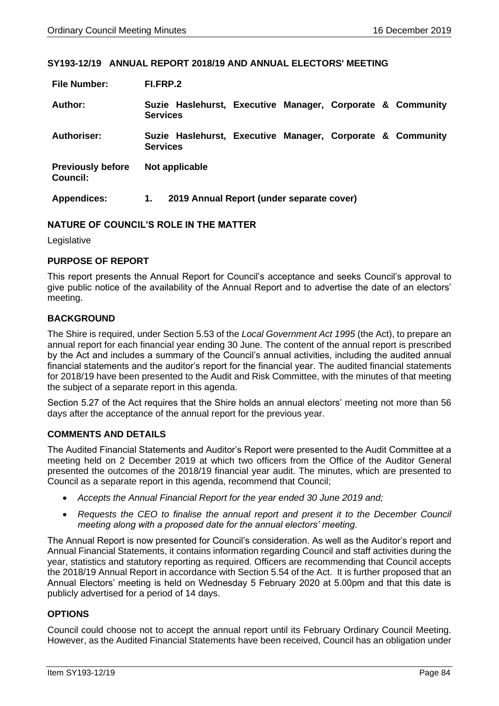#### **SY193-12/19 ANNUAL REPORT 2018/19 AND ANNUAL ELECTORS' MEETING**

| <b>File Number:</b>                         | FI.FRP.2                                                                      |
|---------------------------------------------|-------------------------------------------------------------------------------|
| Author:                                     | Suzie Haslehurst, Executive Manager, Corporate & Community<br><b>Services</b> |
| Authoriser:                                 | Suzie Haslehurst, Executive Manager, Corporate & Community<br><b>Services</b> |
| <b>Previously before</b><br><b>Council:</b> | Not applicable                                                                |
| <b>Appendices:</b>                          | 2019 Annual Report (under separate cover)<br>1.                               |

# **NATURE OF COUNCIL'S ROLE IN THE MATTER**

Legislative

# **PURPOSE OF REPORT**

This report presents the Annual Report for Council's acceptance and seeks Council's approval to give public notice of the availability of the Annual Report and to advertise the date of an electors' meeting.

# **BACKGROUND**

The Shire is required, under Section 5.53 of the *Local Government Act 1995* (the Act), to prepare an annual report for each financial year ending 30 June. The content of the annual report is prescribed by the Act and includes a summary of the Council's annual activities, including the audited annual financial statements and the auditor's report for the financial year. The audited financial statements for 2018/19 have been presented to the Audit and Risk Committee, with the minutes of that meeting the subject of a separate report in this agenda.

Section 5.27 of the Act requires that the Shire holds an annual electors' meeting not more than 56 days after the acceptance of the annual report for the previous year.

# **COMMENTS AND DETAILS**

The Audited Financial Statements and Auditor's Report were presented to the Audit Committee at a meeting held on 2 December 2019 at which two officers from the Office of the Auditor General presented the outcomes of the 2018/19 financial year audit. The minutes, which are presented to Council as a separate report in this agenda, recommend that Council;

- *Accepts the Annual Financial Report for the year ended 30 June 2019 and;*
- *Requests the CEO to finalise the annual report and present it to the December Council meeting along with a proposed date for the annual electors' meeting.*

The Annual Report is now presented for Council's consideration. As well as the Auditor's report and Annual Financial Statements, it contains information regarding Council and staff activities during the year, statistics and statutory reporting as required. Officers are recommending that Council accepts the 2018/19 Annual Report in accordance with Section 5.54 of the Act. It is further proposed that an Annual Electors' meeting is held on Wednesday 5 February 2020 at 5.00pm and that this date is publicly advertised for a period of 14 days.

# **OPTIONS**

Council could choose not to accept the annual report until its February Ordinary Council Meeting. However, as the Audited Financial Statements have been received, Council has an obligation under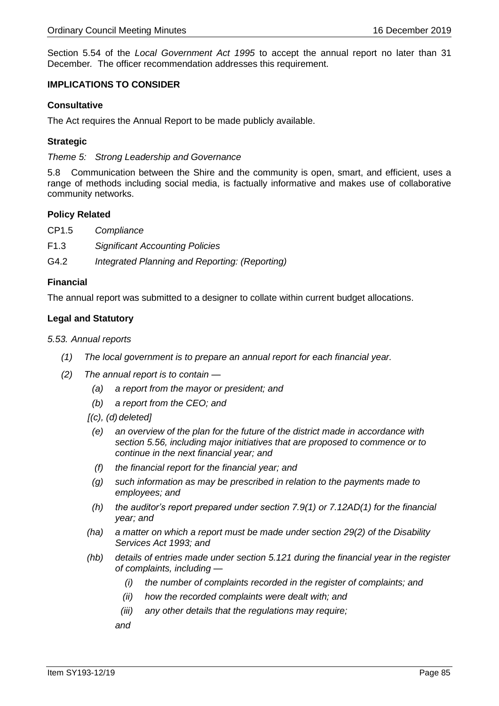Section 5.54 of the *Local Government Act 1995* to accept the annual report no later than 31 December*.* The officer recommendation addresses this requirement.

# **IMPLICATIONS TO CONSIDER**

### **Consultative**

The Act requires the Annual Report to be made publicly available.

### **Strategic**

*Theme 5: Strong Leadership and Governance*

5.8 Communication between the Shire and the community is open, smart, and efficient, uses a range of methods including social media, is factually informative and makes use of collaborative community networks.

### **Policy Related**

- CP1.5 *Compliance*
- F1.3 *Significant Accounting Policies*
- G4.2 *Integrated Planning and Reporting: (Reporting)*

### **Financial**

The annual report was submitted to a designer to collate within current budget allocations.

# **Legal and Statutory**

#### *5.53. Annual reports*

- *(1) The local government is to prepare an annual report for each financial year.*
- *(2) The annual report is to contain —*
	- *(a) a report from the mayor or president; and*
	- *(b) a report from the CEO; and*
	- *[(c), (d) deleted]*
		- *(e) an overview of the plan for the future of the district made in accordance with section 5.56, including major initiatives that are proposed to commence or to continue in the next financial year; and*
		- *(f) the financial report for the financial year; and*
		- *(g) such information as may be prescribed in relation to the payments made to employees; and*
	- *(h) the auditor's report prepared under section 7.9(1) or 7.12AD(1) for the financial year; and*
	- *(ha) a matter on which a report must be made under section 29(2) of the Disability Services Act 1993; and*
	- *(hb) details of entries made under section 5.121 during the financial year in the register of complaints, including —*
		- *(i) the number of complaints recorded in the register of complaints; and*
		- *(ii) how the recorded complaints were dealt with; and*
		- *(iii) any other details that the regulations may require;*

*and*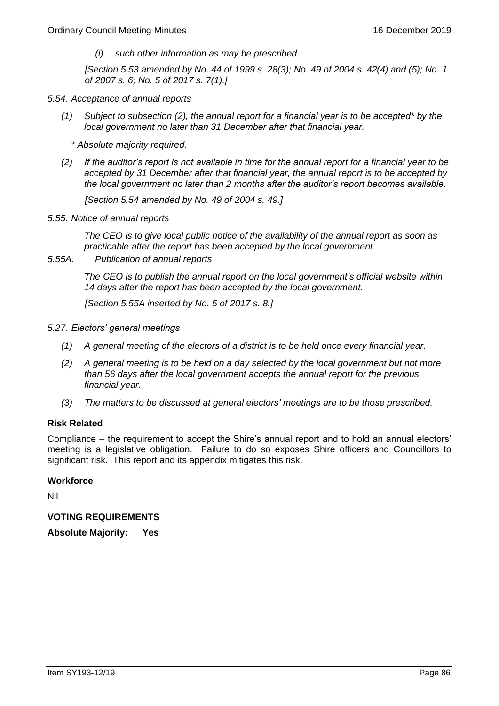*(i) such other information as may be prescribed.*

*[Section 5.53 amended by No. 44 of 1999 s. 28(3); No. 49 of 2004 s. 42(4) and (5); No. 1 of 2007 s. 6; No. 5 of 2017 s. 7(1).]*

- *5.54. Acceptance of annual reports*
	- *(1) Subject to subsection (2), the annual report for a financial year is to be accepted\* by the local government no later than 31 December after that financial year.*
		- *\* Absolute majority required.*
	- *(2) If the auditor's report is not available in time for the annual report for a financial year to be accepted by 31 December after that financial year, the annual report is to be accepted by the local government no later than 2 months after the auditor's report becomes available.*

*[Section 5.54 amended by No. 49 of 2004 s. 49.]*

*5.55. Notice of annual reports* 

*The CEO is to give local public notice of the availability of the annual report as soon as practicable after the report has been accepted by the local government.*

*5.55A. Publication of annual reports*

*The CEO is to publish the annual report on the local government's official website within 14 days after the report has been accepted by the local government.*

*[Section 5.55A inserted by No. 5 of 2017 s. 8.]*

- *5.27. Electors' general meetings*
	- *(1) A general meeting of the electors of a district is to be held once every financial year.*
	- *(2) A general meeting is to be held on a day selected by the local government but not more than 56 days after the local government accepts the annual report for the previous financial year.*
	- *(3) The matters to be discussed at general electors' meetings are to be those prescribed.*

# **Risk Related**

Compliance – the requirement to accept the Shire's annual report and to hold an annual electors' meeting is a legislative obligation. Failure to do so exposes Shire officers and Councillors to significant risk. This report and its appendix mitigates this risk.

#### **Workforce**

Nil

# **VOTING REQUIREMENTS**

**Absolute Majority: Yes**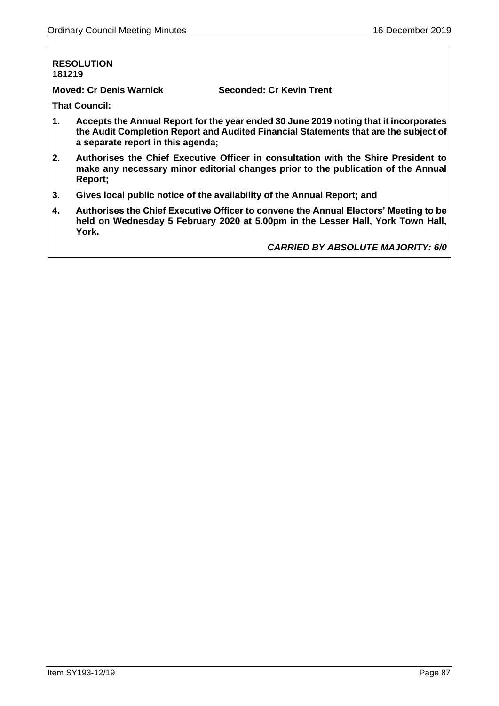### **RESOLUTION 181219**

**Moved: Cr Denis Warnick Seconded: Cr Kevin Trent**

**That Council:**

- **1. Accepts the Annual Report for the year ended 30 June 2019 noting that it incorporates the Audit Completion Report and Audited Financial Statements that are the subject of a separate report in this agenda;**
- **2. Authorises the Chief Executive Officer in consultation with the Shire President to make any necessary minor editorial changes prior to the publication of the Annual Report;**
- **3. Gives local public notice of the availability of the Annual Report; and**
- **4. Authorises the Chief Executive Officer to convene the Annual Electors' Meeting to be held on Wednesday 5 February 2020 at 5.00pm in the Lesser Hall, York Town Hall, York.**

*CARRIED BY ABSOLUTE MAJORITY: 6/0*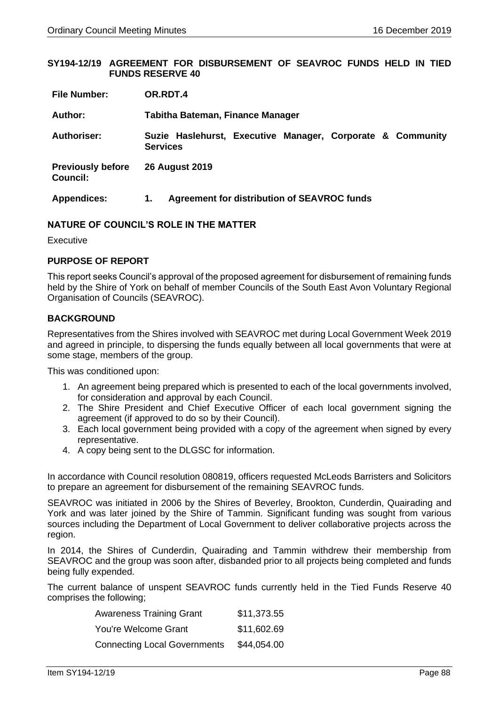### **SY194-12/19 AGREEMENT FOR DISBURSEMENT OF SEAVROC FUNDS HELD IN TIED FUNDS RESERVE 40**

| <b>File Number:</b>                         | OR.RDT.4                                                                      |  |  |  |  |
|---------------------------------------------|-------------------------------------------------------------------------------|--|--|--|--|
| <b>Author:</b>                              | Tabitha Bateman, Finance Manager                                              |  |  |  |  |
| Authoriser:                                 | Suzie Haslehurst, Executive Manager, Corporate & Community<br><b>Services</b> |  |  |  |  |
| <b>Previously before</b><br><b>Council:</b> | <b>26 August 2019</b>                                                         |  |  |  |  |
| <b>Appendices:</b>                          | Agreement for distribution of SEAVROC funds<br>1.                             |  |  |  |  |

### **NATURE OF COUNCIL'S ROLE IN THE MATTER**

Executive

# **PURPOSE OF REPORT**

This report seeks Council's approval of the proposed agreement for disbursement of remaining funds held by the Shire of York on behalf of member Councils of the South East Avon Voluntary Regional Organisation of Councils (SEAVROC).

# **BACKGROUND**

Representatives from the Shires involved with SEAVROC met during Local Government Week 2019 and agreed in principle, to dispersing the funds equally between all local governments that were at some stage, members of the group.

This was conditioned upon:

- 1. An agreement being prepared which is presented to each of the local governments involved, for consideration and approval by each Council.
- 2. The Shire President and Chief Executive Officer of each local government signing the agreement (if approved to do so by their Council).
- 3. Each local government being provided with a copy of the agreement when signed by every representative.
- 4. A copy being sent to the DLGSC for information.

In accordance with Council resolution 080819, officers requested McLeods Barristers and Solicitors to prepare an agreement for disbursement of the remaining SEAVROC funds.

SEAVROC was initiated in 2006 by the Shires of Beverley, Brookton, Cunderdin, Quairading and York and was later joined by the Shire of Tammin. Significant funding was sought from various sources including the Department of Local Government to deliver collaborative projects across the region.

In 2014, the Shires of Cunderdin, Quairading and Tammin withdrew their membership from SEAVROC and the group was soon after, disbanded prior to all projects being completed and funds being fully expended.

The current balance of unspent SEAVROC funds currently held in the Tied Funds Reserve 40 comprises the following;

| <b>Awareness Training Grant</b>     | \$11,373.55 |
|-------------------------------------|-------------|
| You're Welcome Grant                | \$11,602.69 |
| <b>Connecting Local Governments</b> | \$44,054.00 |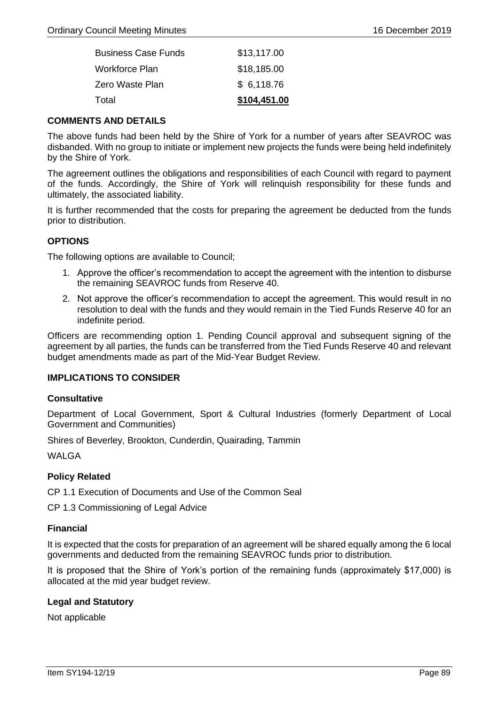| <b>Business Case Funds</b> | \$13,117.00  |
|----------------------------|--------------|
| Workforce Plan             | \$18,185.00  |
| Zero Waste Plan            | \$6,118.76   |
| Total                      | \$104,451.00 |

### **COMMENTS AND DETAILS**

The above funds had been held by the Shire of York for a number of years after SEAVROC was disbanded. With no group to initiate or implement new projects the funds were being held indefinitely by the Shire of York.

The agreement outlines the obligations and responsibilities of each Council with regard to payment of the funds. Accordingly, the Shire of York will relinquish responsibility for these funds and ultimately, the associated liability.

It is further recommended that the costs for preparing the agreement be deducted from the funds prior to distribution.

# **OPTIONS**

The following options are available to Council;

- 1. Approve the officer's recommendation to accept the agreement with the intention to disburse the remaining SEAVROC funds from Reserve 40.
- 2. Not approve the officer's recommendation to accept the agreement. This would result in no resolution to deal with the funds and they would remain in the Tied Funds Reserve 40 for an indefinite period.

Officers are recommending option 1. Pending Council approval and subsequent signing of the agreement by all parties, the funds can be transferred from the Tied Funds Reserve 40 and relevant budget amendments made as part of the Mid-Year Budget Review.

# **IMPLICATIONS TO CONSIDER**

#### **Consultative**

Department of Local Government, Sport & Cultural Industries (formerly Department of Local Government and Communities)

Shires of Beverley, Brookton, Cunderdin, Quairading, Tammin

WAI GA

# **Policy Related**

CP 1.1 Execution of Documents and Use of the Common Seal

CP 1.3 Commissioning of Legal Advice

# **Financial**

It is expected that the costs for preparation of an agreement will be shared equally among the 6 local governments and deducted from the remaining SEAVROC funds prior to distribution.

It is proposed that the Shire of York's portion of the remaining funds (approximately \$17,000) is allocated at the mid year budget review.

# **Legal and Statutory**

Not applicable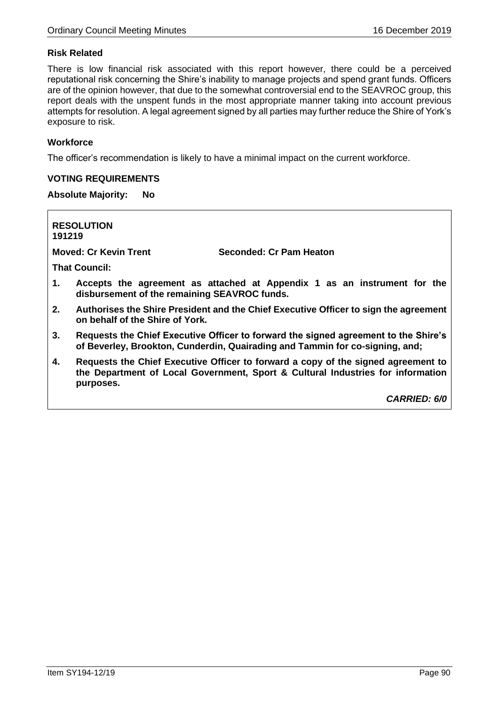# **Risk Related**

There is low financial risk associated with this report however, there could be a perceived reputational risk concerning the Shire's inability to manage projects and spend grant funds. Officers are of the opinion however, that due to the somewhat controversial end to the SEAVROC group, this report deals with the unspent funds in the most appropriate manner taking into account previous attempts for resolution. A legal agreement signed by all parties may further reduce the Shire of York's exposure to risk.

# **Workforce**

The officer's recommendation is likely to have a minimal impact on the current workforce.

# **VOTING REQUIREMENTS**

# **Absolute Majority: No**

**RESOLUTION 191219 Moved: Cr Kevin Trent Seconded: Cr Pam Heaton That Council: 1. Accepts the agreement as attached at Appendix 1 as an instrument for the disbursement of the remaining SEAVROC funds. 2. Authorises the Shire President and the Chief Executive Officer to sign the agreement on behalf of the Shire of York. 3. Requests the Chief Executive Officer to forward the signed agreement to the Shire's of Beverley, Brookton, Cunderdin, Quairading and Tammin for co-signing, and; 4. Requests the Chief Executive Officer to forward a copy of the signed agreement to the Department of Local Government, Sport & Cultural Industries for information** 

**purposes.**

*CARRIED: 6/0*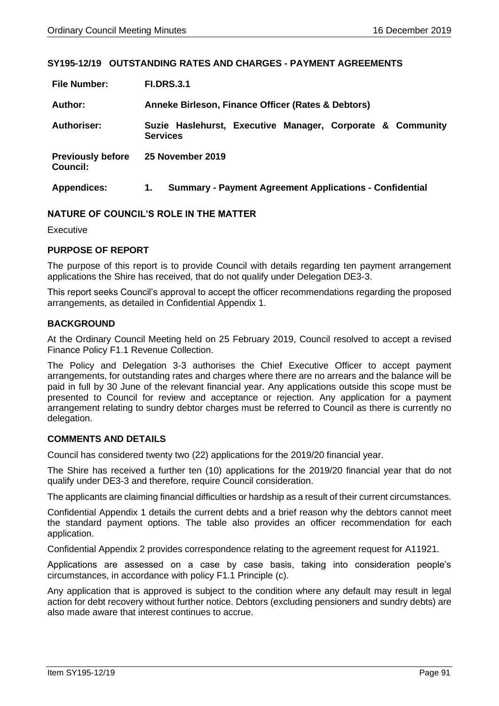### **SY195-12/19 OUTSTANDING RATES AND CHARGES - PAYMENT AGREEMENTS**

| <b>File Number:</b>                         | <b>FI.DRS.3.1</b>                                                             |  |  |  |  |  |
|---------------------------------------------|-------------------------------------------------------------------------------|--|--|--|--|--|
| Author:                                     | Anneke Birleson, Finance Officer (Rates & Debtors)                            |  |  |  |  |  |
| <b>Authoriser:</b>                          | Suzie Haslehurst, Executive Manager, Corporate & Community<br><b>Services</b> |  |  |  |  |  |
| <b>Previously before</b><br><b>Council:</b> | 25 November 2019                                                              |  |  |  |  |  |
| <b>Appendices:</b>                          | <b>Summary - Payment Agreement Applications - Confidential</b><br>1.          |  |  |  |  |  |

# **NATURE OF COUNCIL'S ROLE IN THE MATTER**

Executive

### **PURPOSE OF REPORT**

The purpose of this report is to provide Council with details regarding ten payment arrangement applications the Shire has received, that do not qualify under Delegation DE3-3.

This report seeks Council's approval to accept the officer recommendations regarding the proposed arrangements, as detailed in Confidential Appendix 1.

### **BACKGROUND**

At the Ordinary Council Meeting held on 25 February 2019, Council resolved to accept a revised Finance Policy F1.1 Revenue Collection.

The Policy and Delegation 3-3 authorises the Chief Executive Officer to accept payment arrangements, for outstanding rates and charges where there are no arrears and the balance will be paid in full by 30 June of the relevant financial year. Any applications outside this scope must be presented to Council for review and acceptance or rejection. Any application for a payment arrangement relating to sundry debtor charges must be referred to Council as there is currently no delegation.

# **COMMENTS AND DETAILS**

Council has considered twenty two (22) applications for the 2019/20 financial year.

The Shire has received a further ten (10) applications for the 2019/20 financial year that do not qualify under DE3-3 and therefore, require Council consideration.

The applicants are claiming financial difficulties or hardship as a result of their current circumstances.

Confidential Appendix 1 details the current debts and a brief reason why the debtors cannot meet the standard payment options. The table also provides an officer recommendation for each application.

Confidential Appendix 2 provides correspondence relating to the agreement request for A11921.

Applications are assessed on a case by case basis, taking into consideration people's circumstances, in accordance with policy F1.1 Principle (c).

Any application that is approved is subject to the condition where any default may result in legal action for debt recovery without further notice. Debtors (excluding pensioners and sundry debts) are also made aware that interest continues to accrue.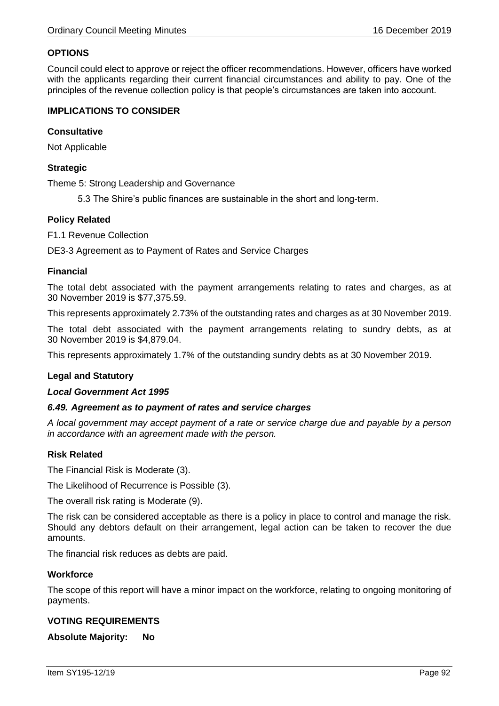# **OPTIONS**

Council could elect to approve or reject the officer recommendations. However, officers have worked with the applicants regarding their current financial circumstances and ability to pay. One of the principles of the revenue collection policy is that people's circumstances are taken into account.

# **IMPLICATIONS TO CONSIDER**

### **Consultative**

Not Applicable

# **Strategic**

Theme 5: Strong Leadership and Governance

5.3 The Shire's public finances are sustainable in the short and long-term.

### **Policy Related**

F1.1 Revenue Collection

DE3-3 Agreement as to Payment of Rates and Service Charges

### **Financial**

The total debt associated with the payment arrangements relating to rates and charges, as at 30 November 2019 is \$77,375.59.

This represents approximately 2.73% of the outstanding rates and charges as at 30 November 2019.

The total debt associated with the payment arrangements relating to sundry debts, as at 30 November 2019 is \$4,879.04.

This represents approximately 1.7% of the outstanding sundry debts as at 30 November 2019.

# **Legal and Statutory**

#### *Local Government Act 1995*

#### *6.49. Agreement as to payment of rates and service charges*

*A local government may accept payment of a rate or service charge due and payable by a person in accordance with an agreement made with the person.*

# **Risk Related**

The Financial Risk is Moderate (3).

The Likelihood of Recurrence is Possible (3).

The overall risk rating is Moderate (9).

The risk can be considered acceptable as there is a policy in place to control and manage the risk. Should any debtors default on their arrangement, legal action can be taken to recover the due amounts.

The financial risk reduces as debts are paid.

#### **Workforce**

The scope of this report will have a minor impact on the workforce, relating to ongoing monitoring of payments.

# **VOTING REQUIREMENTS**

**Absolute Majority: No**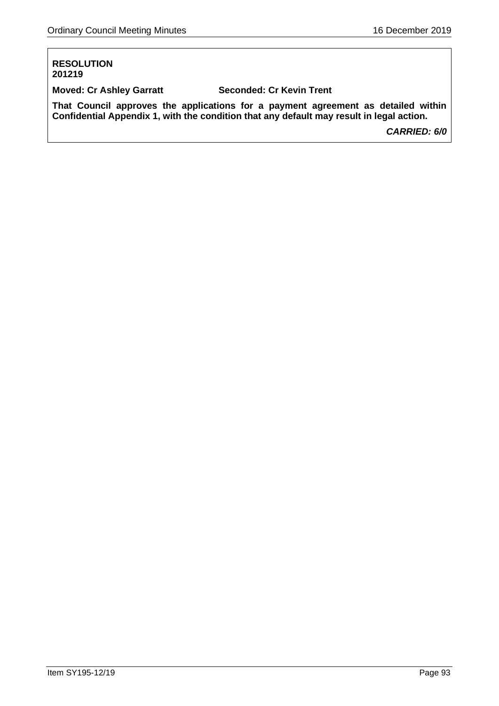# **RESOLUTION 201219**

**Moved: Cr Ashley Garratt Seconded: Cr Kevin Trent**

**That Council approves the applications for a payment agreement as detailed within Confidential Appendix 1, with the condition that any default may result in legal action.**

*CARRIED: 6/0*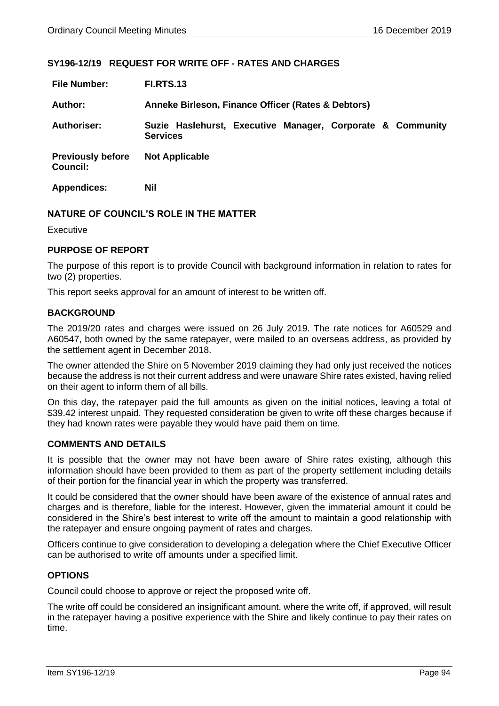# **SY196-12/19 REQUEST FOR WRITE OFF - RATES AND CHARGES**

| <b>File Number:</b>                         | <b>FI.RTS.13</b>                                                              |  |  |  |  |
|---------------------------------------------|-------------------------------------------------------------------------------|--|--|--|--|
| Author:                                     | Anneke Birleson, Finance Officer (Rates & Debtors)                            |  |  |  |  |
| <b>Authoriser:</b>                          | Suzie Haslehurst, Executive Manager, Corporate & Community<br><b>Services</b> |  |  |  |  |
| <b>Previously before</b><br><b>Council:</b> | <b>Not Applicable</b>                                                         |  |  |  |  |
| <b>Appendices:</b>                          | Nil                                                                           |  |  |  |  |

# **NATURE OF COUNCIL'S ROLE IN THE MATTER**

Executive

### **PURPOSE OF REPORT**

The purpose of this report is to provide Council with background information in relation to rates for two (2) properties.

This report seeks approval for an amount of interest to be written off.

### **BACKGROUND**

The 2019/20 rates and charges were issued on 26 July 2019. The rate notices for A60529 and A60547, both owned by the same ratepayer, were mailed to an overseas address, as provided by the settlement agent in December 2018.

The owner attended the Shire on 5 November 2019 claiming they had only just received the notices because the address is not their current address and were unaware Shire rates existed, having relied on their agent to inform them of all bills.

On this day, the ratepayer paid the full amounts as given on the initial notices, leaving a total of \$39.42 interest unpaid. They requested consideration be given to write off these charges because if they had known rates were payable they would have paid them on time.

#### **COMMENTS AND DETAILS**

It is possible that the owner may not have been aware of Shire rates existing, although this information should have been provided to them as part of the property settlement including details of their portion for the financial year in which the property was transferred.

It could be considered that the owner should have been aware of the existence of annual rates and charges and is therefore, liable for the interest. However, given the immaterial amount it could be considered in the Shire's best interest to write off the amount to maintain a good relationship with the ratepayer and ensure ongoing payment of rates and charges.

Officers continue to give consideration to developing a delegation where the Chief Executive Officer can be authorised to write off amounts under a specified limit.

#### **OPTIONS**

Council could choose to approve or reject the proposed write off.

The write off could be considered an insignificant amount, where the write off, if approved, will result in the ratepayer having a positive experience with the Shire and likely continue to pay their rates on time.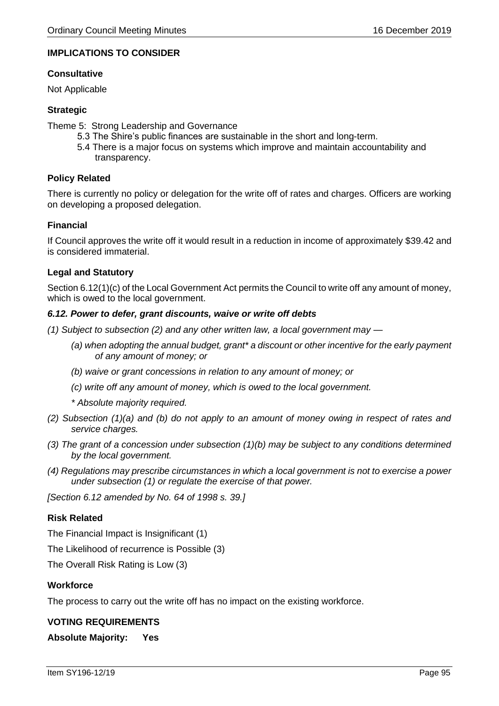# **IMPLICATIONS TO CONSIDER**

### **Consultative**

Not Applicable

# **Strategic**

Theme 5: Strong Leadership and Governance

- 5.3 The Shire's public finances are sustainable in the short and long-term.
- 5.4 There is a major focus on systems which improve and maintain accountability and transparency.

# **Policy Related**

There is currently no policy or delegation for the write off of rates and charges. Officers are working on developing a proposed delegation.

### **Financial**

If Council approves the write off it would result in a reduction in income of approximately \$39.42 and is considered immaterial.

### **Legal and Statutory**

Section 6.12(1)(c) of the Local Government Act permits the Council to write off any amount of money, which is owed to the local government.

### *6.12. Power to defer, grant discounts, waive or write off debts*

*(1) Subject to subsection (2) and any other written law, a local government may —*

- *(a) when adopting the annual budget, grant\* a discount or other incentive for the early payment of any amount of money; or*
- *(b) waive or grant concessions in relation to any amount of money; or*
- *(c) write off any amount of money, which is owed to the local government.*
- *\* Absolute majority required.*
- *(2) Subsection (1)(a) and (b) do not apply to an amount of money owing in respect of rates and service charges.*
- *(3) The grant of a concession under subsection (1)(b) may be subject to any conditions determined by the local government.*
- *(4) Regulations may prescribe circumstances in which a local government is not to exercise a power under subsection (1) or regulate the exercise of that power.*

*[Section 6.12 amended by No. 64 of 1998 s. 39.]*

# **Risk Related**

The Financial Impact is Insignificant (1)

The Likelihood of recurrence is Possible (3)

The Overall Risk Rating is Low (3)

# **Workforce**

The process to carry out the write off has no impact on the existing workforce.

#### **VOTING REQUIREMENTS**

**Absolute Majority: Yes**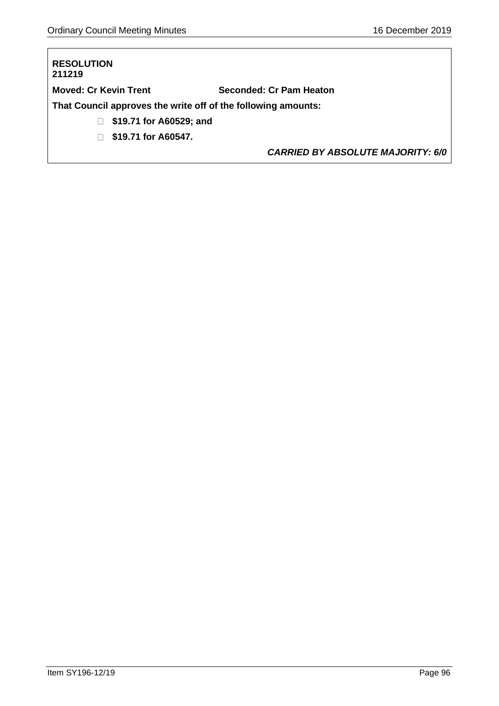# **RESOLUTION 211219 Moved: Cr Kevin Trent Seconded: Cr Pam Heaton That Council approves the write off of the following amounts: \$19.71 for A60529; and \$19.71 for A60547.**

*CARRIED BY ABSOLUTE MAJORITY: 6/0*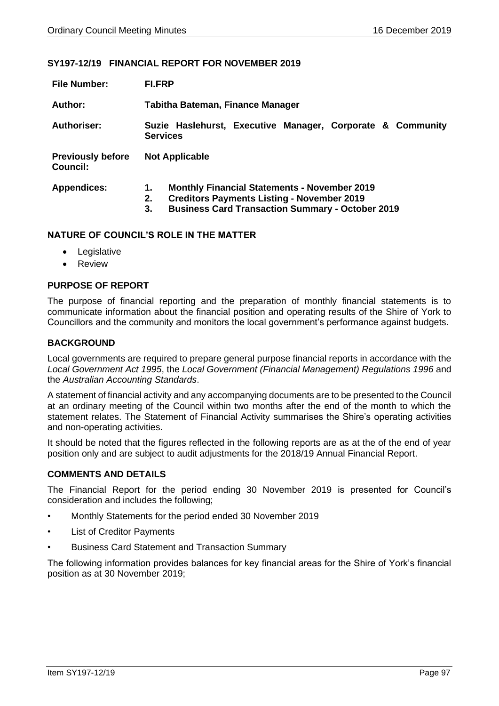### **SY197-12/19 FINANCIAL REPORT FOR NOVEMBER 2019**

| <b>File Number:</b>                         | <b>FI.FRP</b>                                                                                                                                                                         |  |  |  |  |
|---------------------------------------------|---------------------------------------------------------------------------------------------------------------------------------------------------------------------------------------|--|--|--|--|
| Author:                                     | Tabitha Bateman, Finance Manager                                                                                                                                                      |  |  |  |  |
| Authoriser:                                 | Suzie Haslehurst, Executive Manager, Corporate & Community<br><b>Services</b>                                                                                                         |  |  |  |  |
| <b>Previously before</b><br><b>Council:</b> | <b>Not Applicable</b>                                                                                                                                                                 |  |  |  |  |
| <b>Appendices:</b>                          | <b>Monthly Financial Statements - November 2019</b><br>1.<br><b>Creditors Payments Listing - November 2019</b><br>2.<br><b>Business Card Transaction Summary - October 2019</b><br>3. |  |  |  |  |

### **NATURE OF COUNCIL'S ROLE IN THE MATTER**

- Legislative
- Review

# **PURPOSE OF REPORT**

The purpose of financial reporting and the preparation of monthly financial statements is to communicate information about the financial position and operating results of the Shire of York to Councillors and the community and monitors the local government's performance against budgets.

# **BACKGROUND**

Local governments are required to prepare general purpose financial reports in accordance with the *Local Government Act 1995*, the *Local Government (Financial Management) Regulations 1996* and the *Australian Accounting Standards*.

A statement of financial activity and any accompanying documents are to be presented to the Council at an ordinary meeting of the Council within two months after the end of the month to which the statement relates. The Statement of Financial Activity summarises the Shire's operating activities and non-operating activities.

It should be noted that the figures reflected in the following reports are as at the of the end of year position only and are subject to audit adjustments for the 2018/19 Annual Financial Report.

### **COMMENTS AND DETAILS**

The Financial Report for the period ending 30 November 2019 is presented for Council's consideration and includes the following;

- Monthly Statements for the period ended 30 November 2019
- **List of Creditor Payments**
- Business Card Statement and Transaction Summary

The following information provides balances for key financial areas for the Shire of York's financial position as at 30 November 2019;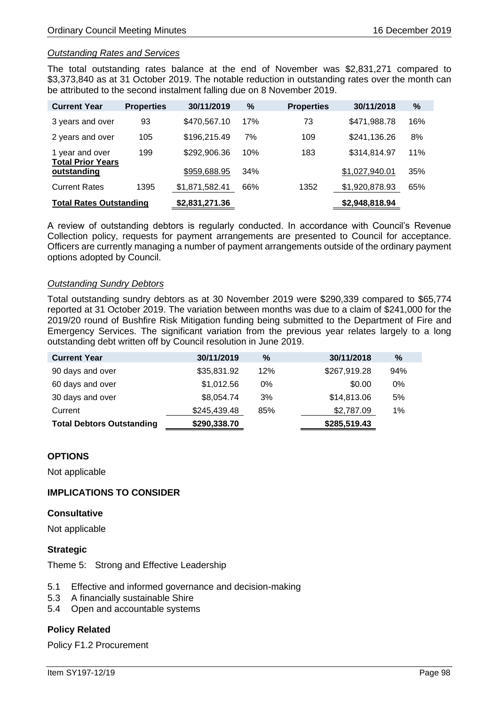### *Outstanding Rates and Services*

The total outstanding rates balance at the end of November was \$2,831,271 compared to \$3,373,840 as at 31 October 2019. The notable reduction in outstanding rates over the month can be attributed to the second instalment falling due on 8 November 2019.

| <b>Current Year</b>                         | <b>Properties</b> | 30/11/2019     | $\%$ | <b>Properties</b> | 30/11/2018     | $\%$ |
|---------------------------------------------|-------------------|----------------|------|-------------------|----------------|------|
| 3 years and over                            | 93                | \$470,567.10   | 17%  | 73                | \$471,988.78   | 16%  |
| 2 years and over                            | 105               | \$196,215.49   | 7%   | 109               | \$241,136.26   | 8%   |
| 1 year and over<br><b>Total Prior Years</b> | 199               | \$292,906.36   | 10%  | 183               | \$314,814.97   | 11%  |
| outstanding                                 |                   | \$959,688.95   | 34%  |                   | \$1,027,940.01 | 35%  |
| <b>Current Rates</b>                        | 1395              | \$1,871,582.41 | 66%  | 1352              | \$1,920,878.93 | 65%  |
| <b>Total Rates Outstanding</b>              |                   | \$2,831,271.36 |      |                   | \$2,948,818.94 |      |

A review of outstanding debtors is regularly conducted. In accordance with Council's Revenue Collection policy, requests for payment arrangements are presented to Council for acceptance. Officers are currently managing a number of payment arrangements outside of the ordinary payment options adopted by Council.

### *Outstanding Sundry Debtors*

Total outstanding sundry debtors as at 30 November 2019 were \$290,339 compared to \$65,774 reported at 31 October 2019. The variation between months was due to a claim of \$241,000 for the 2019/20 round of Bushfire Risk Mitigation funding being submitted to the Department of Fire and Emergency Services. The significant variation from the previous year relates largely to a long outstanding debt written off by Council resolution in June 2019.

| <b>Current Year</b>              | 30/11/2019   | $\%$ | 30/11/2018   | $\%$ |
|----------------------------------|--------------|------|--------------|------|
| 90 days and over                 | \$35,831.92  | 12%  | \$267,919.28 | 94%  |
| 60 days and over                 | \$1,012.56   | 0%   | \$0.00       | 0%   |
| 30 days and over                 | \$8,054.74   | 3%   | \$14,813.06  | 5%   |
| Current                          | \$245,439.48 | 85%  | \$2,787.09   | 1%   |
| <b>Total Debtors Outstanding</b> | \$290,338.70 |      | \$285,519.43 |      |

### **OPTIONS**

Not applicable

### **IMPLICATIONS TO CONSIDER**

#### **Consultative**

Not applicable

#### **Strategic**

Theme 5: Strong and Effective Leadership

- 5.1 Effective and informed governance and decision-making
- 5.3 A financially sustainable Shire
- 5.4 Open and accountable systems

# **Policy Related**

Policy F1.2 Procurement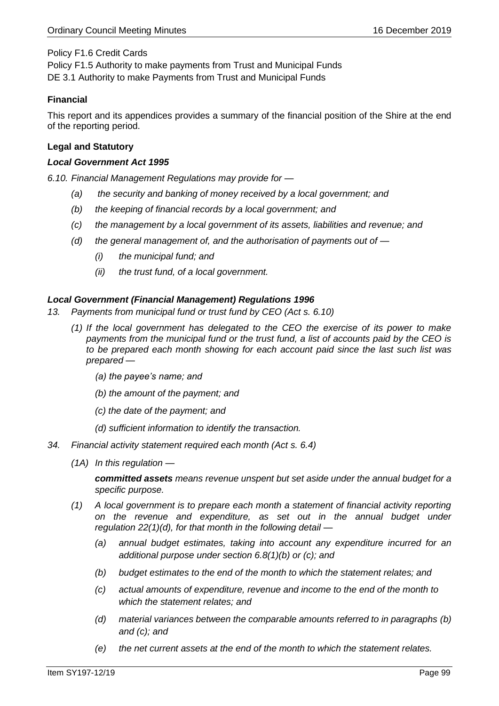# Policy F1.6 Credit Cards

Policy F1.5 Authority to make payments from Trust and Municipal Funds DE 3.1 Authority to make Payments from Trust and Municipal Funds

# **Financial**

This report and its appendices provides a summary of the financial position of the Shire at the end of the reporting period.

# **Legal and Statutory**

### *Local Government Act 1995*

*6.10. Financial Management Regulations may provide for —*

- *(a) the security and banking of money received by a local government; and*
- *(b) the keeping of financial records by a local government; and*
- *(c) the management by a local government of its assets, liabilities and revenue; and*
- *(d) the general management of, and the authorisation of payments out of —*
	- *(i) the municipal fund; and*
	- *(ii) the trust fund, of a local government.*

# *Local Government (Financial Management) Regulations 1996*

- *13. Payments from municipal fund or trust fund by CEO (Act s. 6.10)*
	- *(1) If the local government has delegated to the CEO the exercise of its power to make payments from the municipal fund or the trust fund, a list of accounts paid by the CEO is to be prepared each month showing for each account paid since the last such list was prepared —*
		- *(a) the payee's name; and*
		- *(b) the amount of the payment; and*
		- *(c) the date of the payment; and*
		- *(d) sufficient information to identify the transaction.*
- *34. Financial activity statement required each month (Act s. 6.4)*
	- *(1A) In this regulation —*

*committed assets means revenue unspent but set aside under the annual budget for a specific purpose.*

- *(1) A local government is to prepare each month a statement of financial activity reporting on the revenue and expenditure, as set out in the annual budget under regulation 22(1)(d), for that month in the following detail —*
	- *(a) annual budget estimates, taking into account any expenditure incurred for an additional purpose under section 6.8(1)(b) or (c); and*
	- *(b) budget estimates to the end of the month to which the statement relates; and*
	- *(c) actual amounts of expenditure, revenue and income to the end of the month to which the statement relates; and*
	- *(d) material variances between the comparable amounts referred to in paragraphs (b) and (c); and*
	- *(e) the net current assets at the end of the month to which the statement relates.*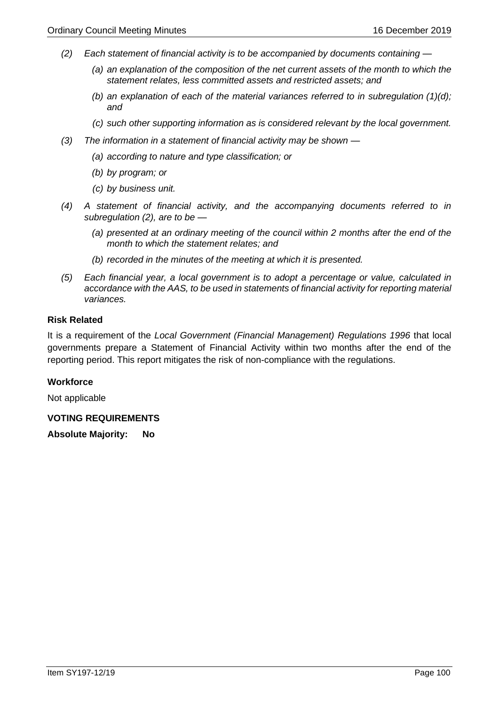- *(2) Each statement of financial activity is to be accompanied by documents containing —*
	- *(a) an explanation of the composition of the net current assets of the month to which the statement relates, less committed assets and restricted assets; and*
	- *(b) an explanation of each of the material variances referred to in subregulation (1)(d); and*
	- *(c) such other supporting information as is considered relevant by the local government.*
- *(3) The information in a statement of financial activity may be shown —*
	- *(a) according to nature and type classification; or*
	- *(b) by program; or*
	- *(c) by business unit.*
- *(4) A statement of financial activity, and the accompanying documents referred to in subregulation (2), are to be —*
	- *(a) presented at an ordinary meeting of the council within 2 months after the end of the month to which the statement relates; and*
	- *(b) recorded in the minutes of the meeting at which it is presented.*
- *(5) Each financial year, a local government is to adopt a percentage or value, calculated in accordance with the AAS, to be used in statements of financial activity for reporting material variances.*

### **Risk Related**

It is a requirement of the *Local Government (Financial Management) Regulations 1996* that local governments prepare a Statement of Financial Activity within two months after the end of the reporting period. This report mitigates the risk of non-compliance with the regulations.

### **Workforce**

Not applicable

# **VOTING REQUIREMENTS**

**Absolute Majority: No**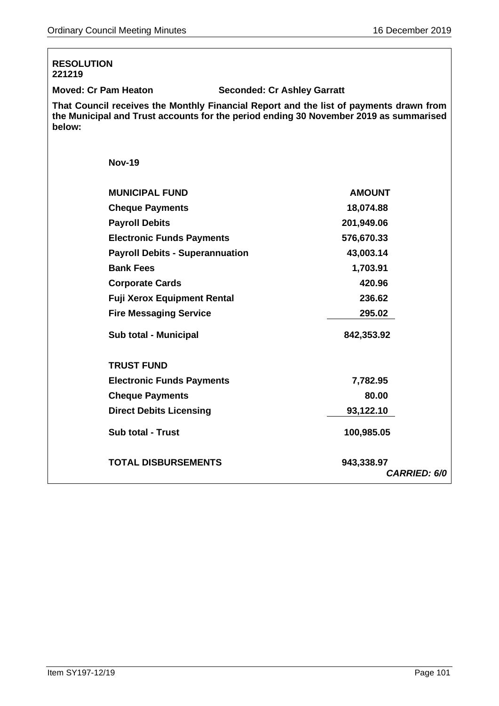| <b>RESOLUTION</b><br>221219                                                                                                                                                               |                                    |  |
|-------------------------------------------------------------------------------------------------------------------------------------------------------------------------------------------|------------------------------------|--|
| <b>Moved: Cr Pam Heaton</b>                                                                                                                                                               | <b>Seconded: Cr Ashley Garratt</b> |  |
| That Council receives the Monthly Financial Report and the list of payments drawn from<br>the Municipal and Trust accounts for the period ending 30 November 2019 as summarised<br>below: |                                    |  |
| <b>Nov-19</b>                                                                                                                                                                             |                                    |  |
| <b>MUNICIPAL FUND</b>                                                                                                                                                                     | <b>AMOUNT</b>                      |  |
| <b>Cheque Payments</b>                                                                                                                                                                    | 18,074.88                          |  |
| <b>Payroll Debits</b>                                                                                                                                                                     | 201,949.06                         |  |
| <b>Electronic Funds Payments</b>                                                                                                                                                          | 576,670.33                         |  |
| <b>Payroll Debits - Superannuation</b>                                                                                                                                                    | 43,003.14                          |  |
| <b>Bank Fees</b>                                                                                                                                                                          | 1,703.91                           |  |
| <b>Corporate Cards</b>                                                                                                                                                                    | 420.96                             |  |
| <b>Fuji Xerox Equipment Rental</b>                                                                                                                                                        | 236.62                             |  |
| <b>Fire Messaging Service</b>                                                                                                                                                             | 295.02                             |  |
| Sub total - Municipal                                                                                                                                                                     | 842,353.92                         |  |
| <b>TRUST FUND</b>                                                                                                                                                                         |                                    |  |
| <b>Electronic Funds Payments</b>                                                                                                                                                          | 7,782.95                           |  |
| <b>Cheque Payments</b>                                                                                                                                                                    | 80.00                              |  |
| <b>Direct Debits Licensing</b>                                                                                                                                                            | 93,122.10                          |  |
| <b>Sub total - Trust</b>                                                                                                                                                                  | 100,985.05                         |  |
| <b>TOTAL DISBURSEMENTS</b>                                                                                                                                                                | 943,338.97<br><b>CARRIED: 6/0</b>  |  |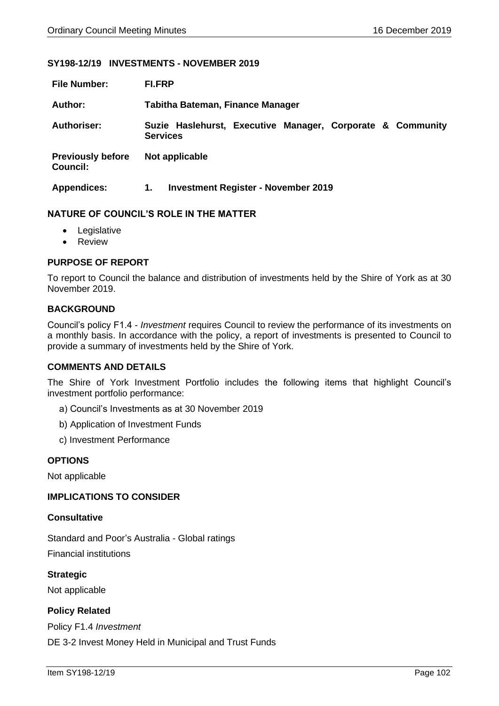### **SY198-12/19 INVESTMENTS - NOVEMBER 2019**

| <b>File Number:</b>                         | <b>FI.FRP</b>                                                                 |  |  |
|---------------------------------------------|-------------------------------------------------------------------------------|--|--|
| Author:                                     | Tabitha Bateman, Finance Manager                                              |  |  |
| <b>Authoriser:</b>                          | Suzie Haslehurst, Executive Manager, Corporate & Community<br><b>Services</b> |  |  |
| <b>Previously before</b><br><b>Council:</b> | Not applicable                                                                |  |  |
| <b>Appendices:</b>                          | <b>Investment Register - November 2019</b><br>1.                              |  |  |

### **NATURE OF COUNCIL'S ROLE IN THE MATTER**

- Legislative
- Review

# **PURPOSE OF REPORT**

To report to Council the balance and distribution of investments held by the Shire of York as at 30 November 2019.

### **BACKGROUND**

Council's policy F1.4 - *Investment* requires Council to review the performance of its investments on a monthly basis. In accordance with the policy, a report of investments is presented to Council to provide a summary of investments held by the Shire of York.

#### **COMMENTS AND DETAILS**

The Shire of York Investment Portfolio includes the following items that highlight Council's investment portfolio performance:

- a) Council's Investments as at 30 November 2019
- b) Application of Investment Funds
- c) Investment Performance

### **OPTIONS**

Not applicable

#### **IMPLICATIONS TO CONSIDER**

#### **Consultative**

Standard and Poor's Australia - Global ratings Financial institutions

**Strategic** Not applicable

# **Policy Related**

Policy F1.4 *Investment* DE 3-2 Invest Money Held in Municipal and Trust Funds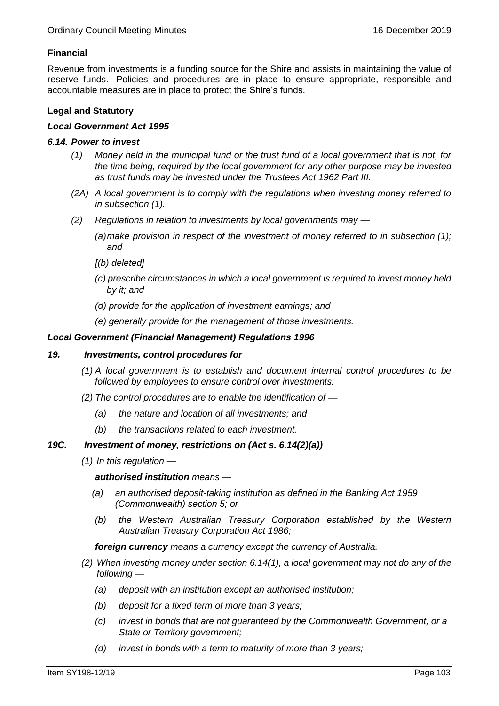# **Financial**

Revenue from investments is a funding source for the Shire and assists in maintaining the value of reserve funds. Policies and procedures are in place to ensure appropriate, responsible and accountable measures are in place to protect the Shire's funds.

# **Legal and Statutory**

### *Local Government Act 1995*

### *6.14. Power to invest*

- *(1) Money held in the municipal fund or the trust fund of a local government that is not, for the time being, required by the local government for any other purpose may be invested as trust funds may be invested under the Trustees Act 1962 Part III.*
- *(2A) A local government is to comply with the regulations when investing money referred to in subsection (1).*
- *(2) Regulations in relation to investments by local governments may —*
	- *(a)make provision in respect of the investment of money referred to in subsection (1); and*
	- *[(b) deleted]*
	- *(c) prescribe circumstances in which a local government is required to invest money held by it; and*
	- *(d) provide for the application of investment earnings; and*
	- *(e) generally provide for the management of those investments.*

### *Local Government (Financial Management) Regulations 1996*

#### *19. Investments, control procedures for*

- *(1) A local government is to establish and document internal control procedures to be followed by employees to ensure control over investments.*
- *(2) The control procedures are to enable the identification of —*
	- *(a) the nature and location of all investments; and*
	- *(b) the transactions related to each investment.*

### *19C. Investment of money, restrictions on (Act s. 6.14(2)(a))*

*(1) In this regulation —*

*authorised institution means —*

- *(a) an authorised deposit-taking institution as defined in the Banking Act 1959 (Commonwealth) section 5; or*
- *(b) the Western Australian Treasury Corporation established by the Western Australian Treasury Corporation Act 1986;*

*foreign currency means a currency except the currency of Australia.*

- *(2) When investing money under section 6.14(1), a local government may not do any of the following —*
	- *(a) deposit with an institution except an authorised institution;*
	- *(b) deposit for a fixed term of more than 3 years;*
	- *(c) invest in bonds that are not guaranteed by the Commonwealth Government, or a State or Territory government;*
	- *(d) invest in bonds with a term to maturity of more than 3 years;*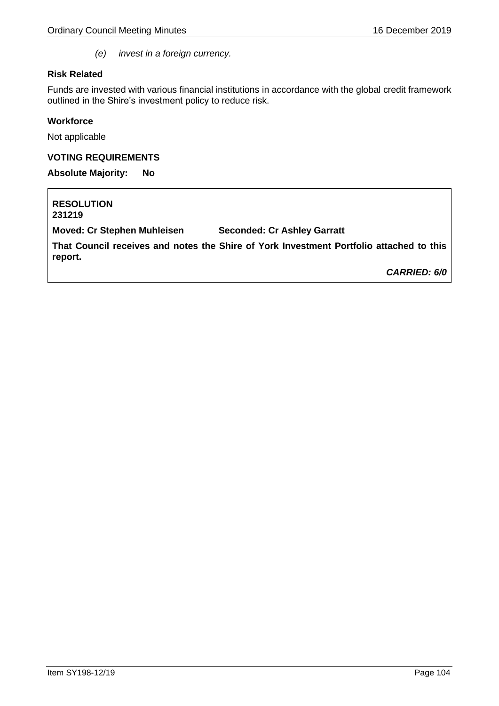*(e) invest in a foreign currency.*

### **Risk Related**

Funds are invested with various financial institutions in accordance with the global credit framework outlined in the Shire's investment policy to reduce risk.

### **Workforce**

Not applicable

### **VOTING REQUIREMENTS**

**Absolute Majority: No**

**RESOLUTION 231219 Moved: Cr Stephen Muhleisen Seconded: Cr Ashley Garratt That Council receives and notes the Shire of York Investment Portfolio attached to this report.** *CARRIED: 6/0*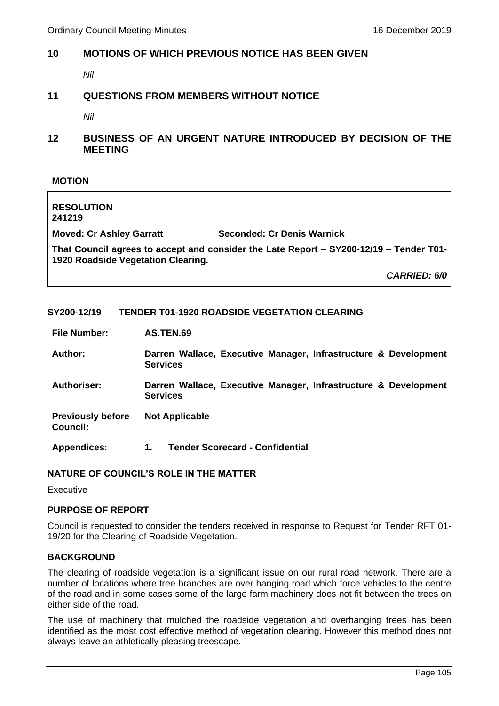# **10 MOTIONS OF WHICH PREVIOUS NOTICE HAS BEEN GIVEN**

*Nil*

# **11 QUESTIONS FROM MEMBERS WITHOUT NOTICE**

*Nil*

**12 BUSINESS OF AN URGENT NATURE INTRODUCED BY DECISION OF THE MEETING**

### **MOTION**

| <b>RESOLUTION</b><br>241219                                                                                                  |                                   |  |  |
|------------------------------------------------------------------------------------------------------------------------------|-----------------------------------|--|--|
| <b>Moved: Cr Ashley Garratt</b>                                                                                              | <b>Seconded: Cr Denis Warnick</b> |  |  |
| That Council agrees to accept and consider the Late Report – SY200-12/19 – Tender T01-<br>1920 Roadside Vegetation Clearing. |                                   |  |  |
|                                                                                                                              | <b>CARRIED: 6/0</b>               |  |  |

# **SY200-12/19 TENDER T01-1920 ROADSIDE VEGETATION CLEARING**

**File Number: AS.TEN.69**

| <b>Author:</b> | Darren Wallace, Executive Manager, Infrastructure & Development |  |  |  |
|----------------|-----------------------------------------------------------------|--|--|--|
|                | <b>Services</b>                                                 |  |  |  |

**Authoriser: Darren Wallace, Executive Manager, Infrastructure & Development Services**

**Previously before Council: Not Applicable**

**Appendices: 1. Tender Scorecard - Confidential** 

# **NATURE OF COUNCIL'S ROLE IN THE MATTER**

Executive

# **PURPOSE OF REPORT**

Council is requested to consider the tenders received in response to Request for Tender RFT 01- 19/20 for the Clearing of Roadside Vegetation.

### **BACKGROUND**

The clearing of roadside vegetation is a significant issue on our rural road network. There are a number of locations where tree branches are over hanging road which force vehicles to the centre of the road and in some cases some of the large farm machinery does not fit between the trees on either side of the road.

The use of machinery that mulched the roadside vegetation and overhanging trees has been identified as the most cost effective method of vegetation clearing. However this method does not always leave an athletically pleasing treescape.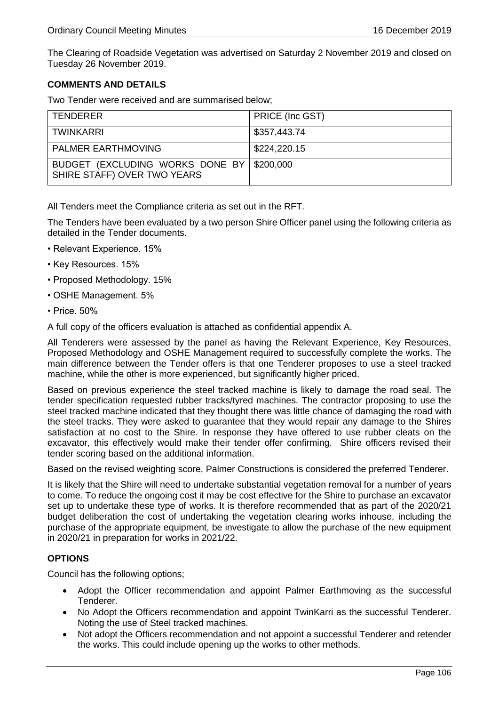The Clearing of Roadside Vegetation was advertised on Saturday 2 November 2019 and closed on Tuesday 26 November 2019.

# **COMMENTS AND DETAILS**

Two Tender were received and are summarised below;

| TENDERER                                                                 | PRICE (Inc GST) |
|--------------------------------------------------------------------------|-----------------|
| TWINKARRI                                                                | \$357,443.74    |
| <b>PALMER EARTHMOVING</b>                                                | \$224,220.15    |
| BUDGET (EXCLUDING WORKS DONE BY \$200,000<br>SHIRE STAFF) OVER TWO YEARS |                 |

All Tenders meet the Compliance criteria as set out in the RFT.

The Tenders have been evaluated by a two person Shire Officer panel using the following criteria as detailed in the Tender documents.

- Relevant Experience. 15%
- Key Resources. 15%
- Proposed Methodology. 15%
- OSHE Management. 5%
- Price. 50%

A full copy of the officers evaluation is attached as confidential appendix A.

All Tenderers were assessed by the panel as having the Relevant Experience, Key Resources, Proposed Methodology and OSHE Management required to successfully complete the works. The main difference between the Tender offers is that one Tenderer proposes to use a steel tracked machine, while the other is more experienced, but significantly higher priced.

Based on previous experience the steel tracked machine is likely to damage the road seal. The tender specification requested rubber tracks/tyred machines. The contractor proposing to use the steel tracked machine indicated that they thought there was little chance of damaging the road with the steel tracks. They were asked to guarantee that they would repair any damage to the Shires satisfaction at no cost to the Shire. In response they have offered to use rubber cleats on the excavator, this effectively would make their tender offer confirming. Shire officers revised their tender scoring based on the additional information.

Based on the revised weighting score, Palmer Constructions is considered the preferred Tenderer.

It is likely that the Shire will need to undertake substantial vegetation removal for a number of years to come. To reduce the ongoing cost it may be cost effective for the Shire to purchase an excavator set up to undertake these type of works. It is therefore recommended that as part of the 2020/21 budget deliberation the cost of undertaking the vegetation clearing works inhouse, including the purchase of the appropriate equipment, be investigate to allow the purchase of the new equipment in 2020/21 in preparation for works in 2021/22.

# **OPTIONS**

Council has the following options;

- Adopt the Officer recommendation and appoint Palmer Earthmoving as the successful Tenderer.
- No Adopt the Officers recommendation and appoint TwinKarri as the successful Tenderer. Noting the use of Steel tracked machines.
- Not adopt the Officers recommendation and not appoint a successful Tenderer and retender the works. This could include opening up the works to other methods.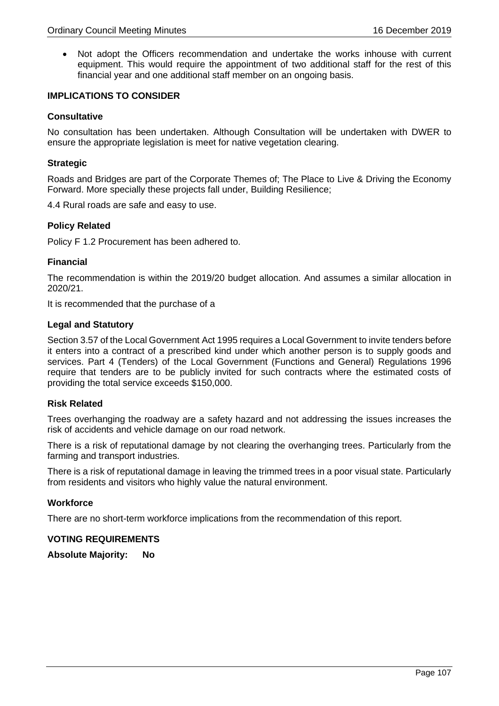• Not adopt the Officers recommendation and undertake the works inhouse with current equipment. This would require the appointment of two additional staff for the rest of this financial year and one additional staff member on an ongoing basis.

### **IMPLICATIONS TO CONSIDER**

#### **Consultative**

No consultation has been undertaken. Although Consultation will be undertaken with DWER to ensure the appropriate legislation is meet for native vegetation clearing.

#### **Strategic**

Roads and Bridges are part of the Corporate Themes of; The Place to Live & Driving the Economy Forward. More specially these projects fall under, Building Resilience;

4.4 Rural roads are safe and easy to use.

### **Policy Related**

Policy F 1.2 Procurement has been adhered to.

### **Financial**

The recommendation is within the 2019/20 budget allocation. And assumes a similar allocation in 2020/21.

It is recommended that the purchase of a

### **Legal and Statutory**

Section 3.57 of the Local Government Act 1995 requires a Local Government to invite tenders before it enters into a contract of a prescribed kind under which another person is to supply goods and services. Part 4 (Tenders) of the Local Government (Functions and General) Regulations 1996 require that tenders are to be publicly invited for such contracts where the estimated costs of providing the total service exceeds \$150,000.

### **Risk Related**

Trees overhanging the roadway are a safety hazard and not addressing the issues increases the risk of accidents and vehicle damage on our road network.

There is a risk of reputational damage by not clearing the overhanging trees. Particularly from the farming and transport industries.

There is a risk of reputational damage in leaving the trimmed trees in a poor visual state. Particularly from residents and visitors who highly value the natural environment.

#### **Workforce**

There are no short-term workforce implications from the recommendation of this report.

#### **VOTING REQUIREMENTS**

**Absolute Majority: No**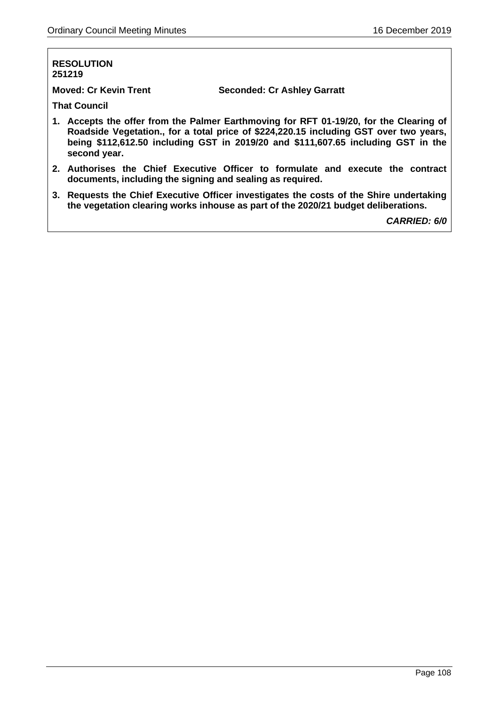### **RESOLUTION 251219**

**Moved: Cr Kevin Trent Seconded: Cr Ashley Garratt**

**That Council**

- **1. Accepts the offer from the Palmer Earthmoving for RFT 01-19/20, for the Clearing of Roadside Vegetation., for a total price of \$224,220.15 including GST over two years, being \$112,612.50 including GST in 2019/20 and \$111,607.65 including GST in the second year.**
- **2. Authorises the Chief Executive Officer to formulate and execute the contract documents, including the signing and sealing as required.**
- **3. Requests the Chief Executive Officer investigates the costs of the Shire undertaking the vegetation clearing works inhouse as part of the 2020/21 budget deliberations.**

*CARRIED: 6/0*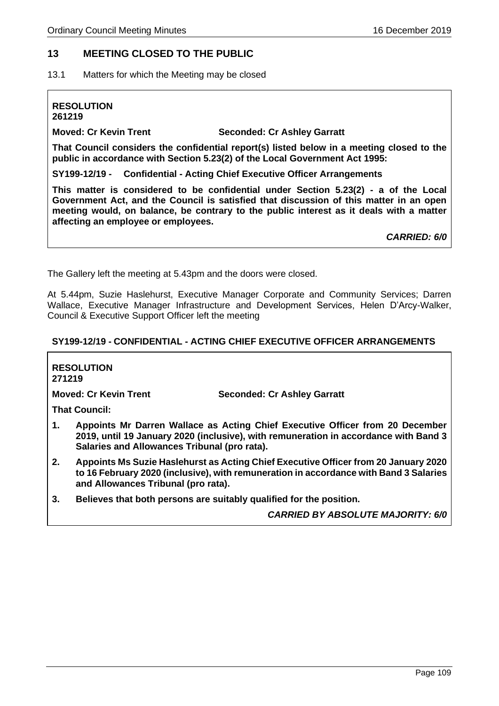### **13 MEETING CLOSED TO THE PUBLIC**

13.1 Matters for which the Meeting may be closed

# **RESOLUTION**

**261219**

**Moved: Cr Kevin Trent Seconded: Cr Ashley Garratt**

**That Council considers the confidential report(s) listed below in a meeting closed to the public in accordance with Section 5.23(2) of the Local Government Act 1995:**

**SY199-12/19 - Confidential - Acting Chief Executive Officer Arrangements**

**This matter is considered to be confidential under Section 5.23(2) - a of the Local Government Act, and the Council is satisfied that discussion of this matter in an open meeting would, on balance, be contrary to the public interest as it deals with a matter affecting an employee or employees.** 

*CARRIED: 6/0*

The Gallery left the meeting at 5.43pm and the doors were closed.

At 5.44pm, Suzie Haslehurst, Executive Manager Corporate and Community Services; Darren Wallace, Executive Manager Infrastructure and Development Services, Helen D'Arcy-Walker, Council & Executive Support Officer left the meeting

#### **SY199-12/19 - CONFIDENTIAL - ACTING CHIEF EXECUTIVE OFFICER ARRANGEMENTS**

**RESOLUTION 271219**

**Moved: Cr Kevin Trent Seconded: Cr Ashley Garratt**

**That Council:**

- **1. Appoints Mr Darren Wallace as Acting Chief Executive Officer from 20 December 2019, until 19 January 2020 (inclusive), with remuneration in accordance with Band 3 Salaries and Allowances Tribunal (pro rata).**
- **2. Appoints Ms Suzie Haslehurst as Acting Chief Executive Officer from 20 January 2020 to 16 February 2020 (inclusive), with remuneration in accordance with Band 3 Salaries and Allowances Tribunal (pro rata).**
- **3. Believes that both persons are suitably qualified for the position.**

*CARRIED BY ABSOLUTE MAJORITY: 6/0*